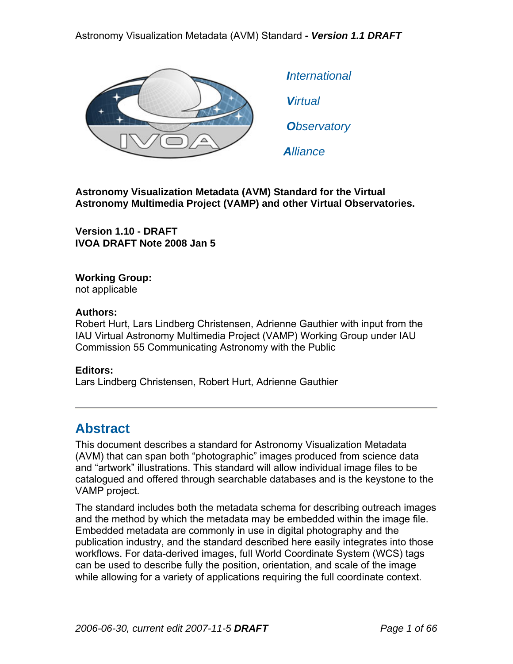

 *International Virtual Observatory Alliance*

**Astronomy Visualization Metadata (AVM) Standard for the Virtual Astronomy Multimedia Project (VAMP) and other Virtual Observatories.** 

**Version 1.10 - DRAFT IVOA DRAFT Note 2008 Jan 5** 

### **Working Group:**

not applicable

#### **Authors:**

Robert Hurt, Lars Lindberg Christensen, Adrienne Gauthier with input from the IAU Virtual Astronomy Multimedia Project (VAMP) Working Group under IAU Commission 55 Communicating Astronomy with the Public

#### **Editors:**

Lars Lindberg Christensen, Robert Hurt, Adrienne Gauthier

# **Abstract**

This document describes a standard for Astronomy Visualization Metadata (AVM) that can span both "photographic" images produced from science data and "artwork" illustrations. This standard will allow individual image files to be catalogued and offered through searchable databases and is the keystone to the VAMP project.

The standard includes both the metadata schema for describing outreach images and the method by which the metadata may be embedded within the image file. Embedded metadata are commonly in use in digital photography and the publication industry, and the standard described here easily integrates into those workflows. For data-derived images, full World Coordinate System (WCS) tags can be used to describe fully the position, orientation, and scale of the image while allowing for a variety of applications requiring the full coordinate context.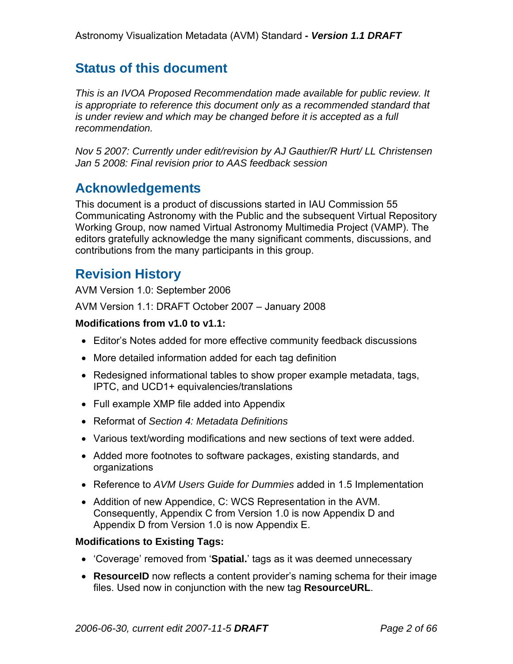# **Status of this document**

*This is an IVOA Proposed Recommendation made available for public review. It is appropriate to reference this document only as a recommended standard that is under review and which may be changed before it is accepted as a full recommendation.* 

*Nov 5 2007: Currently under edit/revision by AJ Gauthier/R Hurt/ LL Christensen Jan 5 2008: Final revision prior to AAS feedback session* 

# **Acknowledgements**

This document is a product of discussions started in IAU Commission 55 Communicating Astronomy with the Public and the subsequent Virtual Repository Working Group, now named Virtual Astronomy Multimedia Project (VAMP). The editors gratefully acknowledge the many significant comments, discussions, and contributions from the many participants in this group.

# **Revision History**

AVM Version 1.0: September 2006

AVM Version 1.1: DRAFT October 2007 – January 2008

#### **Modifications from v1.0 to v1.1:**

- Editor's Notes added for more effective community feedback discussions
- More detailed information added for each tag definition
- Redesigned informational tables to show proper example metadata, tags, IPTC, and UCD1+ equivalencies/translations
- Full example XMP file added into Appendix
- Reformat of *Section 4: Metadata Definitions*
- Various text/wording modifications and new sections of text were added.
- Added more footnotes to software packages, existing standards, and organizations
- Reference to *AVM Users Guide for Dummies* added in 1.5 Implementation
- Addition of new Appendice, C: WCS Representation in the AVM. Consequently, Appendix C from Version 1.0 is now Appendix D and Appendix D from Version 1.0 is now Appendix E.

#### **Modifications to Existing Tags:**

- 'Coverage' removed from '**Spatial.**' tags as it was deemed unnecessary
- **ResourceID** now reflects a content provider's naming schema for their image files. Used now in conjunction with the new tag **ResourceURL**.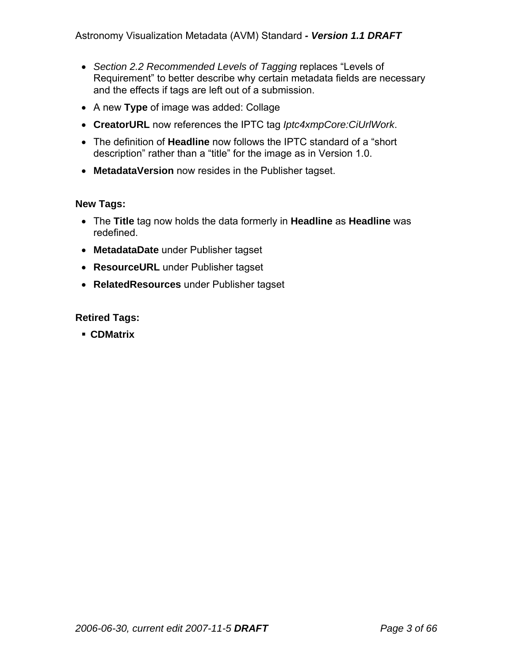- *Section 2.2 Recommended Levels of Tagging* replaces "Levels of Requirement" to better describe why certain metadata fields are necessary and the effects if tags are left out of a submission.
- A new **Type** of image was added: Collage
- **CreatorURL** now references the IPTC tag *Iptc4xmpCore:CiUrlWork*.
- The definition of **Headline** now follows the IPTC standard of a "short description" rather than a "title" for the image as in Version 1.0.
- **MetadataVersion** now resides in the Publisher tagset.

#### **New Tags:**

- The **Title** tag now holds the data formerly in **Headline** as **Headline** was redefined.
- **MetadataDate** under Publisher tagset
- **ResourceURL** under Publisher tagset
- **RelatedResources** under Publisher tagset

#### **Retired Tags:**

**CDMatrix**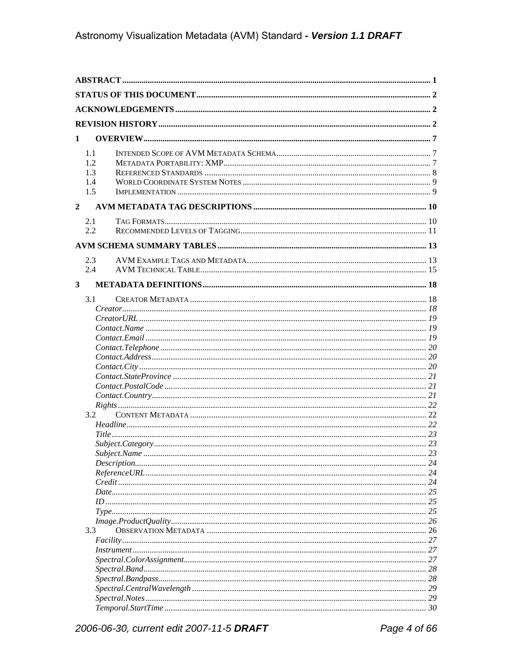| $\mathbf{1}$            |     |                              |    |
|-------------------------|-----|------------------------------|----|
|                         |     |                              |    |
|                         | 1.1 |                              |    |
|                         | 1.2 |                              |    |
|                         | 1.3 |                              |    |
|                         | 1.4 |                              |    |
|                         | 1.5 |                              |    |
| $\overline{2}$          |     |                              |    |
|                         | 2.1 |                              |    |
|                         | 2.2 |                              |    |
|                         |     |                              |    |
|                         | 2.3 |                              |    |
|                         | 2.4 |                              |    |
|                         |     |                              |    |
| $\overline{\mathbf{3}}$ |     |                              |    |
|                         | 3.1 |                              |    |
|                         |     |                              |    |
|                         |     |                              |    |
|                         |     |                              |    |
|                         |     |                              |    |
|                         |     |                              |    |
|                         |     |                              |    |
|                         |     |                              |    |
|                         |     |                              |    |
|                         |     | $Context. Country. \dots 21$ |    |
|                         |     |                              |    |
|                         | 3.2 |                              |    |
|                         |     |                              |    |
|                         |     |                              |    |
|                         |     |                              |    |
|                         |     |                              | 23 |
|                         |     |                              | 24 |
|                         |     |                              |    |
|                         |     |                              |    |
|                         |     |                              |    |
|                         |     |                              |    |
|                         |     |                              |    |
|                         | 3.3 |                              |    |
|                         |     |                              |    |
|                         |     |                              |    |
|                         |     |                              |    |
|                         |     |                              |    |
|                         |     |                              | 28 |
|                         |     |                              |    |
|                         |     |                              |    |
|                         |     |                              |    |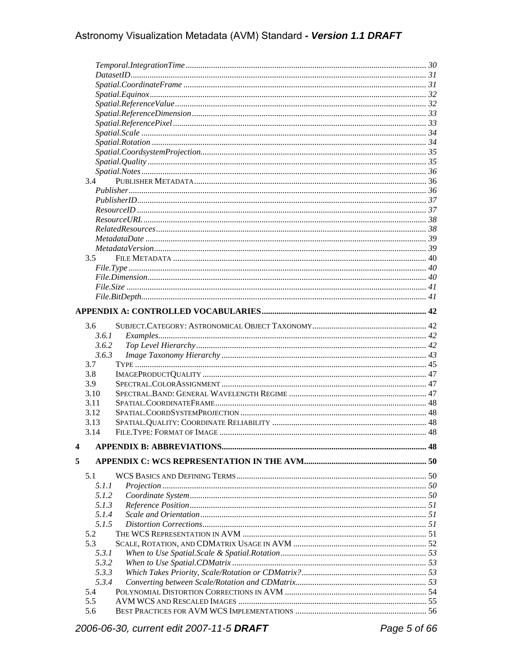|   | 3.4                   |  |
|---|-----------------------|--|
|   |                       |  |
|   |                       |  |
|   |                       |  |
|   |                       |  |
|   |                       |  |
|   |                       |  |
|   |                       |  |
|   | 3.5                   |  |
|   |                       |  |
|   |                       |  |
|   |                       |  |
|   |                       |  |
|   |                       |  |
|   |                       |  |
|   | 3.6                   |  |
|   | Examples 122<br>3.6.1 |  |
|   | 3.6.2                 |  |
|   | 3.6.3                 |  |
|   | 3.7                   |  |
|   | 3.8                   |  |
|   | 3.9                   |  |
|   | 3.10                  |  |
|   | 3.11                  |  |
|   | 3.12                  |  |
|   | 3.13                  |  |
|   | 3.14                  |  |
|   |                       |  |
| 4 |                       |  |
|   |                       |  |
|   |                       |  |
| 5 |                       |  |
|   | 5.1                   |  |
|   | 5.1.1                 |  |
|   | 5.1.2                 |  |
|   | 5.1.3                 |  |
|   | 5.1.4                 |  |
|   | 5.1.5                 |  |
|   | 5.2                   |  |
|   | 5.3                   |  |
|   | 5.3.1                 |  |
|   | 5.3.2                 |  |
|   | 5.3.3                 |  |
|   | 5.3.4                 |  |
|   | 5.4                   |  |
|   | 5.5<br>5.6            |  |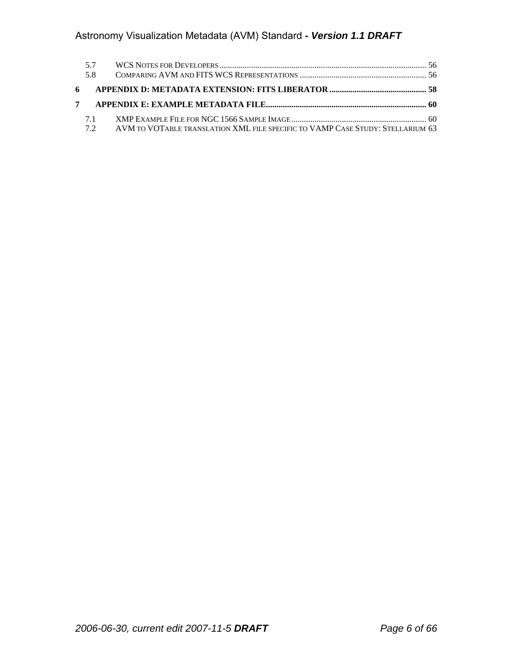| 5.7 |  |
|-----|--|
| 58  |  |
|     |  |
|     |  |
|     |  |
| 7.1 |  |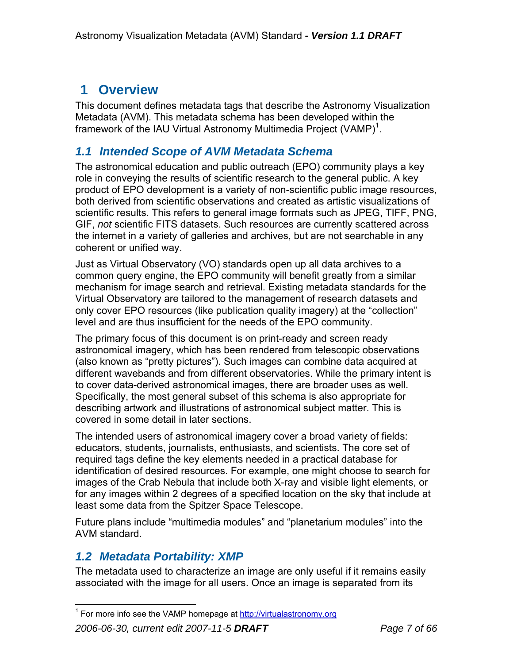# **1 Overview**

This document defines metadata tags that describe the Astronomy Visualization Metadata (AVM). This metadata schema has been developed within the framework of the IAU Virtual Astronomy Multimedia Project (VAMP)<sup>1</sup>.

# *1.1 Intended Scope of AVM Metadata Schema*

The astronomical education and public outreach (EPO) community plays a key role in conveying the results of scientific research to the general public. A key product of EPO development is a variety of non-scientific public image resources, both derived from scientific observations and created as artistic visualizations of scientific results. This refers to general image formats such as JPEG, TIFF, PNG, GIF, *not* scientific FITS datasets. Such resources are currently scattered across the internet in a variety of galleries and archives, but are not searchable in any coherent or unified way.

Just as Virtual Observatory (VO) standards open up all data archives to a common query engine, the EPO community will benefit greatly from a similar mechanism for image search and retrieval. Existing metadata standards for the Virtual Observatory are tailored to the management of research datasets and only cover EPO resources (like publication quality imagery) at the "collection" level and are thus insufficient for the needs of the EPO community.

The primary focus of this document is on print-ready and screen ready astronomical imagery, which has been rendered from telescopic observations (also known as "pretty pictures"). Such images can combine data acquired at different wavebands and from different observatories. While the primary intent is to cover data-derived astronomical images, there are broader uses as well. Specifically, the most general subset of this schema is also appropriate for describing artwork and illustrations of astronomical subject matter. This is covered in some detail in later sections.

The intended users of astronomical imagery cover a broad variety of fields: educators, students, journalists, enthusiasts, and scientists. The core set of required tags define the key elements needed in a practical database for identification of desired resources. For example, one might choose to search for images of the Crab Nebula that include both X-ray and visible light elements, or for any images within 2 degrees of a specified location on the sky that include at least some data from the Spitzer Space Telescope.

Future plans include "multimedia modules" and "planetarium modules" into the AVM standard.

# *1.2 Metadata Portability: XMP*

The metadata used to characterize an image are only useful if it remains easily associated with the image for all users. Once an image is separated from its

To the more info see the VAMP homepage at http://virtualastronomy.org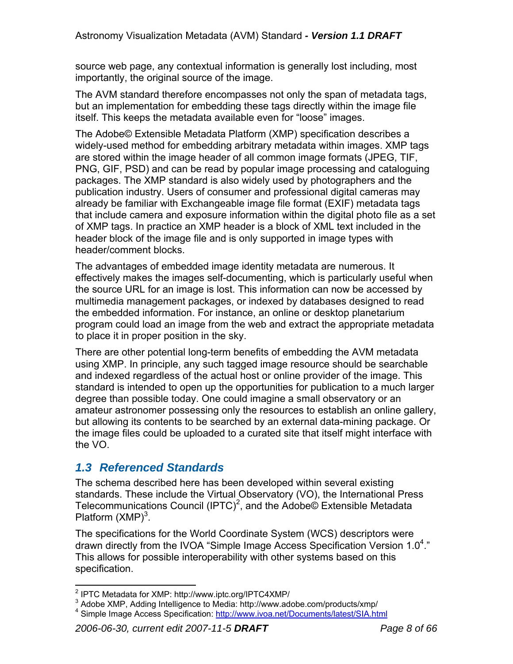source web page, any contextual information is generally lost including, most importantly, the original source of the image.

The AVM standard therefore encompasses not only the span of metadata tags, but an implementation for embedding these tags directly within the image file itself. This keeps the metadata available even for "loose" images.

The Adobe© Extensible Metadata Platform (XMP) specification describes a widely-used method for embedding arbitrary metadata within images. XMP tags are stored within the image header of all common image formats (JPEG, TIF, PNG, GIF, PSD) and can be read by popular image processing and cataloguing packages. The XMP standard is also widely used by photographers and the publication industry. Users of consumer and professional digital cameras may already be familiar with Exchangeable image file format (EXIF) metadata tags that include camera and exposure information within the digital photo file as a set of XMP tags. In practice an XMP header is a block of XML text included in the header block of the image file and is only supported in image types with header/comment blocks.

The advantages of embedded image identity metadata are numerous. It effectively makes the images self-documenting, which is particularly useful when the source URL for an image is lost. This information can now be accessed by multimedia management packages, or indexed by databases designed to read the embedded information. For instance, an online or desktop planetarium program could load an image from the web and extract the appropriate metadata to place it in proper position in the sky.

There are other potential long-term benefits of embedding the AVM metadata using XMP. In principle, any such tagged image resource should be searchable and indexed regardless of the actual host or online provider of the image. This standard is intended to open up the opportunities for publication to a much larger degree than possible today. One could imagine a small observatory or an amateur astronomer possessing only the resources to establish an online gallery, but allowing its contents to be searched by an external data-mining package. Or the image files could be uploaded to a curated site that itself might interface with the VO.

# *1.3 Referenced Standards*

The schema described here has been developed within several existing standards. These include the Virtual Observatory (VO), the International Press Telecommunications Council (IPTC)<sup>2</sup>, and the Adobe© Extensible Metadata Platform  $(XMP)^3$ .

The specifications for the World Coordinate System (WCS) descriptors were drawn directly from the IVOA "Simple Image Access Specification Version 1.0<sup>4</sup>." This allows for possible interoperability with other systems based on this specification.

<sup>1</sup> <sup>2</sup> IPTC Metadata for XMP: http://www.iptc.org/IPTC4XMP/

 $3$  Adobe XMP, Adding Intelligence to Media: http://www.adobe.com/products/xmp/<br> $4$  Simple Image Agossa Specification: http://www.ivog.net/Desumental/atent/SIA http:// <sup>4</sup> Simple Image Access Specification: http://www.ivoa.net/Documents/latest/SIA.html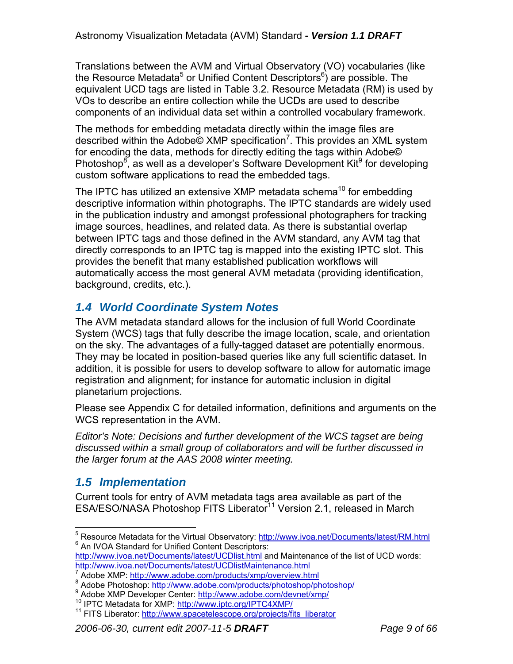Translations between the AVM and Virtual Observatory (VO) vocabularies (like the Resource Metadata<sup>5</sup> or Unified Content Descriptors<sup>6</sup>) are possible. The equivalent UCD tags are listed in Table 3.2. Resource Metadata (RM) is used by VOs to describe an entire collection while the UCDs are used to describe components of an individual data set within a controlled vocabulary framework.

The methods for embedding metadata directly within the image files are described within the Adobe© XMP specification<sup>7</sup>. This provides an XML system for encoding the data, methods for directly editing the tags within Adobe© Photoshop $^8$ , as well as a developer's Software Development Kit $^9$  for developing custom software applications to read the embedded tags.

The IPTC has utilized an extensive XMP metadata schema<sup>10</sup> for embedding descriptive information within photographs. The IPTC standards are widely used in the publication industry and amongst professional photographers for tracking image sources, headlines, and related data. As there is substantial overlap between IPTC tags and those defined in the AVM standard, any AVM tag that directly corresponds to an IPTC tag is mapped into the existing IPTC slot. This provides the benefit that many established publication workflows will automatically access the most general AVM metadata (providing identification, background, credits, etc.).

# *1.4 World Coordinate System Notes*

The AVM metadata standard allows for the inclusion of full World Coordinate System (WCS) tags that fully describe the image location, scale, and orientation on the sky. The advantages of a fully-tagged dataset are potentially enormous. They may be located in position-based queries like any full scientific dataset. In addition, it is possible for users to develop software to allow for automatic image registration and alignment; for instance for automatic inclusion in digital planetarium projections.

Please see Appendix C for detailed information, definitions and arguments on the WCS representation in the AVM.

*Editor's Note: Decisions and further development of the WCS tagset are being discussed within a small group of collaborators and will be further discussed in the larger forum at the AAS 2008 winter meeting.* 

# *1.5 Implementation*

Current tools for entry of AVM metadata tags area available as part of the ESA/ESO/NASA Photoshop FITS Liberator<sup>11</sup> Version 2.1, released in March

http://www.ivoa.net/Documents/latest/UCDlist.html and Maintenance of the list of UCD words: http://www.ivoa.net/Documents/latest/UCDlistMaintenance.html 7

 $\overline{a}$ <sup>5</sup> Resource Metadata for the Virtual Observatory: http://www.ivoa.net/Documents/latest/RM.html<br><sup>6</sup> An IVOA Standard for Unified Centent Descriptore:  $6$  An IVOA Standard for Unified Content Descriptors:

Adobe XMP: http://www.adobe.com/products/xmp/overview.html <sup>8</sup><br><sup>8</sup> Adobe Photosbon: http://www.adobe.com/products/photosbon/ph

<sup>&</sup>lt;sup>8</sup> Adobe Photoshop: http://www.adobe.com/products/photoshop/photoshop/<br><sup>9</sup> Adobe XMP Developer Center: http://www.adobe.com/devnet/xmp/

<sup>&</sup>lt;sup>10</sup> IPTC Metadata for XMP: http://www.iptc.org/IPTC4XMP/<br><sup>11</sup> FITS Liberator: http://www.spacetelescope.org/projects/fits\_liberator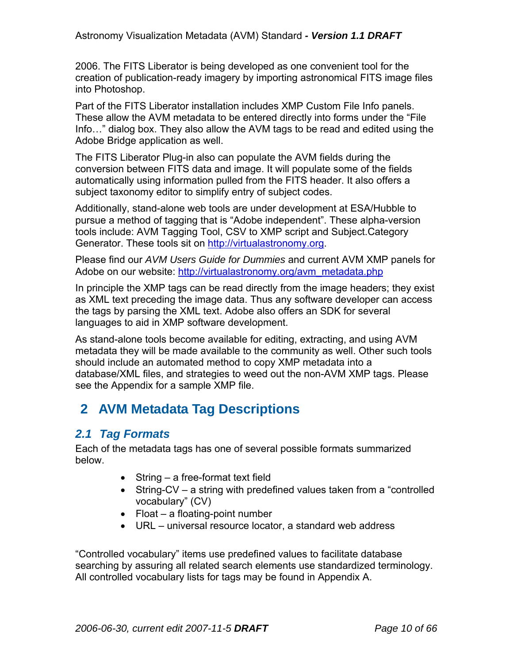2006. The FITS Liberator is being developed as one convenient tool for the creation of publication-ready imagery by importing astronomical FITS image files into Photoshop.

Part of the FITS Liberator installation includes XMP Custom File Info panels. These allow the AVM metadata to be entered directly into forms under the "File Info…" dialog box. They also allow the AVM tags to be read and edited using the Adobe Bridge application as well.

The FITS Liberator Plug-in also can populate the AVM fields during the conversion between FITS data and image. It will populate some of the fields automatically using information pulled from the FITS header. It also offers a subject taxonomy editor to simplify entry of subject codes.

Additionally, stand-alone web tools are under development at ESA/Hubble to pursue a method of tagging that is "Adobe independent". These alpha-version tools include: AVM Tagging Tool, CSV to XMP script and Subject.Category Generator. These tools sit on http://virtualastronomy.org.

Please find our *AVM Users Guide for Dummies* and current AVM XMP panels for Adobe on our website: http://virtualastronomy.org/avm\_metadata.php

In principle the XMP tags can be read directly from the image headers; they exist as XML text preceding the image data. Thus any software developer can access the tags by parsing the XML text. Adobe also offers an SDK for several languages to aid in XMP software development.

As stand-alone tools become available for editing, extracting, and using AVM metadata they will be made available to the community as well. Other such tools should include an automated method to copy XMP metadata into a database/XML files, and strategies to weed out the non-AVM XMP tags. Please see the Appendix for a sample XMP file.

# **2 AVM Metadata Tag Descriptions**

# *2.1 Tag Formats*

Each of the metadata tags has one of several possible formats summarized below.

- String a free-format text field
- String-CV a string with predefined values taken from a "controlled" vocabulary" (CV)
- Float a floating-point number
- URL universal resource locator, a standard web address

"Controlled vocabulary" items use predefined values to facilitate database searching by assuring all related search elements use standardized terminology. All controlled vocabulary lists for tags may be found in Appendix A.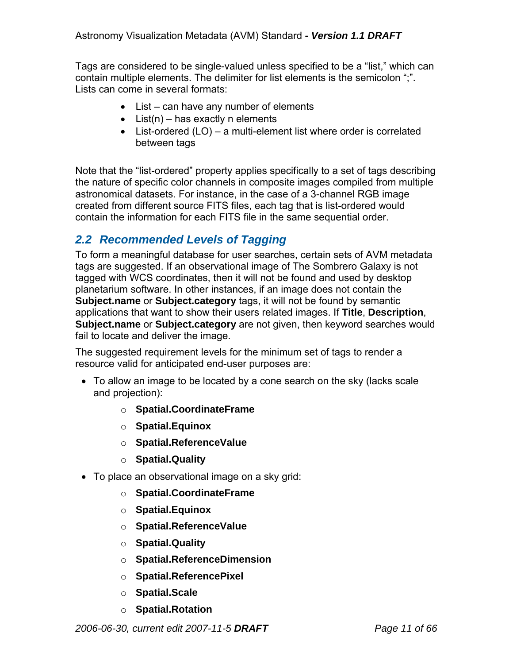Tags are considered to be single-valued unless specified to be a "list," which can contain multiple elements. The delimiter for list elements is the semicolon ";". Lists can come in several formats:

- List can have any number of elements
- List(n) has exactly n elements
- List-ordered (LO) a multi-element list where order is correlated between tags

Note that the "list-ordered" property applies specifically to a set of tags describing the nature of specific color channels in composite images compiled from multiple astronomical datasets. For instance, in the case of a 3-channel RGB image created from different source FITS files, each tag that is list-ordered would contain the information for each FITS file in the same sequential order.

# *2.2 Recommended Levels of Tagging*

To form a meaningful database for user searches, certain sets of AVM metadata tags are suggested. If an observational image of The Sombrero Galaxy is not tagged with WCS coordinates, then it will not be found and used by desktop planetarium software. In other instances, if an image does not contain the **Subject.name** or **Subject.category** tags, it will not be found by semantic applications that want to show their users related images. If **Title**, **Description**, **Subject.name** or **Subject.category** are not given, then keyword searches would fail to locate and deliver the image.

The suggested requirement levels for the minimum set of tags to render a resource valid for anticipated end-user purposes are:

- To allow an image to be located by a cone search on the sky (lacks scale and projection):
	- o **Spatial.CoordinateFrame**
	- o **Spatial.Equinox**
	- o **Spatial.ReferenceValue**
	- o **Spatial.Quality**
- To place an observational image on a sky grid:
	- o **Spatial.CoordinateFrame**
	- o **Spatial.Equinox**
	- o **Spatial.ReferenceValue**
	- o **Spatial.Quality**
	- o **Spatial.ReferenceDimension**
	- o **Spatial.ReferencePixel**
	- o **Spatial.Scale**
	- o **Spatial.Rotation**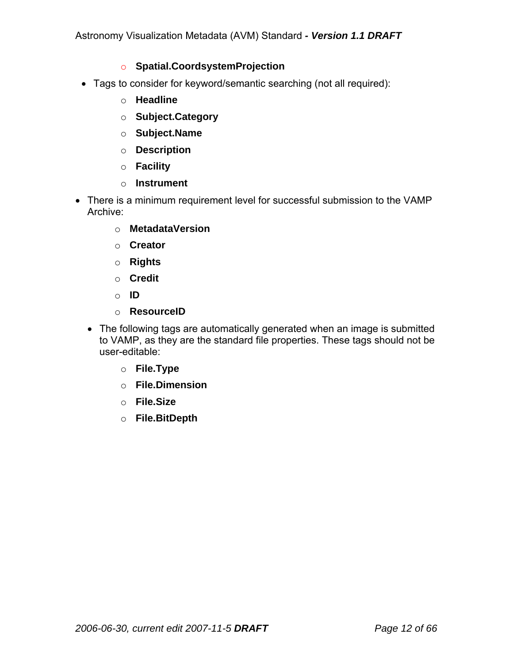#### o **Spatial.CoordsystemProjection**

- Tags to consider for keyword/semantic searching (not all required):
	- o **Headline**
	- o **Subject.Category**
	- o **Subject.Name**
	- o **Description**
	- o **Facility**
	- o **Instrument**
- There is a minimum requirement level for successful submission to the VAMP Archive:
	- o **MetadataVersion**
	- o **Creator**
	- o **Rights**
	- o **Credit**
	- o **ID**
	- o **ResourceID**
	- The following tags are automatically generated when an image is submitted to VAMP, as they are the standard file properties. These tags should not be user-editable:
		- o **File.Type**
		- o **File.Dimension**
		- o **File.Size**
		- o **File.BitDepth**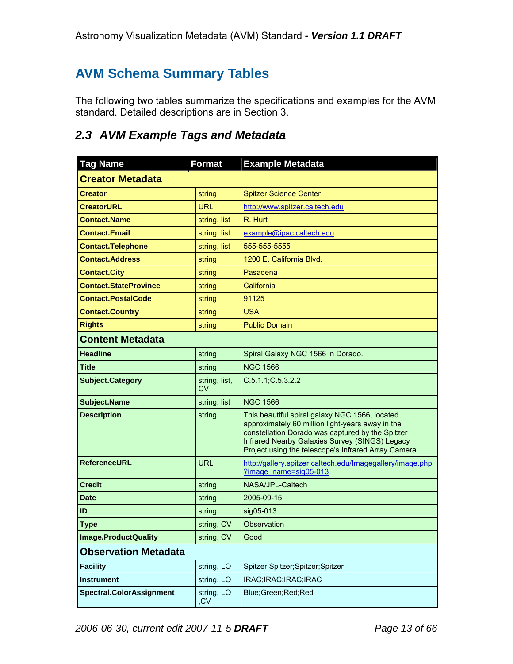# **AVM Schema Summary Tables**

The following two tables summarize the specifications and examples for the AVM standard. Detailed descriptions are in Section 3.

# *2.3 AVM Example Tags and Metadata*

| <b>Tag Name</b>                 | <b>Format</b>       | <b>Example Metadata</b>                                                                                                                                                                                                                                          |
|---------------------------------|---------------------|------------------------------------------------------------------------------------------------------------------------------------------------------------------------------------------------------------------------------------------------------------------|
| <b>Creator Metadata</b>         |                     |                                                                                                                                                                                                                                                                  |
| <b>Creator</b>                  | string              | <b>Spitzer Science Center</b>                                                                                                                                                                                                                                    |
| <b>CreatorURL</b>               | URL.                | http://www.spitzer.caltech.edu                                                                                                                                                                                                                                   |
| <b>Contact.Name</b>             | string, list        | R. Hurt                                                                                                                                                                                                                                                          |
| <b>Contact.Email</b>            | string, list        | example@ipac.caltech.edu                                                                                                                                                                                                                                         |
| <b>Contact. Telephone</b>       | string, list        | 555-555-5555                                                                                                                                                                                                                                                     |
| <b>Contact.Address</b>          | string              | 1200 E. California Blvd.                                                                                                                                                                                                                                         |
| <b>Contact.City</b>             | string              | Pasadena                                                                                                                                                                                                                                                         |
| <b>Contact.StateProvince</b>    | string              | California                                                                                                                                                                                                                                                       |
| <b>Contact.PostalCode</b>       | string              | 91125                                                                                                                                                                                                                                                            |
| <b>Contact.Country</b>          | string              | <b>USA</b>                                                                                                                                                                                                                                                       |
| <b>Rights</b>                   | string              | <b>Public Domain</b>                                                                                                                                                                                                                                             |
| <b>Content Metadata</b>         |                     |                                                                                                                                                                                                                                                                  |
| <b>Headline</b>                 | string              | Spiral Galaxy NGC 1566 in Dorado.                                                                                                                                                                                                                                |
| <b>Title</b>                    | string              | <b>NGC 1566</b>                                                                                                                                                                                                                                                  |
| <b>Subject.Category</b>         | string, list,<br>CV | C.5.1.1; C.5.3.2.2                                                                                                                                                                                                                                               |
| <b>Subject.Name</b>             | string, list        | <b>NGC 1566</b>                                                                                                                                                                                                                                                  |
| <b>Description</b>              | string              | This beautiful spiral galaxy NGC 1566, located<br>approximately 60 million light-years away in the<br>constellation Dorado was captured by the Spitzer<br>Infrared Nearby Galaxies Survey (SINGS) Legacy<br>Project using the telescope's Infrared Array Camera. |
| <b>ReferenceURL</b>             | <b>URL</b>          | http://gallery.spitzer.caltech.edu/Imagegallery/image.php<br>?image name=sig05-013                                                                                                                                                                               |
| <b>Credit</b>                   | string              | NASA/JPL-Caltech                                                                                                                                                                                                                                                 |
| <b>Date</b>                     | string              | 2005-09-15                                                                                                                                                                                                                                                       |
| ID                              | string              | sig05-013                                                                                                                                                                                                                                                        |
| <b>Type</b>                     | string, CV          | Observation                                                                                                                                                                                                                                                      |
| <b>Image.ProductQuality</b>     | string, CV          | Good                                                                                                                                                                                                                                                             |
| <b>Observation Metadata</b>     |                     |                                                                                                                                                                                                                                                                  |
| <b>Facility</b>                 | string, LO          | Spitzer;Spitzer;Spitzer;Spitzer                                                                                                                                                                                                                                  |
| <b>Instrument</b>               | string, LO          | IRAC;IRAC;IRAC;IRAC                                                                                                                                                                                                                                              |
| <b>Spectral.ColorAssignment</b> | string, LO<br>,CV   | Blue;Green;Red;Red                                                                                                                                                                                                                                               |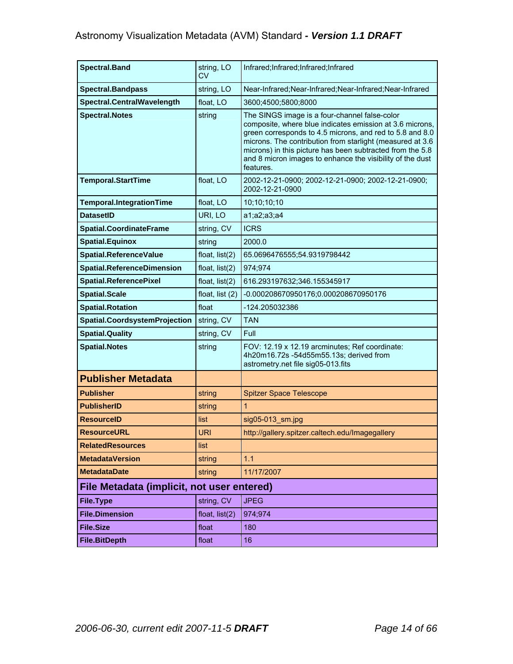| <b>Spectral.Band</b>                       | string, LO<br>CV  | Infrared;Infrared;Infrared;Infrared                                                                                                                                                                                                                                                                                                                                       |
|--------------------------------------------|-------------------|---------------------------------------------------------------------------------------------------------------------------------------------------------------------------------------------------------------------------------------------------------------------------------------------------------------------------------------------------------------------------|
| <b>Spectral.Bandpass</b>                   | string, LO        | Near-Infrared; Near-Infrared; Near-Infrared; Near-Infrared                                                                                                                                                                                                                                                                                                                |
| Spectral.CentralWavelength                 | float, LO         | 3600;4500;5800;8000                                                                                                                                                                                                                                                                                                                                                       |
| <b>Spectral.Notes</b>                      | string            | The SINGS image is a four-channel false-color<br>composite, where blue indicates emission at 3.6 microns,<br>green corresponds to 4.5 microns, and red to 5.8 and 8.0<br>microns. The contribution from starlight (measured at 3.6<br>microns) in this picture has been subtracted from the 5.8<br>and 8 micron images to enhance the visibility of the dust<br>features. |
| <b>Temporal.StartTime</b>                  | float, LO         | 2002-12-21-0900; 2002-12-21-0900; 2002-12-21-0900;<br>2002-12-21-0900                                                                                                                                                                                                                                                                                                     |
| Temporal.IntegrationTime                   | float, LO         | 10;10;10;10                                                                                                                                                                                                                                                                                                                                                               |
| <b>DatasetID</b>                           | URI, LO           | a1; a2; a3; a4                                                                                                                                                                                                                                                                                                                                                            |
| <b>Spatial.CoordinateFrame</b>             | string, CV        | <b>ICRS</b>                                                                                                                                                                                                                                                                                                                                                               |
| <b>Spatial.Equinox</b>                     | string            | 2000.0                                                                                                                                                                                                                                                                                                                                                                    |
| Spatial.ReferenceValue                     | float, list(2)    | 65.0696476555;54.9319798442                                                                                                                                                                                                                                                                                                                                               |
| <b>Spatial.ReferenceDimension</b>          | float, $list(2)$  | 974;974                                                                                                                                                                                                                                                                                                                                                                   |
| <b>Spatial.ReferencePixel</b>              | float, $list(2)$  | 616.293197632;346.155345917                                                                                                                                                                                                                                                                                                                                               |
| <b>Spatial.Scale</b>                       | float, list $(2)$ | -0.000208670950176;0.000208670950176                                                                                                                                                                                                                                                                                                                                      |
| <b>Spatial.Rotation</b>                    | float             | -124.205032386                                                                                                                                                                                                                                                                                                                                                            |
| Spatial.CoordsystemProjection              | string, CV        | <b>TAN</b>                                                                                                                                                                                                                                                                                                                                                                |
| <b>Spatial.Quality</b>                     | string, CV        | Full                                                                                                                                                                                                                                                                                                                                                                      |
| <b>Spatial.Notes</b>                       | string            | FOV: 12.19 x 12.19 arcminutes; Ref coordinate:<br>4h20m16.72s -54d55m55.13s; derived from<br>astrometry.net file sig05-013.fits                                                                                                                                                                                                                                           |
| <b>Publisher Metadata</b>                  |                   |                                                                                                                                                                                                                                                                                                                                                                           |
| <b>Publisher</b>                           | string            | <b>Spitzer Space Telescope</b>                                                                                                                                                                                                                                                                                                                                            |
| <b>PublisherID</b>                         | string            | $\mathbf{1}$                                                                                                                                                                                                                                                                                                                                                              |
| <b>ResourceID</b>                          | list              | $sig05-013$ sm.jpg                                                                                                                                                                                                                                                                                                                                                        |
| <b>ResourceURL</b>                         | <b>URI</b>        | http://gallery.spitzer.caltech.edu/Imagegallery                                                                                                                                                                                                                                                                                                                           |
| <b>RelatedResources</b>                    | list              |                                                                                                                                                                                                                                                                                                                                                                           |
| <b>MetadataVersion</b>                     | string            | 1.1                                                                                                                                                                                                                                                                                                                                                                       |
| <b>MetadataDate</b>                        | string            | 11/17/2007                                                                                                                                                                                                                                                                                                                                                                |
| File Metadata (implicit, not user entered) |                   |                                                                                                                                                                                                                                                                                                                                                                           |
| <b>File.Type</b>                           | string, CV        | <b>JPEG</b>                                                                                                                                                                                                                                                                                                                                                               |
| <b>File.Dimension</b>                      | float, $list(2)$  | 974;974                                                                                                                                                                                                                                                                                                                                                                   |
| <b>File.Size</b>                           | float             | 180                                                                                                                                                                                                                                                                                                                                                                       |
| <b>File.BitDepth</b>                       | float             | 16                                                                                                                                                                                                                                                                                                                                                                        |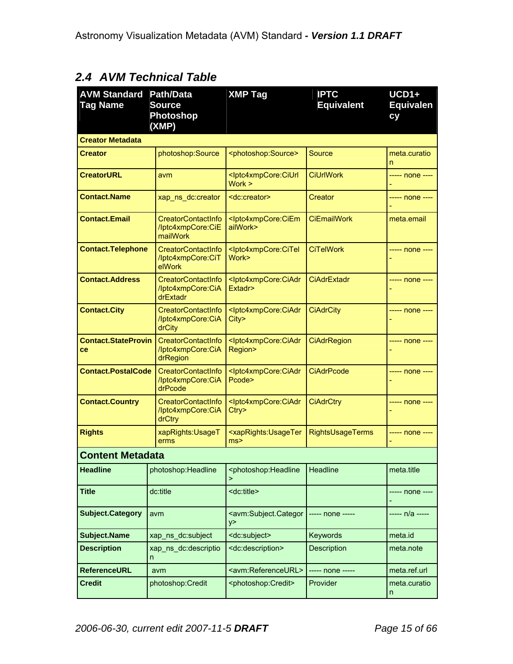# *2.4 AVM Technical Table*

| <b>AVM Standard</b><br><b>Tag Name</b> | <b>Path/Data</b><br><b>Source</b><br><b>Photoshop</b><br>(XMP) | <b>XMP Tag</b>                                                | <b>IPTC</b><br><b>Equivalent</b> | $UCD1+$<br><b>Equivalen</b><br>cy |
|----------------------------------------|----------------------------------------------------------------|---------------------------------------------------------------|----------------------------------|-----------------------------------|
| <b>Creator Metadata</b>                |                                                                |                                                               |                                  |                                   |
| Creator                                | photoshop:Source                                               | <photoshop:source></photoshop:source>                         | Source                           | meta.curatio<br>n                 |
| <b>CreatorURL</b>                      | avm                                                            | <lptc4xmpcore:ciurl<br>Work &gt;</lptc4xmpcore:ciurl<br>      | <b>CiUrlWork</b>                 | ----- none ----                   |
| <b>Contact.Name</b>                    | xap_ns_dc:creator                                              | <dc:creator></dc:creator>                                     | Creator                          | ----- none ----                   |
| <b>Contact.Email</b>                   | <b>CreatorContactInfo</b><br>/lptc4xmpCore:CiE<br>mailWork     | <lptc4xmpcore:ciem<br>ailWork&gt;</lptc4xmpcore:ciem<br>      | <b>CiEmailWork</b>               | meta.email                        |
| <b>Contact.Telephone</b>               | CreatorContactInfo<br>/lptc4xmpCore:CiT<br>elWork              | <lptc4xmpcore:citel<br>Work&gt;</lptc4xmpcore:citel<br>       | <b>CiTelWork</b>                 | ----- none ----                   |
| <b>Contact.Address</b>                 | <b>CreatorContactInfo</b><br>/lptc4xmpCore:CiA<br>drExtadr     | <lptc4xmpcore:ciadr<br>Extadr&gt;</lptc4xmpcore:ciadr<br>     | <b>CiAdrExtadr</b>               | ----- none ----                   |
| <b>Contact.City</b>                    | CreatorContactInfo<br>/lptc4xmpCore:CiA<br>drCity              | <lptc4xmpcore:ciadr<br>City&gt;</lptc4xmpcore:ciadr<br>       | <b>CiAdrCity</b>                 | ----- none ----                   |
| <b>Contact.StateProvin</b><br>ce       | CreatorContactInfo<br>/lptc4xmpCore:CiA<br>drRegion            | <lptc4xmpcore:ciadr<br>Region&gt;</lptc4xmpcore:ciadr<br>     | <b>CiAdrRegion</b>               | ----- none ----                   |
| <b>Contact.PostalCode</b>              | CreatorContactInfo<br>/lptc4xmpCore:CiA<br>drPcode             | <lptc4xmpcore:ciadr<br>Pcode&gt;</lptc4xmpcore:ciadr<br>      | <b>CiAdrPcode</b>                | ----- none ----                   |
| <b>Contact.Country</b>                 | <b>CreatorContactInfo</b><br>/Iptc4xmpCore:CiA<br>drCtry       | <lptc4xmpcore:ciadr<br>Ctry</lptc4xmpcore:ciadr<br>           | <b>CiAdrCtry</b>                 | ----- none ----                   |
| <b>Rights</b>                          | xapRights: UsageT<br>erms                                      | <xaprights:usageter<br>ms<sub>2</sub></xaprights:usageter<br> | RightsUsageTerms                 | ----- none ----                   |
| <b>Content Metadata</b>                |                                                                |                                                               |                                  |                                   |
| <b>Headline</b>                        | photoshop: Headline                                            | <photoshop:headline<br>⋗</photoshop:headline<br>              | Headline                         | meta.title                        |
| <b>Title</b>                           | dc:title                                                       | <dc:title></dc:title>                                         |                                  | ----- none ----                   |
| <b>Subject.Category</b>                | avm                                                            | <avm:subject.categor<br>y&gt;</avm:subject.categor<br>        | ----- none -----                 | ----- n/a -----                   |
| <b>Subject.Name</b>                    | xap_ns_dc:subject                                              | <dc:subject></dc:subject>                                     | Keywords                         | meta.id                           |
| <b>Description</b>                     | xap_ns_dc:descriptio<br>n                                      | <dc:description></dc:description>                             | <b>Description</b>               | meta.note                         |
| <b>ReferenceURL</b>                    | avm                                                            | <avm:referenceurl></avm:referenceurl>                         | ----- none -----                 | meta.ref.url                      |
| <b>Credit</b>                          | photoshop:Credit                                               | <photoshop:credit></photoshop:credit>                         | Provider                         | meta.curatio<br>n                 |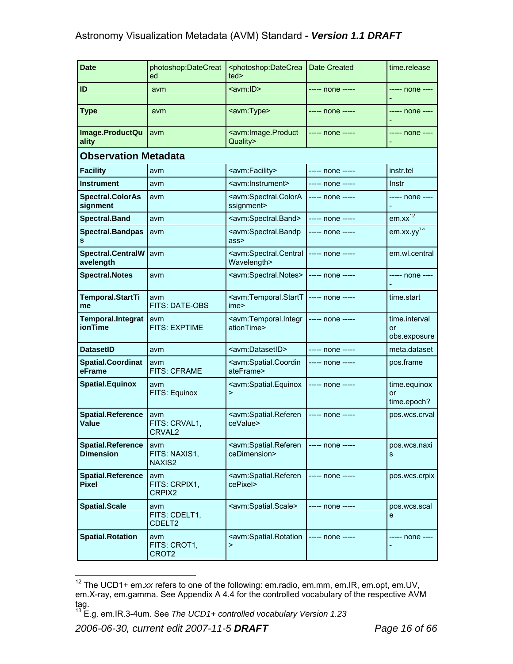| <b>Date</b>                                  | photoshop:DateCreat<br>ed                  | <photoshop:datecrea<br>ted&gt;</photoshop:datecrea<br>                                 | Date Created     | time.release                        |
|----------------------------------------------|--------------------------------------------|----------------------------------------------------------------------------------------|------------------|-------------------------------------|
| ID                                           | avm                                        | <avm:id></avm:id>                                                                      | ----- none ----- | ----- none ----                     |
| <b>Type</b>                                  | avm                                        | <avm:type></avm:type>                                                                  | ----- none ----- | ----- none ----                     |
| Image.ProductQu<br>ality                     | avm                                        | <avm:image.product<br>Quality&gt;</avm:image.product<br>                               | ----- none ----- | ----- none ----                     |
| <b>Observation Metadata</b>                  |                                            |                                                                                        |                  |                                     |
| <b>Facility</b>                              | avm                                        | <avm:facility></avm:facility>                                                          | ----- none ----- | instr.tel                           |
| <b>Instrument</b>                            | avm                                        | <avm:instrument></avm:instrument>                                                      | ----- none ----- | Instr                               |
| <b>Spectral.ColorAs</b><br>signment          | avm                                        | <avm:spectral.colora<br>ssignment&gt;</avm:spectral.colora<br>                         | ----- none ----- | ----- none ----                     |
| <b>Spectral.Band</b>                         | avm                                        | <avm:spectral.band></avm:spectral.band>                                                | ----- none ----- | $em.xx^{12}$                        |
| <b>Spectral.Bandpas</b><br>s                 | avm                                        | <avm:spectral.bandp<br>ass&gt;</avm:spectral.bandp<br>                                 | ----- none ----- | $em$ .xx.yy <sup>13</sup>           |
| <b>Spectral.CentralW</b><br>avelength        | avm                                        | <avm:spectral.central<br>Wavelength&gt;</avm:spectral.central<br>                      | ----- none ----- | em.wl.central                       |
| <b>Spectral.Notes</b>                        | avm                                        | <avm:spectral.notes></avm:spectral.notes>                                              | ----- none ----- | ----- none ----                     |
| Temporal.StartTi<br>me                       | avm<br>FITS: DATE-OBS                      | <avm:temporal.startt<br>ime&gt;</avm:temporal.startt<br>                               | $---$ none $---$ | time.start                          |
| <b>Temporal.Integrat</b><br><b>ionTime</b>   | avm<br><b>FITS: EXPTIME</b>                | <avm:temporal.integr -----<br="" none=""  -----="">ationTime&gt;</avm:temporal.integr> |                  | time.interval<br>or<br>obs.exposure |
| <b>DatasetID</b>                             | avm                                        | <avm:datasetid></avm:datasetid>                                                        | ----- none ----- | meta.dataset                        |
| <b>Spatial.Coordinat</b><br>eFrame           | avm<br><b>FITS: CFRAME</b>                 | <avm:spatial.coordin<br>ateFrame&gt;</avm:spatial.coordin<br>                          | ----- none ----- | pos.frame                           |
| <b>Spatial.Equinox</b>                       | avm<br>FITS: Equinox                       | <avm:spatial.equinox<br><math>\geq</math></avm:spatial.equinox<br>                     | ----- none ----- | time.equinox<br>or<br>time.epoch?   |
| <b>Spatial.Reference</b><br><b>Value</b>     | avm<br>FITS: CRVAL1,<br>CRVAL <sub>2</sub> | <avm:spatial.referen<br>ceValue&gt;</avm:spatial.referen<br>                           | ----- none ----- | pos.wcs.crval                       |
| <b>Spatial.Reference</b><br><b>Dimension</b> | avm<br>FITS: NAXIS1,<br>NAXIS2             | <avm:spatial.referen<br>ceDimension&gt;</avm:spatial.referen<br>                       | ----- none ----- | pos.wcs.naxi<br>s                   |
| <b>Spatial.Reference</b><br><b>Pixel</b>     | avm<br>FITS: CRPIX1,<br>CRPIX2             | <avm:spatial.referen<br>cePixel&gt;</avm:spatial.referen<br>                           | ----- none ----- | pos.wcs.crpix                       |
| <b>Spatial.Scale</b>                         | avm<br>FITS: CDELT1,<br>CDELT <sub>2</sub> | <avm:spatial.scale></avm:spatial.scale>                                                | ----- none ----- | pos.wcs.scal<br>e                   |
| <b>Spatial.Rotation</b>                      | avm<br>FITS: CROT1,<br>CROT <sub>2</sub>   | <avm:spatial.rotation<br><math>\mathbf{1}</math></avm:spatial.rotation<br>             | ----- none ----- | ----- none ----                     |

 $\overline{a}$ <sup>12</sup> The UCD1+ em.xx refers to one of the following: em.radio, em.mm, em.IR, em.opt, em.UV, em.X-ray, em.gamma. See Appendix A 4.4 for the controlled vocabulary of the respective AVM tag.

<sup>13</sup> E.g. em.IR.3-4um. See *The UCD1+ controlled vocabulary Version 1.23*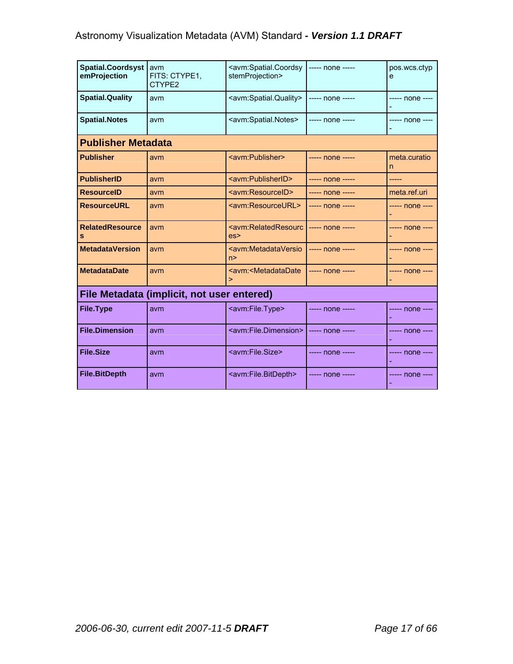| <b>Spatial.Coordsyst</b><br>emProjection | avm<br>FITS: CTYPE1,<br>CTYPE2             | <avm:spatial.coordsy<br>stemProjection&gt;</avm:spatial.coordsy<br> | ----- none ----- | pos.wcs.ctvp<br>e |
|------------------------------------------|--------------------------------------------|---------------------------------------------------------------------|------------------|-------------------|
| <b>Spatial.Quality</b>                   | avm                                        | <avm:spatial.quality></avm:spatial.quality>                         | ----- none ----- | ----- none ----   |
| <b>Spatial.Notes</b>                     | avm                                        | <avm:spatial.notes></avm:spatial.notes>                             | ----- none ----- | ----- none ----   |
| <b>Publisher Metadata</b>                |                                            |                                                                     |                  |                   |
| <b>Publisher</b>                         | avm                                        | <avm:publisher></avm:publisher>                                     | ----- none ----- | meta.curatio<br>n |
| <b>PublisherID</b>                       | avm                                        | <avm:publisherid></avm:publisherid>                                 | ----- none ----- | -----             |
| <b>ResourceID</b>                        | avm                                        | <avm:resourceid></avm:resourceid>                                   | ----- none ----- | meta.ref.uri      |
| <b>ResourceURL</b>                       | avm                                        | <avm:resourceurl></avm:resourceurl>                                 | ----- none ----- | ----- none ----   |
| <b>RelatedResource</b><br>s              | avm                                        | <avm:relatedresourc<br>es</avm:relatedresourc<br>                   | ----- none ----- | ----- none ----   |
| <b>MetadataVersion</b>                   | avm                                        | <avm:metadataversio<br>n &gt;</avm:metadataversio<br>               | ----- none ----- | ----- none ----   |
| <b>MetadataDate</b>                      | avm                                        | <avm:<metadatadate<br>⋗</avm:<metadatadate<br>                      | ----- none ----- | ----- none ----   |
|                                          | File Metadata (implicit, not user entered) |                                                                     |                  |                   |
| <b>File.Type</b>                         | avm                                        | <avm:file.type></avm:file.type>                                     | ----- none ----- | ----- none ----   |
| <b>File.Dimension</b>                    | avm                                        | <avm:file.dimension></avm:file.dimension>                           | ----- none ----- | ----- none ----   |
| <b>File.Size</b>                         | avm                                        | <avm:file.size></avm:file.size>                                     | ----- none ----- | ----- none ----   |
| <b>File.BitDepth</b>                     | avm                                        | <avm:file.bitdepth></avm:file.bitdepth>                             | ----- none ----- | ----- none ----   |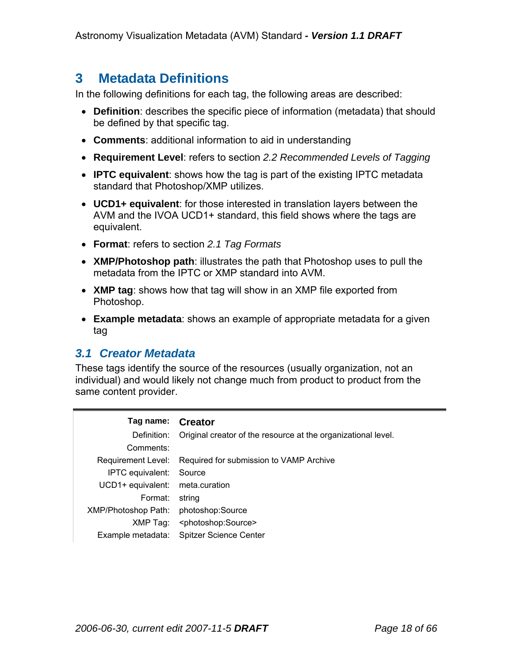# **3 Metadata Definitions**

In the following definitions for each tag, the following areas are described:

- **Definition**: describes the specific piece of information (metadata) that should be defined by that specific tag.
- **Comments**: additional information to aid in understanding
- **Requirement Level**: refers to section *2.2 Recommended Levels of Tagging*
- **IPTC equivalent**: shows how the tag is part of the existing IPTC metadata standard that Photoshop/XMP utilizes.
- **UCD1+ equivalent**: for those interested in translation layers between the AVM and the IVOA UCD1+ standard, this field shows where the tags are equivalent.
- **Format**: refers to section *2.1 Tag Formats*
- **XMP/Photoshop path**: illustrates the path that Photoshop uses to pull the metadata from the IPTC or XMP standard into AVM.
- **XMP tag**: shows how that tag will show in an XMP file exported from Photoshop.
- **Example metadata**: shows an example of appropriate metadata for a given tag

### *3.1 Creator Metadata*

These tags identify the source of the resources (usually organization, not an individual) and would likely not change much from product to product from the same content provider.

| Tag name:                  | <b>Creator</b>                                                |
|----------------------------|---------------------------------------------------------------|
| Definition:                | Original creator of the resource at the organizational level. |
| Comments:                  |                                                               |
| Requirement Level:         | Required for submission to VAMP Archive                       |
| IPTC equivalent:           | Source                                                        |
| UCD1+ equivalent:          | meta.curation                                                 |
| Format:                    | string                                                        |
| <b>XMP/Photoshop Path:</b> | photoshop:Source                                              |
| XMP Tag:                   | <photoshop:source></photoshop:source>                         |
| Example metadata:          | <b>Spitzer Science Center</b>                                 |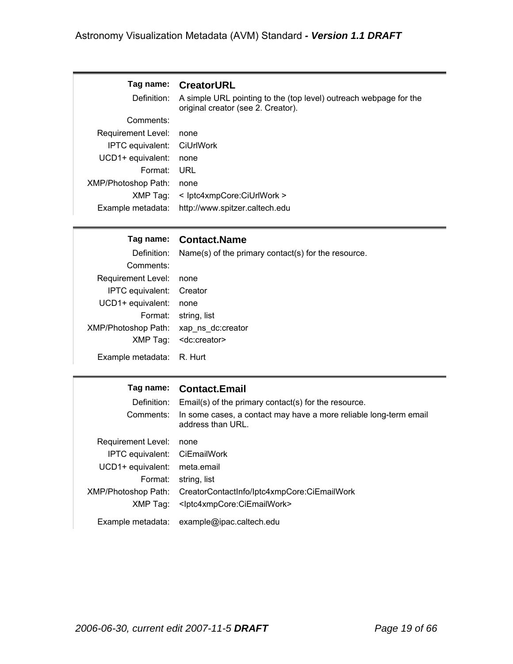### **Tag name: CreatorURL**

Definition: A simple URL pointing to the (top level) outreach webpage for the original creator (see 2. Creator). Comments:

| COMMENTS.                  |                                |
|----------------------------|--------------------------------|
| Requirement Level:         | none                           |
| IPTC equivalent: CiUrlWork |                                |
| UCD1+ equivalent:          | none                           |
| Format:                    | URL                            |
| <b>XMP/Photoshop Path:</b> | none                           |
| XMP Tag:                   | < lptc4xmpCore:CiUrlWork >     |
| Example metadata:          | http://www.spitzer.caltech.edu |

#### **Tag name: Contact.Name**

|                                       | Definition: Name(s) of the primary contact(s) for the resource. |
|---------------------------------------|-----------------------------------------------------------------|
| Comments:                             |                                                                 |
| Requirement Level: none               |                                                                 |
| IPTC equivalent: Creator              |                                                                 |
| UCD1+ equivalent:                     | none                                                            |
|                                       | Format: string, list                                            |
| XMP/Photoshop Path: xap ns dc:creator |                                                                 |
|                                       | XMP Tag: <dc:creator></dc:creator>                              |
| Example metadata: R. Hurt             |                                                                 |

### **Tag name: Contact.Email**

| Definition:<br>Comments:     | Email(s) of the primary contact(s) for the resource.<br>In some cases, a contact may have a more reliable long-term email<br>address than URL. |
|------------------------------|------------------------------------------------------------------------------------------------------------------------------------------------|
| Requirement Level:           | none                                                                                                                                           |
| IPTC equivalent: CiEmailWork |                                                                                                                                                |
| UCD1+ equivalent:            | meta.email                                                                                                                                     |
| Format:                      | string, list                                                                                                                                   |
| XMP/Photoshop Path:          | CreatorContactInfo/Iptc4xmpCore:CiEmailWork                                                                                                    |
| XMP Tag:                     | <lptc4xmpcore:ciemailwork></lptc4xmpcore:ciemailwork>                                                                                          |
|                              | Example metadata: example@ipac.caltech.edu                                                                                                     |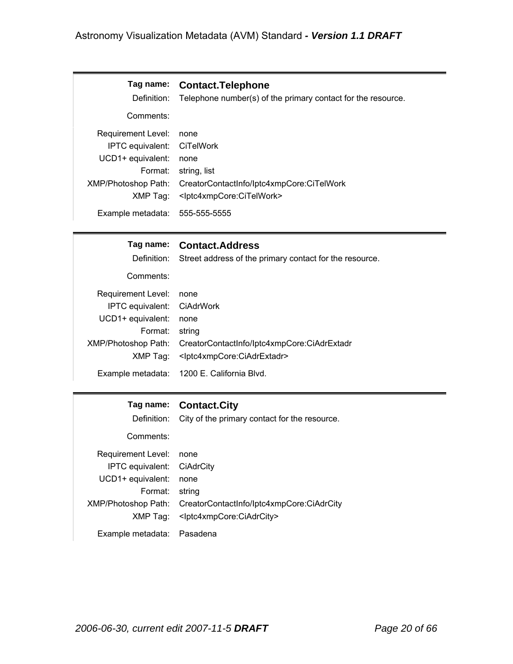| Tag name:<br>Definition:       | <b>Contact. Telephone</b><br>Telephone number(s) of the primary contact for the resource. |
|--------------------------------|-------------------------------------------------------------------------------------------|
| Comments:                      |                                                                                           |
| Requirement Level:             | none                                                                                      |
| IPTC equivalent: CiTelWork     |                                                                                           |
| UCD1+ equivalent:              | none                                                                                      |
| Format:                        | string, list                                                                              |
| XMP/Photoshop Path:            | CreatorContactInfo/Iptc4xmpCore:CiTelWork                                                 |
| XMP Tag:                       | <lptc4xmpcore:citelwork></lptc4xmpcore:citelwork>                                         |
| Example metadata: 555-555-5555 |                                                                                           |

### **Tag name: Contact.Address**

Definition: Street address of the primary contact for the resource.

Comments:

| Requirement Level: none    |                                                                 |
|----------------------------|-----------------------------------------------------------------|
| IPTC equivalent: CiAdrWork |                                                                 |
| UCD1+ equivalent: none     |                                                                 |
| Format: string             |                                                                 |
|                            | XMP/Photoshop Path: CreatorContactInfo/Iptc4xmpCore:CiAdrExtadr |
|                            | XMP Tag: <lptc4xmpcore:ciadrextadr></lptc4xmpcore:ciadrextadr>  |
|                            | Example metadata: 1200 E. California Blvd.                      |

#### **Tag name: Contact.City**

Definition: City of the primary contact for the resource.

Comments:

| Requirement Level: none    |                                                               |
|----------------------------|---------------------------------------------------------------|
| IPTC equivalent: CiAdrCity |                                                               |
| UCD1+ equivalent: none     |                                                               |
| Format: string             |                                                               |
|                            | XMP/Photoshop Path: CreatorContactInfo/Iptc4xmpCore:CiAdrCity |
|                            | XMP Tag: <lptc4xmpcore:ciadrcity></lptc4xmpcore:ciadrcity>    |
| Example metadata: Pasadena |                                                               |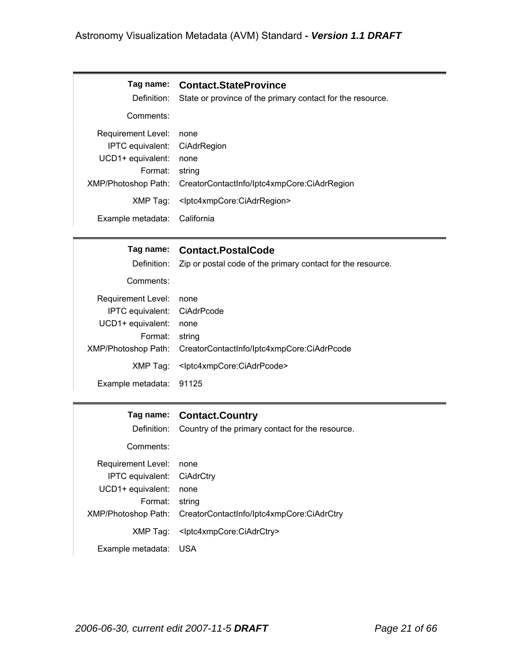| Definition:                  | Tag name: Contact.StateProvince<br>State or province of the primary contact for the resource. |
|------------------------------|-----------------------------------------------------------------------------------------------|
| Comments:                    |                                                                                               |
| Requirement Level:           | none                                                                                          |
| IPTC equivalent: CiAdrRegion |                                                                                               |
| UCD1+ equivalent:            | none                                                                                          |
| Format:                      | string                                                                                        |
| XMP/Photoshop Path:          | CreatorContactInfo/lptc4xmpCore:CiAdrRegion                                                   |
| XMP Tag:                     | <lptc4xmpcore:ciadrregion></lptc4xmpcore:ciadrregion>                                         |
| Example metadata:            | California                                                                                    |

### **Tag name: Contact.PostalCode**

Definition: Zip or postal code of the primary contact for the resource.

Comments:

| Requirement Level: none     |                                                                |
|-----------------------------|----------------------------------------------------------------|
| IPTC equivalent: CiAdrPcode |                                                                |
| UCD1+ equivalent: none      |                                                                |
| Format: string              |                                                                |
|                             | XMP/Photoshop Path: CreatorContactInfo/Iptc4xmpCore:CiAdrPcode |
|                             | XMP Tag: <lptc4xmpcore:ciadrpcode></lptc4xmpcore:ciadrpcode>   |
| Example metadata: 91125     |                                                                |

#### **Tag name: Contact.Country**

Definition: Country of the primary contact for the resource.

Comments:

| Requirement Level: none    |                                                               |
|----------------------------|---------------------------------------------------------------|
| IPTC equivalent: CiAdrCtry |                                                               |
| UCD1+ equivalent: none     |                                                               |
| Format: string             |                                                               |
|                            | XMP/Photoshop Path: CreatorContactInfo/Iptc4xmpCore:CiAdrCtry |
|                            | XMP Tag: <lptc4xmpcore:ciadrctry></lptc4xmpcore:ciadrctry>    |
| Example metadata: USA      |                                                               |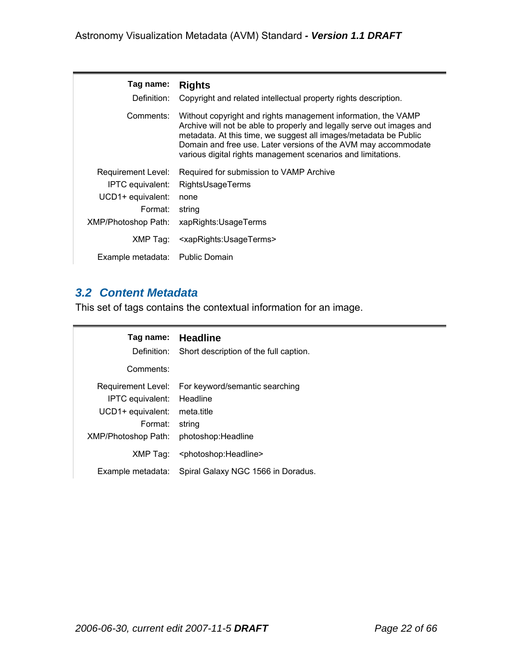| Tag name:<br>Definition:        | <b>Rights</b><br>Copyright and related intellectual property rights description.                                                                                                                                                                                                                                                             |
|---------------------------------|----------------------------------------------------------------------------------------------------------------------------------------------------------------------------------------------------------------------------------------------------------------------------------------------------------------------------------------------|
| Comments:                       | Without copyright and rights management information, the VAMP<br>Archive will not be able to properly and legally serve out images and<br>metadata. At this time, we suggest all images/metadata be Public<br>Domain and free use. Later versions of the AVM may accommodate<br>various digital rights management scenarios and limitations. |
| Requirement Level:              | Required for submission to VAMP Archive                                                                                                                                                                                                                                                                                                      |
| IPTC equivalent:                | RightsUsageTerms                                                                                                                                                                                                                                                                                                                             |
| UCD1+ equivalent:               | none                                                                                                                                                                                                                                                                                                                                         |
| Format:                         | string                                                                                                                                                                                                                                                                                                                                       |
| XMP/Photoshop Path:             | xapRights: Usage Terms                                                                                                                                                                                                                                                                                                                       |
| XMP Tag:                        | <xaprights:usageterms></xaprights:usageterms>                                                                                                                                                                                                                                                                                                |
| Example metadata: Public Domain |                                                                                                                                                                                                                                                                                                                                              |

# *3.2 Content Metadata*

This set of tags contains the contextual information for an image.

| Definition:                | Tag name: Headline                        |
|----------------------------|-------------------------------------------|
| Comments:                  | Short description of the full caption.    |
| Requirement Level:         | For keyword/semantic searching            |
| IPTC equivalent:           | Headline                                  |
| UCD1+ equivalent:          | meta title                                |
| Format:                    | string                                    |
| <b>XMP/Photoshop Path:</b> | photoshop: Headline                       |
| XMP Taq:                   | <photoshop:headline></photoshop:headline> |
| Example metadata:          | Spiral Galaxy NGC 1566 in Doradus.        |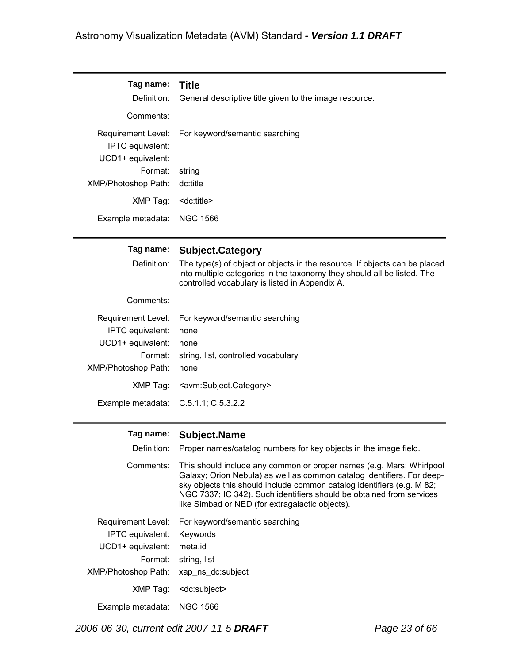| Tag name:<br>Comments:                 | Title<br>Definition: General descriptive title given to the image resource. |
|----------------------------------------|-----------------------------------------------------------------------------|
| IPTC equivalent:<br>UCD1+ equivalent:  | Requirement Level: For keyword/semantic searching                           |
| Format: string<br>XMP/Photoshop Path:  | dc:title                                                                    |
| XMP Tag:<br>Example metadata: NGC 1566 | <dc:title></dc:title>                                                       |

# **Tag name: Subject.Category**

Definition: The type(s) of object or objects in the resource. If objects can be placed into multiple categories in the taxonomy they should all be listed. The controlled vocabulary is listed in Appendix A.

Comments:

|                                      | Requirement Level: For keyword/semantic searching      |
|--------------------------------------|--------------------------------------------------------|
| <b>IPTC</b> equivalent:              | none                                                   |
| UCD1+ equivalent:                    | none                                                   |
| Format:                              | string, list, controlled vocabulary                    |
| <b>XMP/Photoshop Path:</b>           | none                                                   |
|                                      | XMP Tag: <avm:subject.category></avm:subject.category> |
| Example metadata: C.5.1.1; C.5.3.2.2 |                                                        |

#### **Tag name: Subject.Name**

| Definition:         | Proper names/catalog numbers for key objects in the image field.                                                                                                                                                                                                                                                                                    |
|---------------------|-----------------------------------------------------------------------------------------------------------------------------------------------------------------------------------------------------------------------------------------------------------------------------------------------------------------------------------------------------|
| Comments:           | This should include any common or proper names (e.g. Mars; Whirlpool<br>Galaxy; Orion Nebula) as well as common catalog identifiers. For deep-<br>sky objects this should include common catalog identifiers (e.g. M 82;<br>NGC 7337; IC 342). Such identifiers should be obtained from services<br>like Simbad or NED (for extragalactic objects). |
| Requirement Level:  | For keyword/semantic searching                                                                                                                                                                                                                                                                                                                      |
| IPTC equivalent:    | Keywords                                                                                                                                                                                                                                                                                                                                            |
| UCD1+ equivalent:   | meta.id                                                                                                                                                                                                                                                                                                                                             |
| Format:             | string, list                                                                                                                                                                                                                                                                                                                                        |
| XMP/Photoshop Path: | xap ns dc:subject                                                                                                                                                                                                                                                                                                                                   |
| XMP Tag:            | <dc:subject></dc:subject>                                                                                                                                                                                                                                                                                                                           |
| Example metadata:   | NGC 1566                                                                                                                                                                                                                                                                                                                                            |

*2006-06-30, current edit 2007-11-5 DRAFT Page 23 of 66*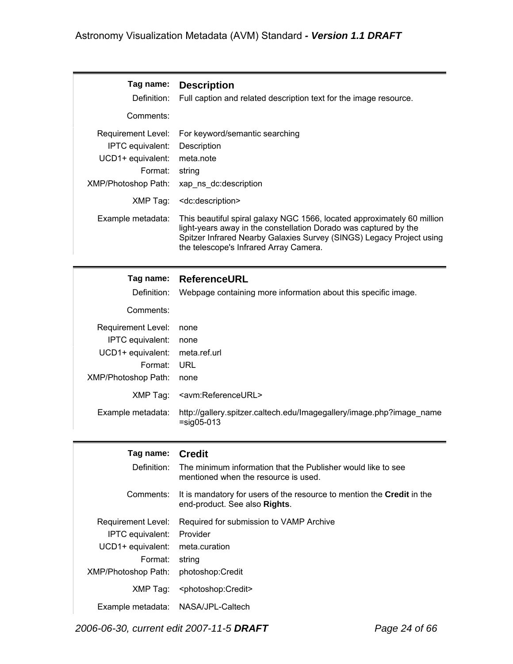| Tag name:<br>Definition:   | <b>Description</b><br>Full caption and related description text for the image resource.                                                                                                                                                                       |
|----------------------------|---------------------------------------------------------------------------------------------------------------------------------------------------------------------------------------------------------------------------------------------------------------|
| Comments:                  |                                                                                                                                                                                                                                                               |
| Requirement Level:         | For keyword/semantic searching                                                                                                                                                                                                                                |
| IPTC equivalent:           | Description                                                                                                                                                                                                                                                   |
| UCD1+ equivalent:          | meta.note                                                                                                                                                                                                                                                     |
| Format:                    | string                                                                                                                                                                                                                                                        |
| <b>XMP/Photoshop Path:</b> | xap ns dc:description                                                                                                                                                                                                                                         |
| XMP Tag:                   | <dc:description></dc:description>                                                                                                                                                                                                                             |
| Example metadata:          | This beautiful spiral galaxy NGC 1566, located approximately 60 million<br>light-years away in the constellation Dorado was captured by the<br>Spitzer Infrared Nearby Galaxies Survey (SINGS) Legacy Project using<br>the telescope's Infrared Array Camera. |

| Tag name:<br>Definition:<br>Comments: | <b>ReferenceURL</b><br>Webpage containing more information about this specific image. |
|---------------------------------------|---------------------------------------------------------------------------------------|
| Requirement Level:                    | none                                                                                  |
| IPTC equivalent:                      | none                                                                                  |
| UCD1+ equivalent:                     | meta.ref.url                                                                          |
| Format:                               | URL                                                                                   |
| XMP/Photoshop Path:                   | none                                                                                  |
| XMP Tag:                              | <avm:referenceurl></avm:referenceurl>                                                 |
| Example metadata:                     | http://gallery.spitzer.caltech.edu/Imagegallery/image.php?image_name<br>$=$ sig05-013 |

| Tag name:<br>Definition:           | <b>Credit</b><br>The minimum information that the Publisher would like to see<br>mentioned when the resource is used. |
|------------------------------------|-----------------------------------------------------------------------------------------------------------------------|
| Comments:                          | It is mandatory for users of the resource to mention the <b>Credit</b> in the<br>end-product. See also Rights.        |
| Requirement Level:                 | Required for submission to VAMP Archive                                                                               |
| IPTC equivalent:                   | Provider                                                                                                              |
| UCD1+ equivalent:                  | meta.curation                                                                                                         |
| Format:                            | string                                                                                                                |
| <b>XMP/Photoshop Path:</b>         | photoshop:Credit                                                                                                      |
| XMP Tag:                           | <photoshop:credit></photoshop:credit>                                                                                 |
| Example metadata: NASA/JPL-Caltech |                                                                                                                       |

*2006-06-30, current edit 2007-11-5 DRAFT Page 24 of 66*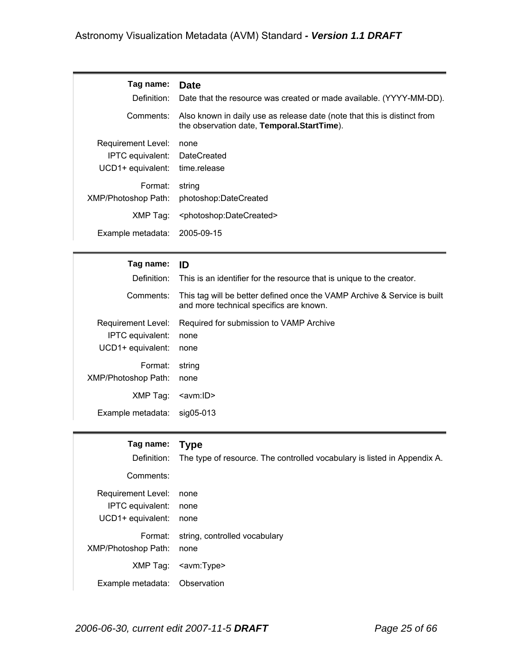| Tag name:<br>Definition:                                                | <b>Date</b><br>Date that the resource was created or made available. (YYYY-MM-DD).                                     |
|-------------------------------------------------------------------------|------------------------------------------------------------------------------------------------------------------------|
| Comments:                                                               | Also known in daily use as release date (note that this is distinct from<br>the observation date, Temporal.StartTime). |
| Requirement Level:<br>IPTC equivalent: DateCreated<br>UCD1+ equivalent: | none<br>time.release                                                                                                   |
| Format:<br>XMP/Photoshop Path:                                          | string<br>photoshop:DateCreated                                                                                        |
| XMP Tag:                                                                | <photoshop:datecreated></photoshop:datecreated>                                                                        |
| Example metadata:                                                       | 2005-09-15                                                                                                             |

| Taq name:                                                   | ID                                                                                                                  |
|-------------------------------------------------------------|---------------------------------------------------------------------------------------------------------------------|
| Definition:                                                 | This is an identifier for the resource that is unique to the creator.                                               |
| Comments:                                                   | This tag will be better defined once the VAMP Archive & Service is built<br>and more technical specifics are known. |
| Requirement Level:<br>IPTC equivalent:<br>UCD1+ equivalent: | Required for submission to VAMP Archive<br>none<br>none                                                             |
| Format:<br>XMP/Photoshop Path:                              | string<br>none                                                                                                      |
| XMP Tag:                                                    | <avm:id></avm:id>                                                                                                   |
| Example metadata:                                           | sig05-013                                                                                                           |

| Tag name:                  | <b>Type</b>                                                              |
|----------------------------|--------------------------------------------------------------------------|
| Definition:                | The type of resource. The controlled vocabulary is listed in Appendix A. |
| Comments:                  |                                                                          |
| Requirement Level:         | none                                                                     |
| IPTC equivalent:           | none                                                                     |
| UCD1+ equivalent:          | none                                                                     |
| Format:                    | string, controlled vocabulary                                            |
| <b>XMP/Photoshop Path:</b> | none                                                                     |
| XMP Tag:                   | <avm:type></avm:type>                                                    |
| Example metadata:          | Observation                                                              |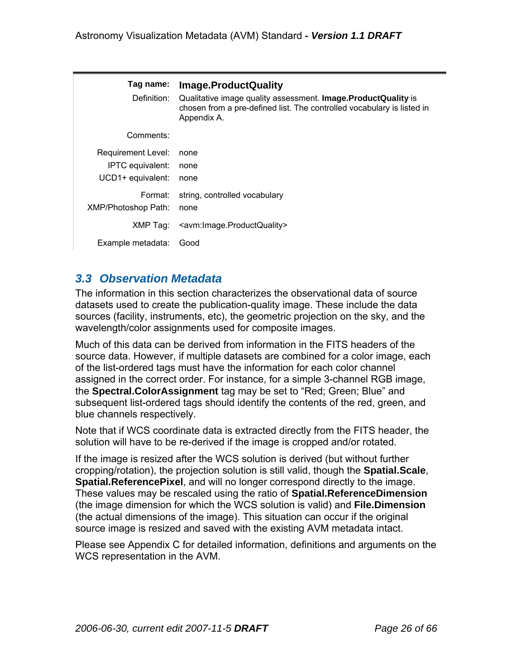| Tag name:<br>Definition:                                                  | Image.ProductQuality<br>Qualitative image quality assessment. Image. Product Quality is<br>chosen from a pre-defined list. The controlled vocabulary is listed in<br>Appendix A. |
|---------------------------------------------------------------------------|----------------------------------------------------------------------------------------------------------------------------------------------------------------------------------|
| Comments:                                                                 |                                                                                                                                                                                  |
| <b>Requirement Level:</b><br><b>IPTC</b> equivalent:<br>UCD1+ equivalent: | none<br>none<br>none                                                                                                                                                             |
| Format:<br>XMP/Photoshop Path:                                            | string, controlled vocabulary<br>none                                                                                                                                            |
| XMP Tag:                                                                  | <avm:image.productquality></avm:image.productquality>                                                                                                                            |
| Example metadata:                                                         | Good                                                                                                                                                                             |

## *3.3 Observation Metadata*

The information in this section characterizes the observational data of source datasets used to create the publication-quality image. These include the data sources (facility, instruments, etc), the geometric projection on the sky, and the wavelength/color assignments used for composite images.

Much of this data can be derived from information in the FITS headers of the source data. However, if multiple datasets are combined for a color image, each of the list-ordered tags must have the information for each color channel assigned in the correct order. For instance, for a simple 3-channel RGB image, the **Spectral.ColorAssignment** tag may be set to "Red; Green; Blue" and subsequent list-ordered tags should identify the contents of the red, green, and blue channels respectively.

Note that if WCS coordinate data is extracted directly from the FITS header, the solution will have to be re-derived if the image is cropped and/or rotated.

If the image is resized after the WCS solution is derived (but without further cropping/rotation), the projection solution is still valid, though the **Spatial.Scale**, **Spatial.ReferencePixel**, and will no longer correspond directly to the image. These values may be rescaled using the ratio of **Spatial.ReferenceDimension** (the image dimension for which the WCS solution is valid) and **File.Dimension** (the actual dimensions of the image). This situation can occur if the original source image is resized and saved with the existing AVM metadata intact.

Please see Appendix C for detailed information, definitions and arguments on the WCS representation in the AVM.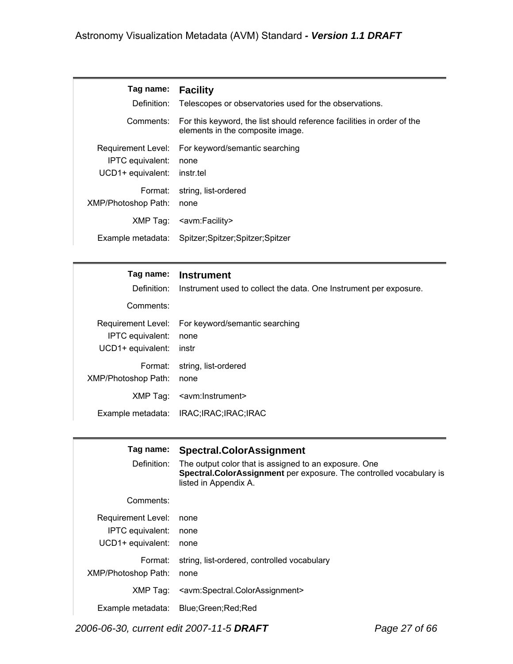| Tag name:           | <b>Facility</b>                                                                                            |
|---------------------|------------------------------------------------------------------------------------------------------------|
| Definition:         | Telescopes or observatories used for the observations.                                                     |
| Comments:           | For this keyword, the list should reference facilities in order of the<br>elements in the composite image. |
| Requirement Level:  | For keyword/semantic searching                                                                             |
| IPTC equivalent:    | none                                                                                                       |
| UCD1+ equivalent:   | instr.tel                                                                                                  |
| Format:             | string, list-ordered                                                                                       |
| XMP/Photoshop Path: | none                                                                                                       |
| XMP Taq:            | <avm:facility></avm:facility>                                                                              |
| Example metadata:   | Spitzer;Spitzer;Spitzer;Spitzer                                                                            |

| Tag name:<br>Comments:                | <b>Instrument</b><br>Definition: Instrument used to collect the data. One Instrument per exposure. |
|---------------------------------------|----------------------------------------------------------------------------------------------------|
| IPTC equivalent:<br>UCD1+ equivalent: | Requirement Level: For keyword/semantic searching<br>none<br>instr                                 |
| Format:<br><b>XMP/Photoshop Path:</b> | string, list-ordered<br>none                                                                       |
| XMP Tag:                              | <avm:instrument></avm:instrument>                                                                  |
|                                       | Example metadata: IRAC;IRAC;IRAC;IRAC                                                              |

| Tag name:<br>Definition:                                           | <b>Spectral.ColorAssignment</b><br>The output color that is assigned to an exposure. One<br>Spectral. Color Assignment per exposure. The controlled vocabulary is<br>listed in Appendix A. |
|--------------------------------------------------------------------|--------------------------------------------------------------------------------------------------------------------------------------------------------------------------------------------|
| Comments:                                                          |                                                                                                                                                                                            |
| <b>Requirement Level:</b><br>IPTC equivalent:<br>UCD1+ equivalent: | none<br>none<br>none                                                                                                                                                                       |
| Format:<br>XMP/Photoshop Path:                                     | string, list-ordered, controlled vocabulary<br>none                                                                                                                                        |
| XMP Tag:                                                           | <avm:spectral.colorassignment></avm:spectral.colorassignment>                                                                                                                              |
|                                                                    | Example metadata: Blue; Green; Red; Red                                                                                                                                                    |

*2006-06-30, current edit 2007-11-5 DRAFT Page 27 of 66*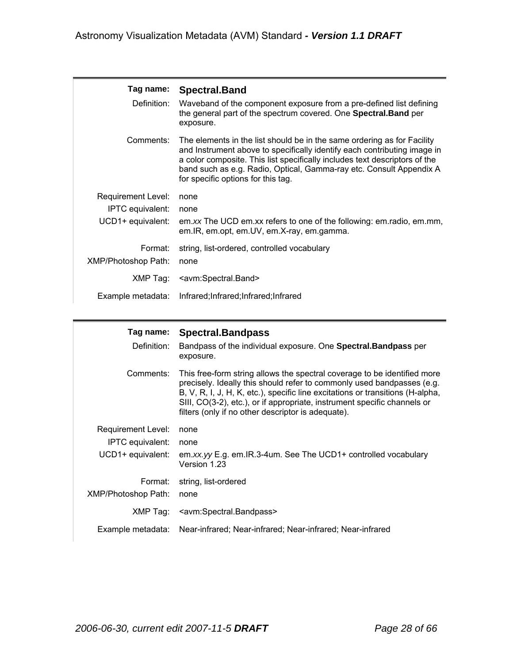| Tag name:<br>Definition:                                    | <b>Spectral.Band</b><br>Waveband of the component exposure from a pre-defined list defining<br>the general part of the spectrum covered. One Spectral. Band per<br>exposure.                                                                                                                                                                   |
|-------------------------------------------------------------|------------------------------------------------------------------------------------------------------------------------------------------------------------------------------------------------------------------------------------------------------------------------------------------------------------------------------------------------|
| Comments:                                                   | The elements in the list should be in the same ordering as for Facility<br>and Instrument above to specifically identify each contributing image in<br>a color composite. This list specifically includes text descriptors of the<br>band such as e.g. Radio, Optical, Gamma-ray etc. Consult Appendix A<br>for specific options for this tag. |
| Requirement Level:<br>IPTC equivalent:<br>UCD1+ equivalent: | none<br>none<br>em.xx The UCD em.xx refers to one of the following: em.radio, em.mm,<br>em.IR, em.opt, em.UV, em.X-ray, em.gamma.                                                                                                                                                                                                              |
| Format:<br><b>XMP/Photoshop Path:</b>                       | string, list-ordered, controlled vocabulary<br>none                                                                                                                                                                                                                                                                                            |
| XMP Tag:                                                    | <avm:spectral.band></avm:spectral.band>                                                                                                                                                                                                                                                                                                        |
| Example metadata:                                           | Infrared; Infrared; Infrared; Infrared                                                                                                                                                                                                                                                                                                         |

| Tag name:<br>Definition:                                    | Spectral.Bandpass<br>Bandpass of the individual exposure. One Spectral. Bandpass per<br>exposure.                                                                                                                                                                                                                                                                      |
|-------------------------------------------------------------|------------------------------------------------------------------------------------------------------------------------------------------------------------------------------------------------------------------------------------------------------------------------------------------------------------------------------------------------------------------------|
| Comments:                                                   | This free-form string allows the spectral coverage to be identified more<br>precisely. Ideally this should refer to commonly used bandpasses (e.g.<br>B, V, R, I, J, H, K, etc.), specific line excitations or transitions (H-alpha,<br>SIII, CO(3-2), etc.), or if appropriate, instrument specific channels or<br>filters (only if no other descriptor is adequate). |
| Requirement Level:<br>IPTC equivalent:<br>UCD1+ equivalent: | none<br>none<br>em.xx.yy E.g. em.IR.3-4um. See The UCD1+ controlled vocabulary<br>Version 1.23                                                                                                                                                                                                                                                                         |
| Format:<br><b>XMP/Photoshop Path:</b>                       | string, list-ordered<br>none                                                                                                                                                                                                                                                                                                                                           |
| XMP Tag:                                                    | <avm:spectral.bandpass></avm:spectral.bandpass>                                                                                                                                                                                                                                                                                                                        |
| Example metadata:                                           | Near-infrared: Near-infrared: Near-infrared: Near-infrared                                                                                                                                                                                                                                                                                                             |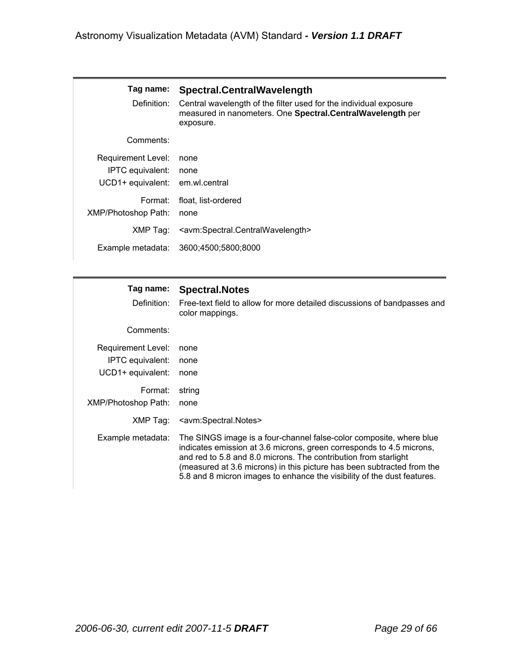| Tag name:<br>Definition:                                                         | Spectral.CentralWavelength<br>Central wavelength of the filter used for the individual exposure<br>measured in nanometers. One Spectral.CentralWavelength per<br>exposure. |
|----------------------------------------------------------------------------------|----------------------------------------------------------------------------------------------------------------------------------------------------------------------------|
| Comments:                                                                        |                                                                                                                                                                            |
| <b>Requirement Level:</b><br>IPTC equivalent:<br>UCD1+ equivalent: em.wl.central | none<br>none                                                                                                                                                               |
| Format:<br><b>XMP/Photoshop Path:</b>                                            | float, list-ordered<br>none                                                                                                                                                |
| XMP Tag:                                                                         | <avm:spectral.centralwavelength></avm:spectral.centralwavelength>                                                                                                          |
| Example metadata:                                                                | 3600:4500:5800:8000                                                                                                                                                        |

| Tag name:<br>Definition:                                    | <b>Spectral.Notes</b><br>Free-text field to allow for more detailed discussions of bandpasses and<br>color mappings.                                                                                                                                                                                                                                                |
|-------------------------------------------------------------|---------------------------------------------------------------------------------------------------------------------------------------------------------------------------------------------------------------------------------------------------------------------------------------------------------------------------------------------------------------------|
| Comments:                                                   |                                                                                                                                                                                                                                                                                                                                                                     |
| Requirement Level:<br>IPTC equivalent:<br>UCD1+ equivalent: | none<br>none<br>none                                                                                                                                                                                                                                                                                                                                                |
| Format:<br>XMP/Photoshop Path:                              | string<br>none                                                                                                                                                                                                                                                                                                                                                      |
| XMP Tag:                                                    | <avm:spectral.notes></avm:spectral.notes>                                                                                                                                                                                                                                                                                                                           |
| Example metadata:                                           | The SINGS image is a four-channel false-color composite, where blue<br>indicates emission at 3.6 microns, green corresponds to 4.5 microns,<br>and red to 5.8 and 8.0 microns. The contribution from starlight<br>(measured at 3.6 microns) in this picture has been subtracted from the<br>5.8 and 8 micron images to enhance the visibility of the dust features. |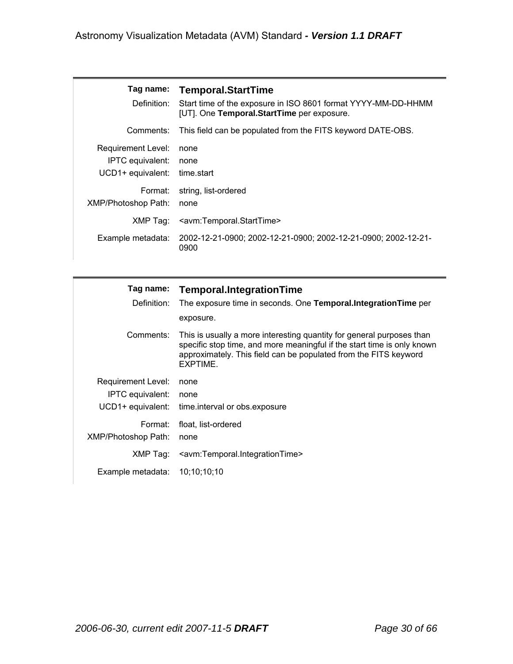| Definition:                                                        | Tag name: Temporal.StartTime<br>Start time of the exposure in ISO 8601 format YYYY-MM-DD-HHMM<br>[UT]. One Temporal.StartTime per exposure. |
|--------------------------------------------------------------------|---------------------------------------------------------------------------------------------------------------------------------------------|
| Comments:                                                          | This field can be populated from the FITS keyword DATE-OBS.                                                                                 |
| <b>Requirement Level:</b><br>IPTC equivalent:<br>UCD1+ equivalent: | none<br>none<br>time.start                                                                                                                  |
| Format:<br><b>XMP/Photoshop Path:</b>                              | string, list-ordered<br>none                                                                                                                |
| XMP Tag:                                                           | <avm:temporal.starttime></avm:temporal.starttime>                                                                                           |
| Example metadata:                                                  | 2002-12-21-0900; 2002-12-21-0900; 2002-12-21-0900; 2002-12-21-<br>0900                                                                      |

| Definition:                                                 | Tag name: Temporal.IntegrationTime<br>The exposure time in seconds. One <b>Temporal.Integration Time</b> per<br>exposure.                                                                                                        |
|-------------------------------------------------------------|----------------------------------------------------------------------------------------------------------------------------------------------------------------------------------------------------------------------------------|
| Comments:                                                   | This is usually a more interesting quantity for general purposes than<br>specific stop time, and more meaningful if the start time is only known<br>approximately. This field can be populated from the FITS keyword<br>EXPTIME. |
| Requirement Level:<br>IPTC equivalent:<br>UCD1+ equivalent: | none<br>none<br>time.interval or obs.exposure                                                                                                                                                                                    |
| Format:<br>XMP/Photoshop Path:                              | float, list-ordered<br>none                                                                                                                                                                                                      |
| XMP Tag:                                                    | <avm:temporal.integrationtime></avm:temporal.integrationtime>                                                                                                                                                                    |
| Example metadata: $10:10:10:10$                             |                                                                                                                                                                                                                                  |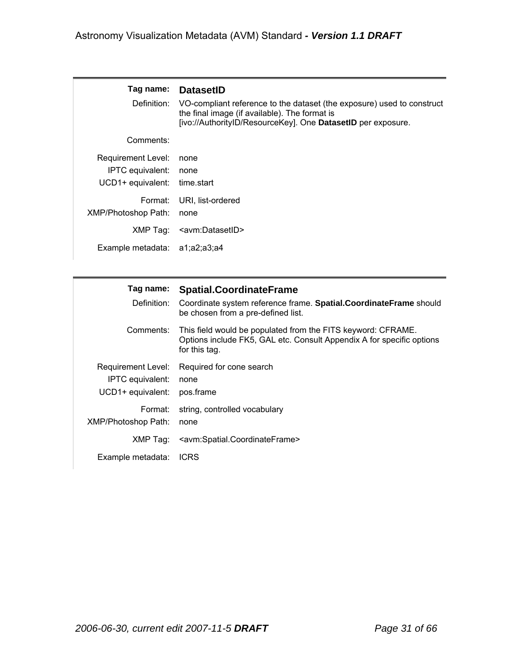| Tag name:<br>Definition:                                                      | <b>DatasetID</b><br>VO-compliant reference to the dataset (the exposure) used to construct<br>the final image (if available). The format is<br>[ivo://AuthorityID/ResourceKey]. One DatasetID per exposure. |
|-------------------------------------------------------------------------------|-------------------------------------------------------------------------------------------------------------------------------------------------------------------------------------------------------------|
| Comments:                                                                     |                                                                                                                                                                                                             |
| <b>Requirement Level:</b><br>IPTC equivalent:<br>UCD1+ equivalent: time.start | none<br>none                                                                                                                                                                                                |
| Format:<br><b>XMP/Photoshop Path:</b>                                         | URI, list-ordered<br>none                                                                                                                                                                                   |
| XMP Taq:                                                                      | <avm:datasetid></avm:datasetid>                                                                                                                                                                             |
| Example metadata: a1;a2;a3;a4                                                 |                                                                                                                                                                                                             |

| Tag name:<br>Definition:                                           | <b>Spatial.CoordinateFrame</b><br>Coordinate system reference frame. Spatial.CoordinateFrame should<br>be chosen from a pre-defined list.              |
|--------------------------------------------------------------------|--------------------------------------------------------------------------------------------------------------------------------------------------------|
| Comments:                                                          | This field would be populated from the FITS keyword: CFRAME.<br>Options include FK5, GAL etc. Consult Appendix A for specific options<br>for this tag. |
| Requirement Level:<br><b>IPTC</b> equivalent:<br>UCD1+ equivalent: | Required for cone search<br>none<br>pos.frame                                                                                                          |
| Format:<br>XMP/Photoshop Path:                                     | string, controlled vocabulary<br>none                                                                                                                  |
| XMP Tag:                                                           | <avm:spatial.coordinateframe></avm:spatial.coordinateframe>                                                                                            |
| Example metadata:                                                  | <b>ICRS</b>                                                                                                                                            |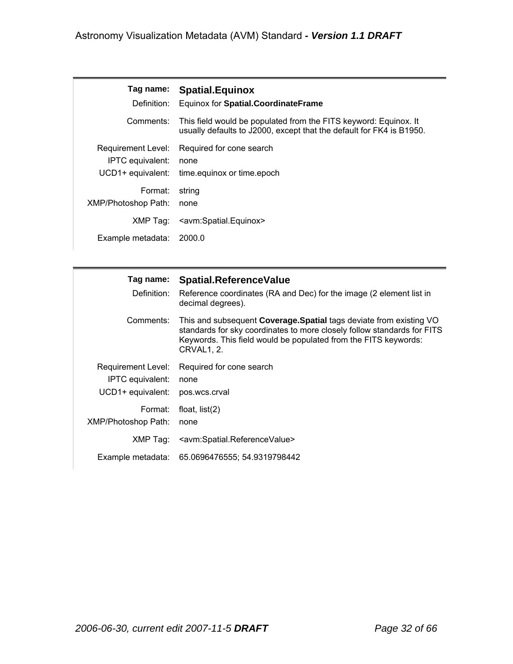| Tag name: Spatial. Equinox |
|----------------------------|
|                            |

| Definition:                | Equinox for Spatial.CoordinateFrame                                                                                                      |
|----------------------------|------------------------------------------------------------------------------------------------------------------------------------------|
| Comments:                  | This field would be populated from the FITS keyword: Equinox. It<br>usually defaults to J2000, except that the default for FK4 is B1950. |
| Requirement Level:         | Required for cone search                                                                                                                 |
| IPTC equivalent:           | none                                                                                                                                     |
| UCD1+ equivalent:          | time.equinox or time.epoch                                                                                                               |
| Format:                    | string                                                                                                                                   |
| <b>XMP/Photoshop Path:</b> | none                                                                                                                                     |
| XMP Tag:                   | <avm:spatial.equinox></avm:spatial.equinox>                                                                                              |
| Example metadata:          | 2000.0                                                                                                                                   |

| Definition:                                                 | Tag name: Spatial.ReferenceValue<br>Reference coordinates (RA and Dec) for the image (2 element list in<br>decimal degrees).                                                                                                         |
|-------------------------------------------------------------|--------------------------------------------------------------------------------------------------------------------------------------------------------------------------------------------------------------------------------------|
| Comments:                                                   | This and subsequent <b>Coverage.Spatial</b> tags deviate from existing VO<br>standards for sky coordinates to more closely follow standards for FITS<br>Keywords. This field would be populated from the FITS keywords:<br>CRVAL1.2. |
| Requirement Level:<br>IPTC equivalent:<br>UCD1+ equivalent: | Required for cone search<br>none<br>pos.wcs.crval                                                                                                                                                                                    |
| Format:<br><b>XMP/Photoshop Path:</b>                       | float, $list(2)$<br>none                                                                                                                                                                                                             |
| XMP Tag:                                                    | <avm:spatial.referencevalue></avm:spatial.referencevalue>                                                                                                                                                                            |
|                                                             | Example metadata: 65.0696476555; 54.9319798442                                                                                                                                                                                       |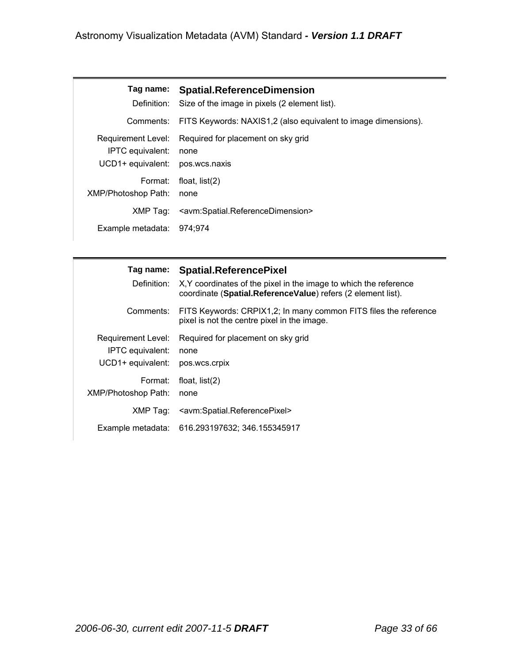| Tag name:                  | <b>Spatial.ReferenceDimension</b>                                 |
|----------------------------|-------------------------------------------------------------------|
| Definition:                | Size of the image in pixels (2 element list).                     |
| Comments:                  | FITS Keywords: NAXIS1,2 (also equivalent to image dimensions).    |
| Requirement Level:         | Required for placement on sky grid                                |
| IPTC equivalent:           | none                                                              |
| UCD1+ equivalent:          | pos.wcs.naxis                                                     |
| Format:                    | float, $list(2)$                                                  |
| <b>XMP/Photoshop Path:</b> | none                                                              |
| XMP Tag:                   | <avm:spatial.referencedimension></avm:spatial.referencedimension> |
| Example metadata:          | 974:974                                                           |

| Tag name:<br>Definition:                                           | <b>Spatial.ReferencePixel</b><br>X, Y coordinates of the pixel in the image to which the reference<br>coordinate (Spatial.ReferenceValue) refers (2 element list). |
|--------------------------------------------------------------------|--------------------------------------------------------------------------------------------------------------------------------------------------------------------|
| Comments:                                                          | FITS Keywords: CRPIX1,2; In many common FITS files the reference<br>pixel is not the centre pixel in the image.                                                    |
| <b>Requirement Level:</b><br>IPTC equivalent:<br>UCD1+ equivalent: | Required for placement on sky grid<br>none<br>pos.wcs.crpix                                                                                                        |
| Format:<br>XMP/Photoshop Path:                                     | float, $list(2)$<br>none                                                                                                                                           |
| XMP Tag:                                                           | <avm:spatial.referencepixel></avm:spatial.referencepixel>                                                                                                          |
| Example metadata:                                                  | 616.293197632; 346.155345917                                                                                                                                       |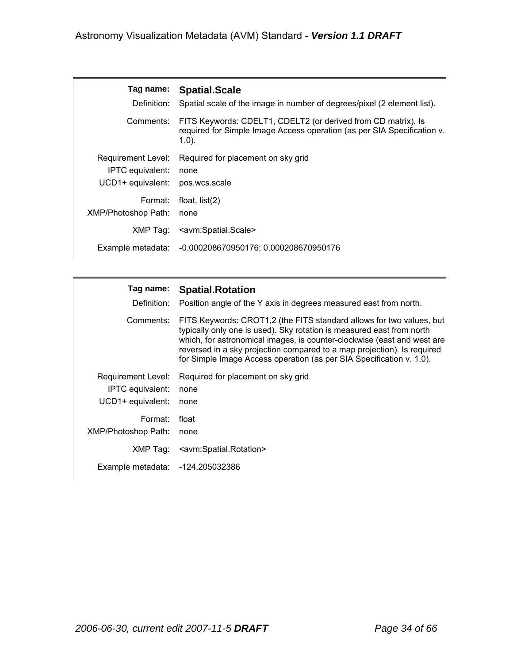| Tag name:                  | <b>Spatial.Scale</b>                                                                                                                                  |
|----------------------------|-------------------------------------------------------------------------------------------------------------------------------------------------------|
| Definition:                | Spatial scale of the image in number of degrees/pixel (2 element list).                                                                               |
| Comments:                  | FITS Keywords: CDELT1, CDELT2 (or derived from CD matrix). Is<br>required for Simple Image Access operation (as per SIA Specification v.<br>$(1.0)$ . |
| Requirement Level:         | Required for placement on sky grid                                                                                                                    |
| <b>IPTC</b> equivalent:    | none                                                                                                                                                  |
| UCD1+ equivalent:          | pos.wcs.scale                                                                                                                                         |
| Format:                    | float, $list(2)$                                                                                                                                      |
| <b>XMP/Photoshop Path:</b> | none                                                                                                                                                  |
| XMP Tag:                   | <avm:spatial.scale></avm:spatial.scale>                                                                                                               |
|                            | Example metadata: -0.000208670950176; 0.000208670950176                                                                                               |

| Tag name:           | <b>Spatial.Rotation</b>                                                                                                                                                                                                                                                                                                                                                     |
|---------------------|-----------------------------------------------------------------------------------------------------------------------------------------------------------------------------------------------------------------------------------------------------------------------------------------------------------------------------------------------------------------------------|
| Definition:         | Position angle of the Y axis in degrees measured east from north.                                                                                                                                                                                                                                                                                                           |
| Comments:           | FITS Keywords: CROT1,2 (the FITS standard allows for two values, but<br>typically only one is used). Sky rotation is measured east from north<br>which, for astronomical images, is counter-clockwise (east and west are<br>reversed in a sky projection compared to a map projection). Is required<br>for Simple Image Access operation (as per SIA Specification v. 1.0). |
| Requirement Level:  | Required for placement on sky grid                                                                                                                                                                                                                                                                                                                                          |
| IPTC equivalent:    | none                                                                                                                                                                                                                                                                                                                                                                        |
| UCD1+ equivalent:   | none                                                                                                                                                                                                                                                                                                                                                                        |
| Format:             | float                                                                                                                                                                                                                                                                                                                                                                       |
| XMP/Photoshop Path: | none                                                                                                                                                                                                                                                                                                                                                                        |
| XMP Tag:            | <avm:spatial.rotation></avm:spatial.rotation>                                                                                                                                                                                                                                                                                                                               |
| Example metadata:   | -124.205032386                                                                                                                                                                                                                                                                                                                                                              |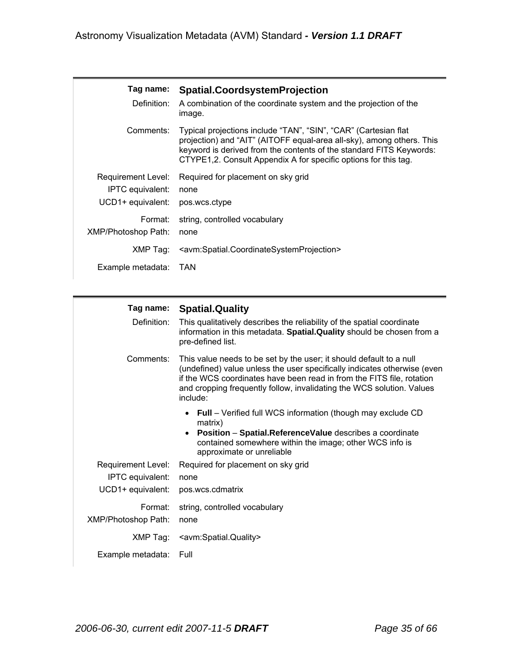| Tag name:<br>Definition:                                           | <b>Spatial.CoordsystemProjection</b><br>A combination of the coordinate system and the projection of the<br>image.                                                                                                                                                                 |  |
|--------------------------------------------------------------------|------------------------------------------------------------------------------------------------------------------------------------------------------------------------------------------------------------------------------------------------------------------------------------|--|
| Comments:                                                          | Typical projections include "TAN", "SIN", "CAR" (Cartesian flat<br>projection) and "AIT" (AITOFF equal-area all-sky), among others. This<br>keyword is derived from the contents of the standard FITS Keywords:<br>CTYPE1,2. Consult Appendix A for specific options for this tag. |  |
| Requirement Level:<br><b>IPTC</b> equivalent:<br>UCD1+ equivalent: | Required for placement on sky grid<br>none<br>pos.wcs.ctype                                                                                                                                                                                                                        |  |
| Format:<br>XMP/Photoshop Path:                                     | string, controlled vocabulary<br>none                                                                                                                                                                                                                                              |  |
| XMP Tag:                                                           | <avm:spatial.coordinatesystemprojection></avm:spatial.coordinatesystemprojection>                                                                                                                                                                                                  |  |
| Example metadata:                                                  | <b>TAN</b>                                                                                                                                                                                                                                                                         |  |

| Definition:                | Tag name: Spatial.Quality<br>This qualitatively describes the reliability of the spatial coordinate<br>information in this metadata. Spatial.Quality should be chosen from a<br>pre-defined list.                                                                                                             |
|----------------------------|---------------------------------------------------------------------------------------------------------------------------------------------------------------------------------------------------------------------------------------------------------------------------------------------------------------|
| Comments:                  | This value needs to be set by the user; it should default to a null<br>(undefined) value unless the user specifically indicates otherwise (even<br>if the WCS coordinates have been read in from the FITS file, rotation<br>and cropping frequently follow, invalidating the WCS solution. Values<br>include: |
|                            | • Full – Verified full WCS information (though may exclude CD<br>matrix)<br>• Position - Spatial.ReferenceValue describes a coordinate<br>contained somewhere within the image; other WCS info is<br>approximate or unreliable                                                                                |
| Requirement Level:         | Required for placement on sky grid                                                                                                                                                                                                                                                                            |
| <b>IPTC</b> equivalent:    | none                                                                                                                                                                                                                                                                                                          |
| UCD1+ equivalent:          | pos.wcs.cdmatrix                                                                                                                                                                                                                                                                                              |
| Format:                    | string, controlled vocabulary                                                                                                                                                                                                                                                                                 |
| <b>XMP/Photoshop Path:</b> | none                                                                                                                                                                                                                                                                                                          |
| XMP Tag:                   | <avm:spatial.quality></avm:spatial.quality>                                                                                                                                                                                                                                                                   |
| Example metadata:          | Full                                                                                                                                                                                                                                                                                                          |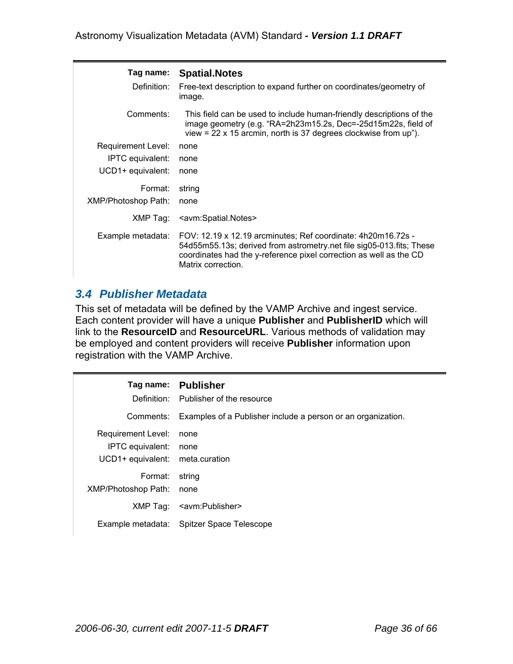| Tag name:<br>Definition: | <b>Spatial.Notes</b><br>Free-text description to expand further on coordinates/geometry of<br>image.                                                                                                                             |
|--------------------------|----------------------------------------------------------------------------------------------------------------------------------------------------------------------------------------------------------------------------------|
| Comments:                | This field can be used to include human-friendly descriptions of the<br>image geometry (e.g. "RA=2h23m15.2s, Dec=-25d15m22s, field of<br>view = $22 \times 15$ arcmin, north is 37 degrees clockwise from up").                  |
| Requirement Level:       | none                                                                                                                                                                                                                             |
| <b>IPTC</b> equivalent:  | none                                                                                                                                                                                                                             |
| UCD1+ equivalent:        | none                                                                                                                                                                                                                             |
| Format:                  | string                                                                                                                                                                                                                           |
| XMP/Photoshop Path:      | none                                                                                                                                                                                                                             |
| XMP Tag:                 | <avm:spatial.notes></avm:spatial.notes>                                                                                                                                                                                          |
| Example metadata:        | FOV: 12.19 x 12.19 arcminutes; Ref coordinate: 4h20m16.72s -<br>54d55m55.13s; derived from astrometry.net file sig05-013.fits; These<br>coordinates had the y-reference pixel correction as well as the CD<br>Matrix correction. |

# *3.4 Publisher Metadata*

This set of metadata will be defined by the VAMP Archive and ingest service. Each content provider will have a unique **Publisher** and **PublisherID** which will link to the **ResourceID** and **ResourceURL**. Various methods of validation may be employed and content providers will receive **Publisher** information upon registration with the VAMP Archive.

| Tag name:                                                          | <b>Publisher</b><br>Definition: Publisher of the resource    |
|--------------------------------------------------------------------|--------------------------------------------------------------|
| Comments:                                                          | Examples of a Publisher include a person or an organization. |
| <b>Requirement Level:</b><br>IPTC equivalent:<br>UCD1+ equivalent: | none<br>none<br>meta.curation                                |
| Format:<br><b>XMP/Photoshop Path:</b>                              | string<br>none                                               |
|                                                                    | XMP Tag: <avm:publisher></avm:publisher>                     |
| Example metadata:                                                  | Spitzer Space Telescope                                      |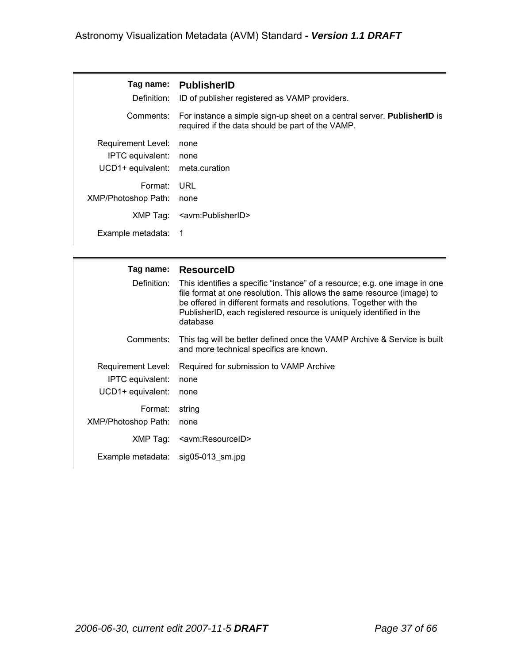| Tag name:<br>Definition:        | <b>PublisherID</b><br>ID of publisher registered as VAMP providers.                                                                |
|---------------------------------|------------------------------------------------------------------------------------------------------------------------------------|
| Comments:                       | For instance a simple sign-up sheet on a central server. <b>PublisherID</b> is<br>required if the data should be part of the VAMP. |
| <b>Requirement Level:</b>       | none                                                                                                                               |
| IPTC equivalent:                | none                                                                                                                               |
| UCD1+ equivalent: meta.curation |                                                                                                                                    |
| Format:                         | URL                                                                                                                                |
| XMP/Photoshop Path:             | none                                                                                                                               |
| XMP Tag:                        | <avm:publisherid></avm:publisherid>                                                                                                |
| Example metadata:               |                                                                                                                                    |

| Tag name:<br>Definition:                                    | <b>ResourcelD</b><br>This identifies a specific "instance" of a resource; e.g. one image in one<br>file format at one resolution. This allows the same resource (image) to<br>be offered in different formats and resolutions. Together with the<br>PublisherID, each registered resource is uniquely identified in the<br>database |
|-------------------------------------------------------------|-------------------------------------------------------------------------------------------------------------------------------------------------------------------------------------------------------------------------------------------------------------------------------------------------------------------------------------|
| Comments:                                                   | This tag will be better defined once the VAMP Archive & Service is built<br>and more technical specifics are known.                                                                                                                                                                                                                 |
| Requirement Level:<br>IPTC equivalent:<br>UCD1+ equivalent: | Required for submission to VAMP Archive<br>none<br>none                                                                                                                                                                                                                                                                             |
| Format:<br><b>XMP/Photoshop Path:</b>                       | string<br>none                                                                                                                                                                                                                                                                                                                      |
| XMP Tag:                                                    | <avm:resourceid></avm:resourceid>                                                                                                                                                                                                                                                                                                   |
| Example metadata: sig05-013 sm.jpg                          |                                                                                                                                                                                                                                                                                                                                     |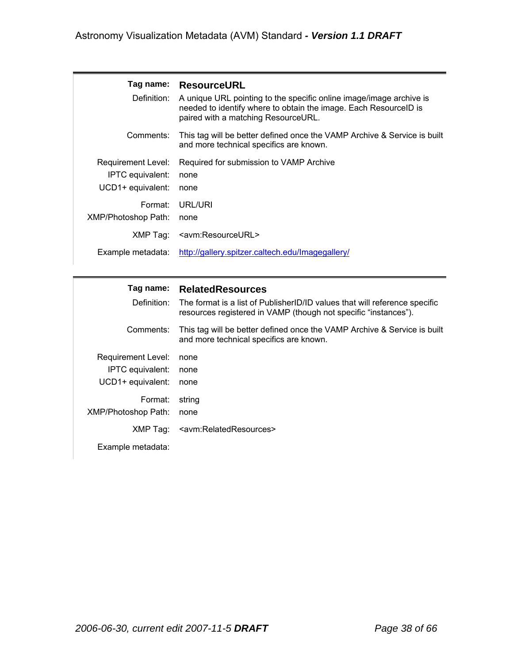| Tag name:<br>Definition:                                           | <b>ResourceURL</b><br>A unique URL pointing to the specific online image/image archive is<br>needed to identify where to obtain the image. Each Resource ID is<br>paired with a matching ResourceURL. |
|--------------------------------------------------------------------|-------------------------------------------------------------------------------------------------------------------------------------------------------------------------------------------------------|
| Comments:                                                          | This tag will be better defined once the VAMP Archive & Service is built<br>and more technical specifics are known.                                                                                   |
| Requirement Level:<br><b>IPTC</b> equivalent:<br>UCD1+ equivalent: | Required for submission to VAMP Archive<br>none<br>none                                                                                                                                               |
| Format:<br>XMP/Photoshop Path:                                     | URL/URI<br>none                                                                                                                                                                                       |
| XMP Tag:                                                           | <avm:resourceurl></avm:resourceurl>                                                                                                                                                                   |
| Example metadata:                                                  | http://gallery.spitzer.caltech.edu/Imagegallery/                                                                                                                                                      |

### **Tag name: RelatedResources**

| Definition:                                                        | The format is a list of PublisherID/ID values that will reference specific<br>resources registered in VAMP (though not specific "instances"). |
|--------------------------------------------------------------------|-----------------------------------------------------------------------------------------------------------------------------------------------|
| Comments:                                                          | This tag will be better defined once the VAMP Archive & Service is built<br>and more technical specifics are known.                           |
| Requirement Level:<br><b>IPTC</b> equivalent:<br>UCD1+ equivalent: | none<br>none<br>none                                                                                                                          |
| Format:<br><b>XMP/Photoshop Path:</b>                              | string<br>none                                                                                                                                |
| Example metadata:                                                  | XMP Tag: <avm:relatedresources></avm:relatedresources>                                                                                        |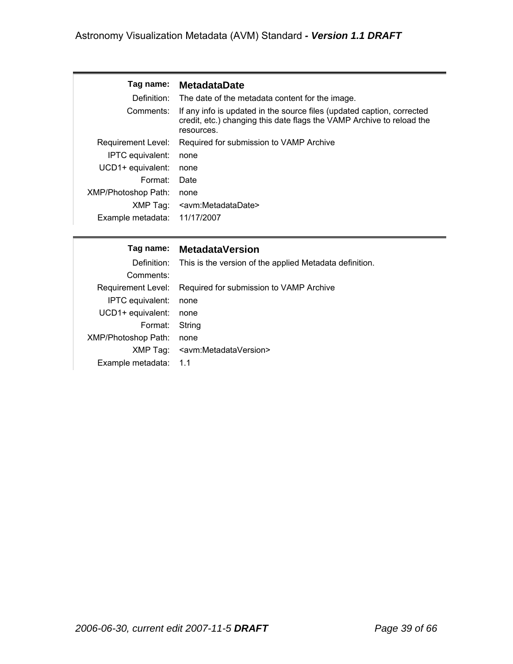| Taq name:                    | <b>MetadataDate</b>                                                                                                                                           |
|------------------------------|---------------------------------------------------------------------------------------------------------------------------------------------------------------|
| Definition:                  | The date of the metadata content for the image.                                                                                                               |
| Comments:                    | If any info is updated in the source files (updated caption, corrected<br>credit, etc.) changing this date flags the VAMP Archive to reload the<br>resources. |
| Requirement Level:           | Required for submission to VAMP Archive                                                                                                                       |
| IPTC equivalent:             | none                                                                                                                                                          |
| UCD1+ equivalent:            | none                                                                                                                                                          |
| Format:                      | Date                                                                                                                                                          |
| XMP/Photoshop Path:          | none                                                                                                                                                          |
| XMP Tag:                     | <avm:metadatadate></avm:metadatadate>                                                                                                                         |
| Example metadata: 11/17/2007 |                                                                                                                                                               |

#### **Tag name: MetadataVersion**

|                            | Definition: This is the version of the applied Metadata definition. |
|----------------------------|---------------------------------------------------------------------|
| Comments:                  |                                                                     |
|                            | Requirement Level: Required for submission to VAMP Archive          |
| IPTC equivalent:           | none                                                                |
| UCD1+ equivalent:          | none                                                                |
| Format: String             |                                                                     |
| <b>XMP/Photoshop Path:</b> | none                                                                |
|                            | XMP Tag: <avm:metadataversion></avm:metadataversion>                |
| Example metadata: 1.1      |                                                                     |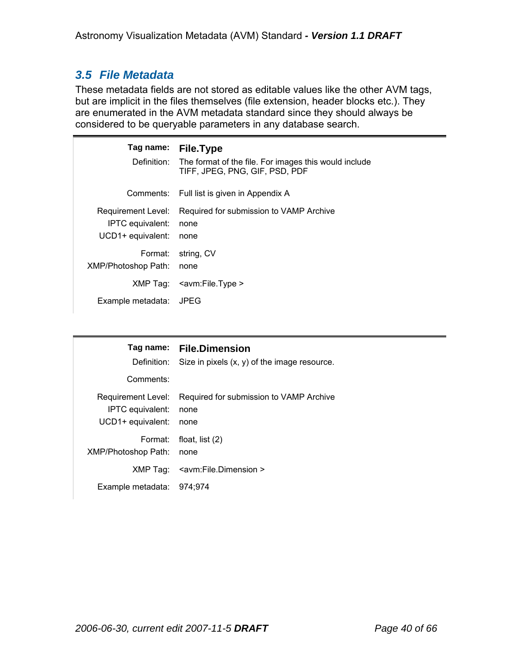# *3.5 File Metadata*

These metadata fields are not stored as editable values like the other AVM tags, but are implicit in the files themselves (file extension, header blocks etc.). They are enumerated in the AVM metadata standard since they should always be considered to be queryable parameters in any database search.

| Tag name:                                                   | File.Type<br>Definition: The format of the file. For images this would include<br>TIFF, JPEG, PNG, GIF, PSD, PDF |
|-------------------------------------------------------------|------------------------------------------------------------------------------------------------------------------|
|                                                             | Comments: Full list is given in Appendix A                                                                       |
| Requirement Level:<br>IPTC equivalent:<br>UCD1+ equivalent: | Required for submission to VAMP Archive<br>none<br>none                                                          |
| Format:<br>XMP/Photoshop Path:                              | string, CV<br>none                                                                                               |
|                                                             | $XMP Tag: \quad \textsf{zown:FileType} >$                                                                        |
| Example metadata:                                           | JPEG                                                                                                             |

| Definition:                                                        | Tag name: File.Dimension<br>Size in pixels $(x, y)$ of the image resource. |
|--------------------------------------------------------------------|----------------------------------------------------------------------------|
| Comments:                                                          |                                                                            |
| Requirement Level:<br><b>IPTC</b> equivalent:<br>UCD1+ equivalent: | Required for submission to VAMP Archive<br>none<br>none                    |
| Format:<br><b>XMP/Photoshop Path:</b>                              | float, list $(2)$<br>none                                                  |
|                                                                    | XMP Tag: <avm:file.dimension></avm:file.dimension>                         |
| Example metadata: 974;974                                          |                                                                            |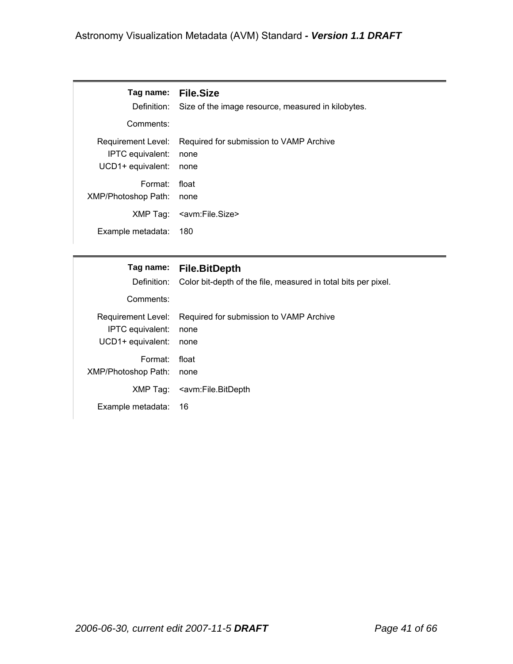| Tag name: File.Size<br>Definition:<br>Comments:             | Size of the image resource, measured in kilobytes.      |
|-------------------------------------------------------------|---------------------------------------------------------|
| Requirement Level:<br>IPTC equivalent:<br>UCD1+ equivalent: | Required for submission to VAMP Archive<br>none<br>none |
| Format:<br><b>XMP/Photoshop Path:</b>                       | float<br>none                                           |
|                                                             | XMP Tag: <avm:file.size></avm:file.size>                |
| Example metadata:                                           | 180                                                     |

| Definition:                | Tag name: File.BitDepth                                        |
|----------------------------|----------------------------------------------------------------|
| Comments:                  | Color bit-depth of the file, measured in total bits per pixel. |
| Requirement Level:         | Required for submission to VAMP Archive                        |
| IPTC equivalent:           | none                                                           |
| UCD1+ equivalent:          | none                                                           |
| Format:                    | float                                                          |
| <b>XMP/Photoshop Path:</b> | none                                                           |
| XMP Tag:                   | <avm:file.bitdepth< td=""></avm:file.bitdepth<>                |
| Example metadata:          | 16                                                             |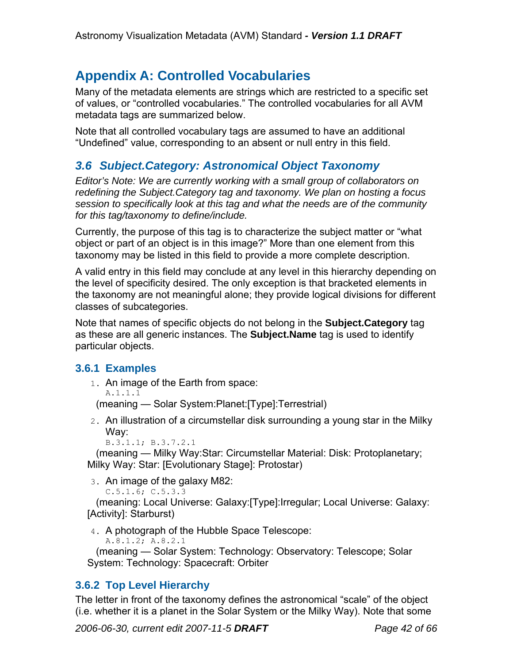# **Appendix A: Controlled Vocabularies**

Many of the metadata elements are strings which are restricted to a specific set of values, or "controlled vocabularies." The controlled vocabularies for all AVM metadata tags are summarized below.

Note that all controlled vocabulary tags are assumed to have an additional "Undefined" value, corresponding to an absent or null entry in this field.

## *3.6 Subject.Category: Astronomical Object Taxonomy*

*Editor's Note: We are currently working with a small group of collaborators on redefining the Subject.Category tag and taxonomy. We plan on hosting a focus session to specifically look at this tag and what the needs are of the community for this tag/taxonomy to define/include.* 

Currently, the purpose of this tag is to characterize the subject matter or "what object or part of an object is in this image?" More than one element from this taxonomy may be listed in this field to provide a more complete description.

A valid entry in this field may conclude at any level in this hierarchy depending on the level of specificity desired. The only exception is that bracketed elements in the taxonomy are not meaningful alone; they provide logical divisions for different classes of subcategories.

Note that names of specific objects do not belong in the **Subject.Category** tag as these are all generic instances. The **Subject.Name** tag is used to identify particular objects.

### **3.6.1 Examples**

1. An image of the Earth from space:

A.1.1.1

(meaning — Solar System:Planet:[Type]:Terrestrial)

2. An illustration of a circumstellar disk surrounding a young star in the Milky Way:

```
B.3.1.1; B.3.7.2.1
```
(meaning — Milky Way:Star: Circumstellar Material: Disk: Protoplanetary; Milky Way: Star: [Evolutionary Stage]: Protostar)

3. An image of the galaxy M82:

 $C.5.1.6; C.5.3.3$ 

(meaning: Local Universe: Galaxy:[Type]:Irregular; Local Universe: Galaxy: [Activity]: Starburst)

4. A photograph of the Hubble Space Telescope:

A.8.1.2; A.8.2.1

(meaning — Solar System: Technology: Observatory: Telescope; Solar System: Technology: Spacecraft: Orbiter

## **3.6.2 Top Level Hierarchy**

The letter in front of the taxonomy defines the astronomical "scale" of the object (i.e. whether it is a planet in the Solar System or the Milky Way). Note that some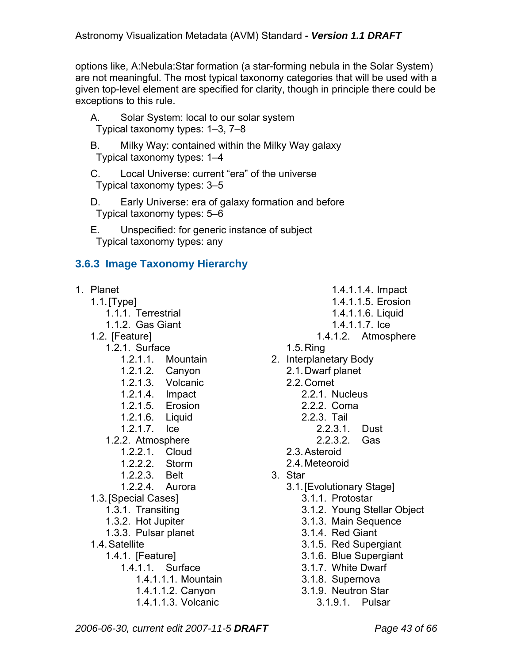options like, A:Nebula:Star formation (a star-forming nebula in the Solar System) are not meaningful. The most typical taxonomy categories that will be used with a given top-level element are specified for clarity, though in principle there could be exceptions to this rule.

- A. Solar System: local to our solar system Typical taxonomy types: 1–3, 7–8
- B. Milky Way: contained within the Milky Way galaxy Typical taxonomy types: 1–4
- C. Local Universe: current "era" of the universe Typical taxonomy types: 3–5
- D. Early Universe: era of galaxy formation and before Typical taxonomy types: 5–6
- E. Unspecified: for generic instance of subject Typical taxonomy types: any

# **3.6.3 Image Taxonomy Hierarchy**

|                                                                                                                            | 1. Planet          | 1.4.1.1.4. Impact                         |                        |
|----------------------------------------------------------------------------------------------------------------------------|--------------------|-------------------------------------------|------------------------|
|                                                                                                                            | $1.1$ . [Type]     | 1.4.1.1.5. Erosion                        |                        |
|                                                                                                                            | 1.1.1. Terrestrial | 1.4.1.1.6. Liquid                         |                        |
|                                                                                                                            | 1.1.2. Gas Giant   | 1.4.1.1.7. Ice                            |                        |
|                                                                                                                            | 1.2. [Feature]     | 1.4.1.2. Atmosphere                       |                        |
|                                                                                                                            | 1.2.1. Surface     | $1.5.$ Ring                               |                        |
|                                                                                                                            | 1.2.1.1. Mountain  | 2. Interplanetary Body                    |                        |
|                                                                                                                            | 1.2.1.2. Canyon    | 2.1. Dwarf planet                         |                        |
|                                                                                                                            | 1.2.1.3. Volcanic  | 2.2. Comet                                |                        |
|                                                                                                                            | 1.2.1.4. Impact    | 2.2.1. Nucleus                            |                        |
|                                                                                                                            | 1.2.1.5. Erosion   | 2.2.2. Coma                               |                        |
|                                                                                                                            | 1.2.1.6. Liquid    | 2.2.3. Tail                               |                        |
|                                                                                                                            | 1.2.1.7.<br>lce    | 2.2.3.1.<br>Dust                          |                        |
|                                                                                                                            | 1.2.2. Atmosphere  | 2.2.3.2.<br>Gas                           |                        |
|                                                                                                                            | 1.2.2.1. Cloud     | 2.3. Asteroid                             |                        |
|                                                                                                                            | 1.2.2.2. Storm     | 2.4. Meteoroid                            |                        |
|                                                                                                                            | 1.2.2.3. Belt      | 3. Star                                   |                        |
|                                                                                                                            | 1.2.2.4. Aurora    | 3.1. [Evolutionary Stage]                 |                        |
| 1.3. [Special Cases]                                                                                                       |                    | 3.1.1. Protostar                          |                        |
| 1.3.1. Transiting                                                                                                          |                    | 3.1.2. Young Stellar Object               |                        |
| 1.3.2. Hot Jupiter                                                                                                         |                    | 3.1.3. Main Sequence                      |                        |
| 1.3.3. Pulsar planet<br>1.4. Satellite<br>1.4.1. [Feature]<br>1.4.1.1. Surface<br>1.4.1.1.1. Mountain<br>1.4.1.1.2. Canyon |                    | 3.1.4. Red Giant<br>3.1.5. Red Supergiant |                        |
|                                                                                                                            |                    |                                           | 3.1.6. Blue Supergiant |
|                                                                                                                            |                    | 3.1.7. White Dwarf                        |                        |
|                                                                                                                            |                    | 3.1.8. Supernova                          |                        |
|                                                                                                                            |                    | 3.1.9. Neutron Star                       |                        |
|                                                                                                                            |                    |                                           | 1.4.1.1.3. Volcanic    |
|                                                                                                                            |                    |                                           |                        |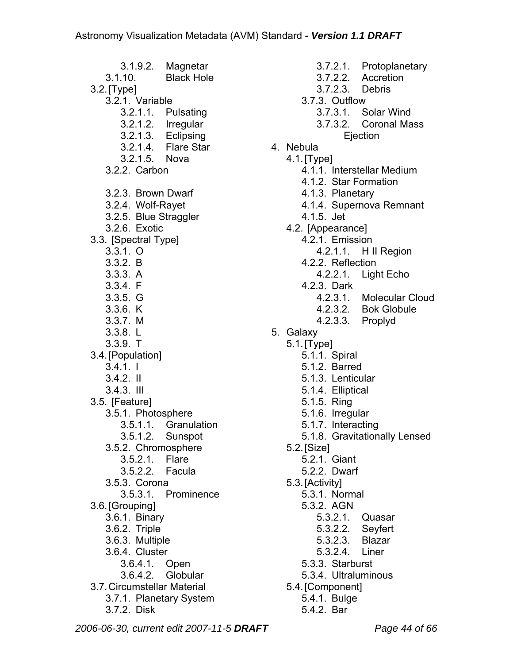3.1.9.2. Magnetar 3.1.10. Black Hole 3.2. [Type] 3.2.1. Variable 3.2.1.1. Pulsating 3.2.1.2. Irregular 3.2.1.3. Eclipsing 3.2.1.4. Flare Star 3.2.1.5. Nova 3.2.2. Carbon 3.2.3. Brown Dwarf 3.2.4. Wolf-Rayet 3.2.5. Blue Straggler 3.2.6. Exotic 3.3. [Spectral Type] 3.3.1. O 3.3.2. B 3.3.3. A 3.3.4. F 3.3.5. G 3.3.6. K 3.3.7. M 3.3.8. L 3.3.9. T 3.4. [Population] 3.4.1. I 3.4.2. II 3.4.3. III 3.5. [Feature] 3.5.1. Photosphere 3.5.1.1. Granulation 3.5.1.2. Sunspot 3.5.2. Chromosphere 3.5.2.1. Flare 3.5.2.2. Facula 3.5.3. Corona 3.5.3.1. Prominence 3.6. [Grouping] 3.6.1. Binary 3.6.2. Triple 3.6.3. Multiple 3.6.4. Cluster 3.6.4.1. Open 3.6.4.2. Globular 3.7. Circumstellar Material 3.7.1. Planetary System 3.7.2. Disk

- 3.7.2.1. Protoplanetary 3.7.2.2. Accretion 3.7.2.3. Debris 3.7.3. Outflow 3.7.3.1. Solar Wind 3.7.3.2. Coronal Mass **E**iection 4. Nebula 4.1. [Type] 4.1.1. Interstellar Medium 4.1.2. Star Formation 4.1.3. Planetary 4.1.4. Supernova Remnant 4.1.5. Jet 4.2. [Appearance] 4.2.1. Emission 4.2.1.1. H II Region 4.2.2. Reflection 4.2.2.1. Light Echo 4.2.3. Dark 4.2.3.1. Molecular Cloud 4.2.3.2. Bok Globule 4.2.3.3. Proplyd 5. Galaxy 5.1. [Type] 5.1.1. Spiral 5.1.2. Barred 5.1.3. Lenticular 5.1.4. Elliptical 5.1.5. Ring 5.1.6. Irregular 5.1.7. Interacting 5.1.8. Gravitationally Lensed 5.2. [Size] 5.2.1. Giant 5.2.2. Dwarf 5.3. [Activity] 5.3.1. Normal 5.3.2. AGN 5.3.2.1. Quasar 5.3.2.2. Seyfert 5.3.2.3. Blazar 5.3.2.4. Liner 5.3.3. Starburst 5.3.4. Ultraluminous 5.4. [Component] 5.4.1. Bulge
	- 5.4.2. Bar

*2006-06-30, current edit 2007-11-5 DRAFT Page 44 of 66*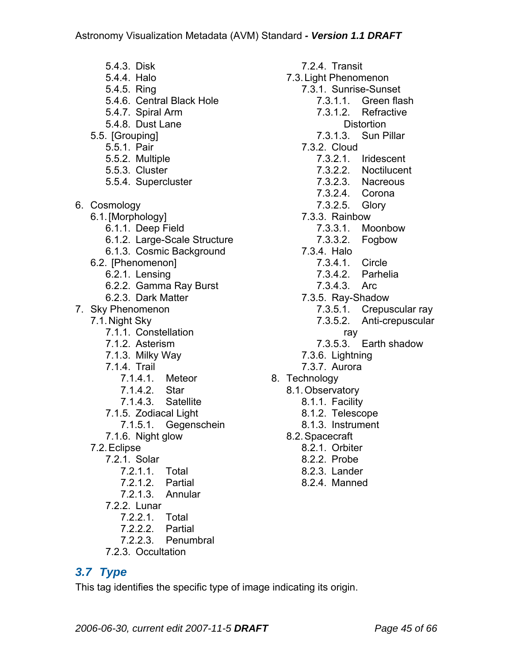5.4.3. Disk 5.4.4. Halo 5.4.5. Ring 5.4.6. Central Black Hole 5.4.7. Spiral Arm 5.4.8. Dust Lane 5.5. [Grouping] 5.5.1. Pair 5.5.2. Multiple 5.5.3. Cluster 5.5.4. Supercluster 6. Cosmology 6.1. [Morphology] 6.1.1. Deep Field 6.1.2. Large-Scale Structure 6.1.3. Cosmic Background 6.2. [Phenomenon] 6.2.1. Lensing 6.2.2. Gamma Ray Burst 6.2.3. Dark Matter 7. Sky Phenomenon 7.1. Night Sky 7.1.1. Constellation 7.1.2. Asterism 7.1.3. Milky Way 7.1.4. Trail 7.1.4.1. Meteor 7.1.4.2. Star 7.1.4.3. Satellite 7.1.5. Zodiacal Light 7.1.5.1. Gegenschein 7.1.6. Night glow 7.2. Eclipse 7.2.1. Solar 7.2.1.1. Total 7.2.1.2. Partial 7.2.1.3. Annular 7.2.2. Lunar 7.2.2.1. Total 7.2.2.2. Partial 7.2.2.3. Penumbral

7.2.3. Occultation

# *3.7 Type*

This tag identifies the specific type of image indicating its origin.

7.2.4. Transit 7.3. Light Phenomenon 7.3.1. Sunrise-Sunset 7.3.1.1. Green flash 7.3.1.2 Refractive **Distortion** 7.3.1.3. Sun Pillar 7.3.2. Cloud 7.3.2.1. Iridescent 7.3.2.2. Noctilucent 7.3.2.3. Nacreous 7.3.2.4. Corona 7.3.2.5. Glory 7.3.3. Rainbow 7.3.3.1. Moonbow 7.3.3.2. Fogbow 7.3.4. Halo 7.3.4.1. Circle 7.3.4.2. Parhelia 7.3.4.3. Arc 7.3.5. Ray-Shadow 7.3.5.1. Crepuscular ray 7.3.5.2. Anti-crepuscular ray 7.3.5.3. Earth shadow 7.3.6. Lightning 7.3.7. Aurora 8. Technology 8.1. Observatory 8.1.1. Facility 8.1.2. Telescope 8.1.3. Instrument 8.2. Spacecraft

- 8.2.1. Orbiter
- 8.2.2. Probe
- 8.2.3. Lander
- 8.2.4. Manned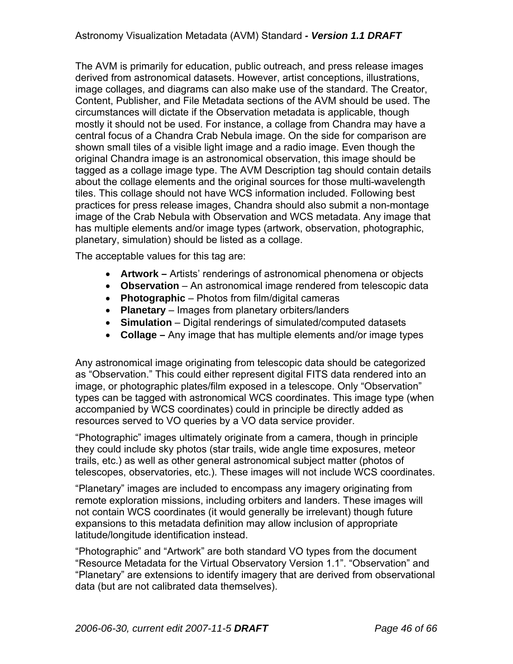The AVM is primarily for education, public outreach, and press release images derived from astronomical datasets. However, artist conceptions, illustrations, image collages, and diagrams can also make use of the standard. The Creator, Content, Publisher, and File Metadata sections of the AVM should be used. The circumstances will dictate if the Observation metadata is applicable, though mostly it should not be used. For instance, a collage from Chandra may have a central focus of a Chandra Crab Nebula image. On the side for comparison are shown small tiles of a visible light image and a radio image. Even though the original Chandra image is an astronomical observation, this image should be tagged as a collage image type. The AVM Description tag should contain details about the collage elements and the original sources for those multi-wavelength tiles. This collage should not have WCS information included. Following best practices for press release images, Chandra should also submit a non-montage image of the Crab Nebula with Observation and WCS metadata. Any image that has multiple elements and/or image types (artwork, observation, photographic, planetary, simulation) should be listed as a collage.

The acceptable values for this tag are:

- **Artwork –** Artists' renderings of astronomical phenomena or objects
- **Observation** An astronomical image rendered from telescopic data
- **Photographic** Photos from film/digital cameras
- **Planetary**  Images from planetary orbiters/landers
- **Simulation** Digital renderings of simulated/computed datasets
- **Collage** Any image that has multiple elements and/or image types

Any astronomical image originating from telescopic data should be categorized as "Observation." This could either represent digital FITS data rendered into an image, or photographic plates/film exposed in a telescope. Only "Observation" types can be tagged with astronomical WCS coordinates. This image type (when accompanied by WCS coordinates) could in principle be directly added as resources served to VO queries by a VO data service provider.

"Photographic" images ultimately originate from a camera, though in principle they could include sky photos (star trails, wide angle time exposures, meteor trails, etc.) as well as other general astronomical subject matter (photos of telescopes, observatories, etc.). These images will not include WCS coordinates.

"Planetary" images are included to encompass any imagery originating from remote exploration missions, including orbiters and landers. These images will not contain WCS coordinates (it would generally be irrelevant) though future expansions to this metadata definition may allow inclusion of appropriate latitude/longitude identification instead.

"Photographic" and "Artwork" are both standard VO types from the document "Resource Metadata for the Virtual Observatory Version 1.1". "Observation" and "Planetary" are extensions to identify imagery that are derived from observational data (but are not calibrated data themselves).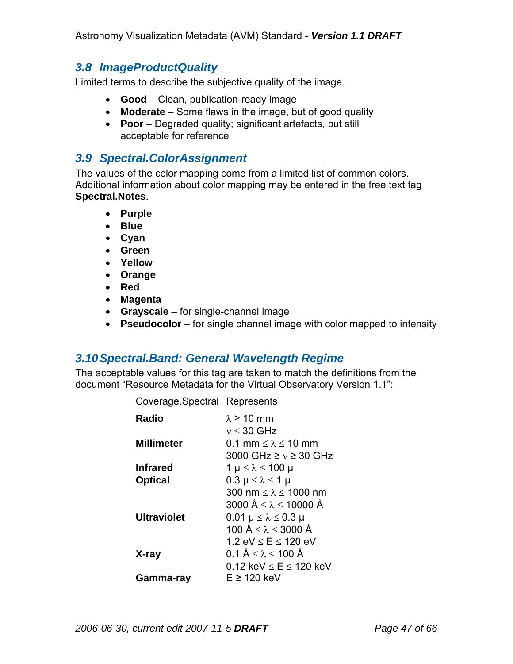## *3.8 ImageProductQuality*

Limited terms to describe the subjective quality of the image.

- **Good** Clean, publication-ready image
- **Moderate** Some flaws in the image, but of good quality
- **Poor** Degraded quality; significant artefacts, but still acceptable for reference

## *3.9 Spectral.ColorAssignment*

The values of the color mapping come from a limited list of common colors. Additional information about color mapping may be entered in the free text tag **Spectral.Notes**.

- **Purple**
- **Blue**
- **Cyan**
- **Green**
- **Yellow**
- **Orange**
- **Red**
- **Magenta**
- **Grayscale**  for single-channel image
- **Pseudocolor** for single channel image with color mapped to intensity

## *3.10 Spectral.Band: General Wavelength Regime*

The acceptable values for this tag are taken to match the definitions from the document "Resource Metadata for the Virtual Observatory Version 1.1":

| Coverage Spectral Represents |                                                   |
|------------------------------|---------------------------------------------------|
| Radio                        | $\lambda \geq 10$ mm                              |
|                              | $v \leq 30$ GHz                                   |
| <b>Millimeter</b>            | 0.1 mm $\leq \lambda \leq 10$ mm                  |
|                              | 3000 GHz $\geq v \geq 30$ GHz                     |
| <b>Infrared</b>              | $1 \mu \leq \lambda \leq 100 \mu$                 |
| <b>Optical</b>               | $0.3 \mu \leq \lambda \leq 1 \mu$                 |
|                              | 300 nm $\leq \lambda \leq 1000$ nm                |
|                              | 3000 $\text{Å} \leq \lambda \leq 10000 \text{ Å}$ |
| <b>Ultraviolet</b>           | $0.01 \mu \leq \lambda \leq 0.3 \mu$              |
|                              | 100 Å $\leq \lambda \leq 3000$ Å                  |
|                              | 1.2 $eV \le E \le 120$ eV                         |
| X-ray                        | $0.1 \text{ Å} \leq \lambda \leq 100 \text{ Å}$   |
|                              | 0.12 keV $\leq$ E $\leq$ 120 keV                  |
| Gamma-rav                    | E ≥ 120 keV                                       |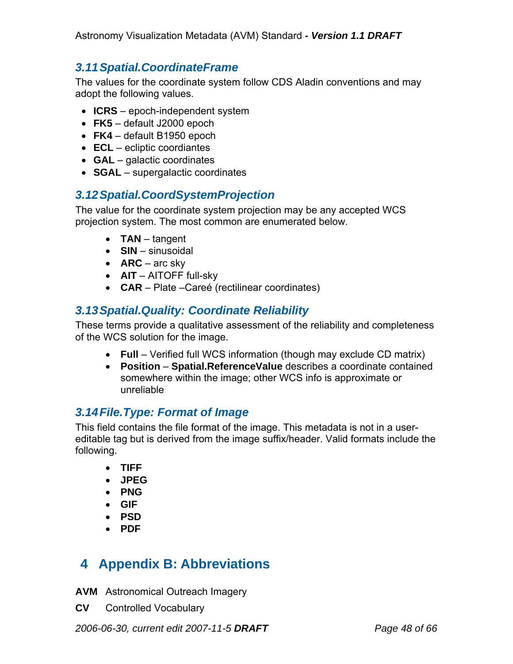# *3.11 Spatial.CoordinateFrame*

The values for the coordinate system follow CDS Aladin conventions and may adopt the following values.

- **ICRS** epoch-independent system
- **FK5** default J2000 epoch
- **FK4** default B1950 epoch
- **ECL** ecliptic coordiantes
- **GAL** galactic coordinates
- **SGAL** supergalactic coordinates

## *3.12 Spatial.CoordSystemProjection*

The value for the coordinate system projection may be any accepted WCS projection system. The most common are enumerated below.

- **TAN** tangent
- **SIN** sinusoidal
- **ARC** arc sky
- **AIT** AITOFF full-sky
- **CAR** Plate –Careé (rectilinear coordinates)

# *3.13 Spatial.Quality: Coordinate Reliability*

These terms provide a qualitative assessment of the reliability and completeness of the WCS solution for the image.

- **Full** Verified full WCS information (though may exclude CD matrix)
- **Position Spatial.ReferenceValue** describes a coordinate contained somewhere within the image; other WCS info is approximate or unreliable

# *3.14 File.Type: Format of Image*

This field contains the file format of the image. This metadata is not in a usereditable tag but is derived from the image suffix/header. Valid formats include the following.

- **TIFF**
- **JPEG**
- **PNG**
- **GIF**
- **PSD**
- **PDF**

# **4 Appendix B: Abbreviations**

- **AVM** Astronomical Outreach Imagery
- **CV** Controlled Vocabulary

*2006-06-30, current edit 2007-11-5 DRAFT Page 48 of 66*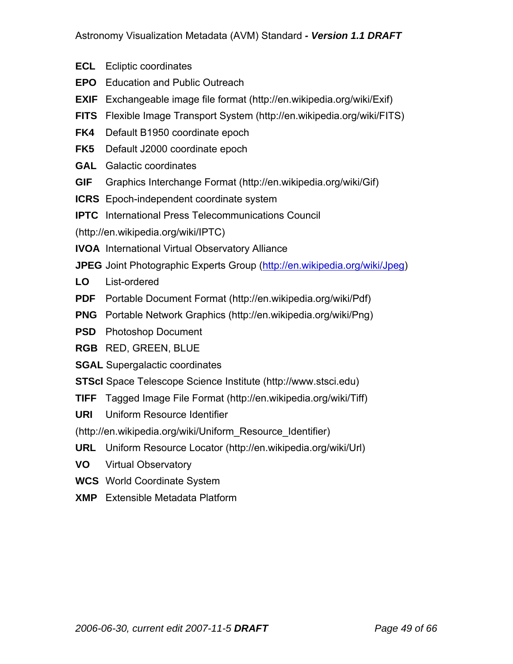- **ECL** Ecliptic coordinates
- **EPO** Education and Public Outreach
- **EXIF** Exchangeable image file format (http://en.wikipedia.org/wiki/Exif)
- **FITS** Flexible Image Transport System (http://en.wikipedia.org/wiki/FITS)
- **FK4** Default B1950 coordinate epoch
- **FK5** Default J2000 coordinate epoch
- **GAL** Galactic coordinates
- **GIF** Graphics Interchange Format (http://en.wikipedia.org/wiki/Gif)
- **ICRS** Epoch-independent coordinate system
- **IPTC** International Press Telecommunications Council

(http://en.wikipedia.org/wiki/IPTC)

- **IVOA** International Virtual Observatory Alliance
- **JPEG** Joint Photographic Experts Group (http://en.wikipedia.org/wiki/Jpeg)
- **LO** List-ordered
- **PDF** Portable Document Format (http://en.wikipedia.org/wiki/Pdf)
- **PNG** Portable Network Graphics (http://en.wikipedia.org/wiki/Png)
- **PSD** Photoshop Document
- **RGB** RED, GREEN, BLUE
- **SGAL** Supergalactic coordinates
- **STScI** Space Telescope Science Institute (http://www.stsci.edu)
- **TIFF** Tagged Image File Format (http://en.wikipedia.org/wiki/Tiff)
- **URI** Uniform Resource Identifier

(http://en.wikipedia.org/wiki/Uniform\_Resource\_Identifier)

- **URL** Uniform Resource Locator (http://en.wikipedia.org/wiki/Url)
- **VO** Virtual Observatory
- **WCS** World Coordinate System
- **XMP** Extensible Metadata Platform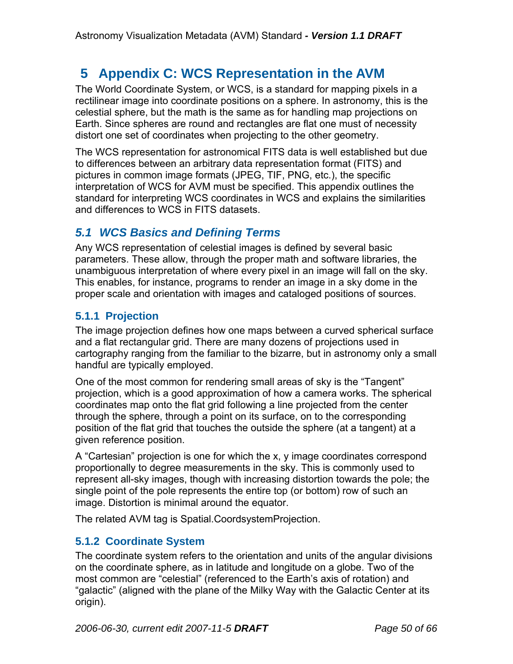# **5 Appendix C: WCS Representation in the AVM**

The World Coordinate System, or WCS, is a standard for mapping pixels in a rectilinear image into coordinate positions on a sphere. In astronomy, this is the celestial sphere, but the math is the same as for handling map projections on Earth. Since spheres are round and rectangles are flat one must of necessity distort one set of coordinates when projecting to the other geometry.

The WCS representation for astronomical FITS data is well established but due to differences between an arbitrary data representation format (FITS) and pictures in common image formats (JPEG, TIF, PNG, etc.), the specific interpretation of WCS for AVM must be specified. This appendix outlines the standard for interpreting WCS coordinates in WCS and explains the similarities and differences to WCS in FITS datasets.

# *5.1 WCS Basics and Defining Terms*

Any WCS representation of celestial images is defined by several basic parameters. These allow, through the proper math and software libraries, the unambiguous interpretation of where every pixel in an image will fall on the sky. This enables, for instance, programs to render an image in a sky dome in the proper scale and orientation with images and cataloged positions of sources.

## **5.1.1 Projection**

The image projection defines how one maps between a curved spherical surface and a flat rectangular grid. There are many dozens of projections used in cartography ranging from the familiar to the bizarre, but in astronomy only a small handful are typically employed.

One of the most common for rendering small areas of sky is the "Tangent" projection, which is a good approximation of how a camera works. The spherical coordinates map onto the flat grid following a line projected from the center through the sphere, through a point on its surface, on to the corresponding position of the flat grid that touches the outside the sphere (at a tangent) at a given reference position.

A "Cartesian" projection is one for which the x, y image coordinates correspond proportionally to degree measurements in the sky. This is commonly used to represent all-sky images, though with increasing distortion towards the pole; the single point of the pole represents the entire top (or bottom) row of such an image. Distortion is minimal around the equator.

The related AVM tag is Spatial.CoordsystemProjection.

## **5.1.2 Coordinate System**

The coordinate system refers to the orientation and units of the angular divisions on the coordinate sphere, as in latitude and longitude on a globe. Two of the most common are "celestial" (referenced to the Earth's axis of rotation) and "galactic" (aligned with the plane of the Milky Way with the Galactic Center at its origin).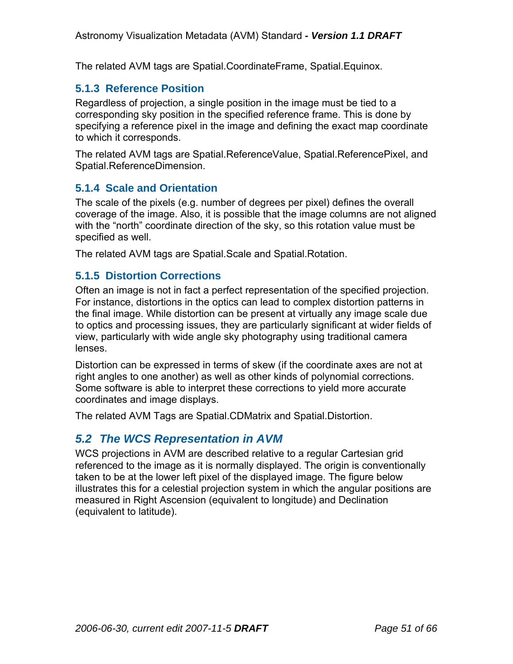The related AVM tags are Spatial.CoordinateFrame, Spatial.Equinox.

## **5.1.3 Reference Position**

Regardless of projection, a single position in the image must be tied to a corresponding sky position in the specified reference frame. This is done by specifying a reference pixel in the image and defining the exact map coordinate to which it corresponds.

The related AVM tags are Spatial.ReferenceValue, Spatial.ReferencePixel, and Spatial.ReferenceDimension.

## **5.1.4 Scale and Orientation**

The scale of the pixels (e.g. number of degrees per pixel) defines the overall coverage of the image. Also, it is possible that the image columns are not aligned with the "north" coordinate direction of the sky, so this rotation value must be specified as well.

The related AVM tags are Spatial.Scale and Spatial.Rotation.

### **5.1.5 Distortion Corrections**

Often an image is not in fact a perfect representation of the specified projection. For instance, distortions in the optics can lead to complex distortion patterns in the final image. While distortion can be present at virtually any image scale due to optics and processing issues, they are particularly significant at wider fields of view, particularly with wide angle sky photography using traditional camera lenses.

Distortion can be expressed in terms of skew (if the coordinate axes are not at right angles to one another) as well as other kinds of polynomial corrections. Some software is able to interpret these corrections to yield more accurate coordinates and image displays.

The related AVM Tags are Spatial.CDMatrix and Spatial.Distortion.

# *5.2 The WCS Representation in AVM*

WCS projections in AVM are described relative to a regular Cartesian grid referenced to the image as it is normally displayed. The origin is conventionally taken to be at the lower left pixel of the displayed image. The figure below illustrates this for a celestial projection system in which the angular positions are measured in Right Ascension (equivalent to longitude) and Declination (equivalent to latitude).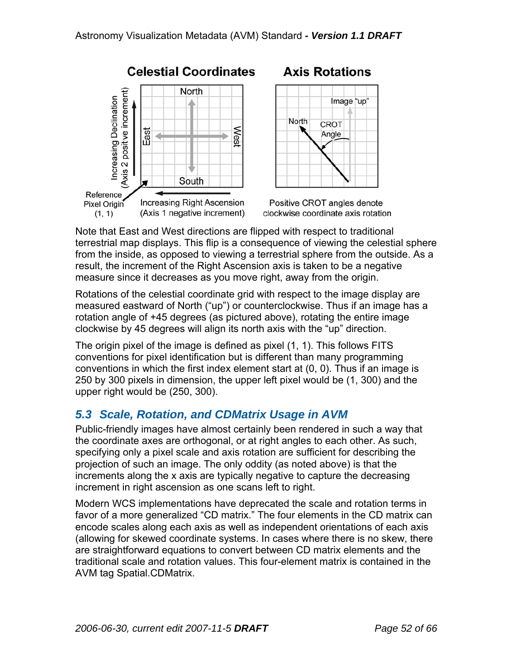

# **Axis Rotations**



Positive CROT angles denote clockwise coordinate axis rotation

Note that East and West directions are flipped with respect to traditional terrestrial map displays. This flip is a consequence of viewing the celestial sphere from the inside, as opposed to viewing a terrestrial sphere from the outside. As a result, the increment of the Right Ascension axis is taken to be a negative measure since it decreases as you move right, away from the origin.

Rotations of the celestial coordinate grid with respect to the image display are measured eastward of North ("up") or counterclockwise. Thus if an image has a rotation angle of +45 degrees (as pictured above), rotating the entire image clockwise by 45 degrees will align its north axis with the "up" direction.

The origin pixel of the image is defined as pixel (1, 1). This follows FITS conventions for pixel identification but is different than many programming conventions in which the first index element start at (0, 0). Thus if an image is 250 by 300 pixels in dimension, the upper left pixel would be (1, 300) and the upper right would be (250, 300).

# *5.3 Scale, Rotation, and CDMatrix Usage in AVM*

Public-friendly images have almost certainly been rendered in such a way that the coordinate axes are orthogonal, or at right angles to each other. As such, specifying only a pixel scale and axis rotation are sufficient for describing the projection of such an image. The only oddity (as noted above) is that the increments along the x axis are typically negative to capture the decreasing increment in right ascension as one scans left to right.

Modern WCS implementations have deprecated the scale and rotation terms in favor of a more generalized "CD matrix." The four elements in the CD matrix can encode scales along each axis as well as independent orientations of each axis (allowing for skewed coordinate systems. In cases where there is no skew, there are straightforward equations to convert between CD matrix elements and the traditional scale and rotation values. This four-element matrix is contained in the AVM tag Spatial.CDMatrix.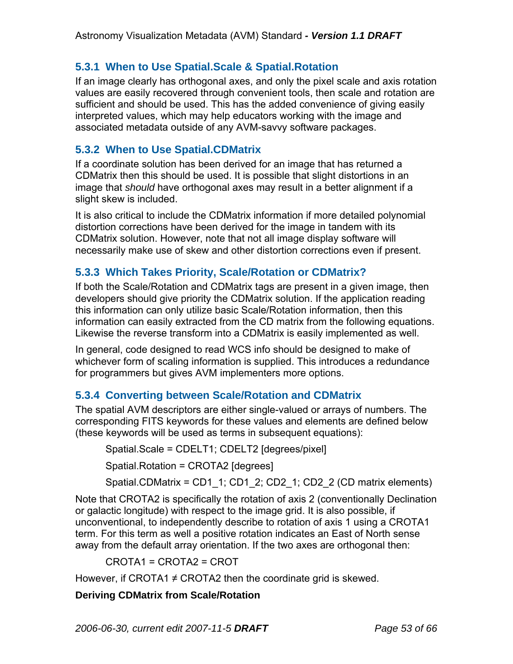# **5.3.1 When to Use Spatial.Scale & Spatial.Rotation**

If an image clearly has orthogonal axes, and only the pixel scale and axis rotation values are easily recovered through convenient tools, then scale and rotation are sufficient and should be used. This has the added convenience of giving easily interpreted values, which may help educators working with the image and associated metadata outside of any AVM-savvy software packages.

### **5.3.2 When to Use Spatial.CDMatrix**

If a coordinate solution has been derived for an image that has returned a CDMatrix then this should be used. It is possible that slight distortions in an image that *should* have orthogonal axes may result in a better alignment if a slight skew is included.

It is also critical to include the CDMatrix information if more detailed polynomial distortion corrections have been derived for the image in tandem with its CDMatrix solution. However, note that not all image display software will necessarily make use of skew and other distortion corrections even if present.

## **5.3.3 Which Takes Priority, Scale/Rotation or CDMatrix?**

If both the Scale/Rotation and CDMatrix tags are present in a given image, then developers should give priority the CDMatrix solution. If the application reading this information can only utilize basic Scale/Rotation information, then this information can easily extracted from the CD matrix from the following equations. Likewise the reverse transform into a CDMatrix is easily implemented as well.

In general, code designed to read WCS info should be designed to make of whichever form of scaling information is supplied. This introduces a redundance for programmers but gives AVM implementers more options.

# **5.3.4 Converting between Scale/Rotation and CDMatrix**

The spatial AVM descriptors are either single-valued or arrays of numbers. The corresponding FITS keywords for these values and elements are defined below (these keywords will be used as terms in subsequent equations):

Spatial.Scale = CDELT1; CDELT2 [degrees/pixel]

Spatial.Rotation = CROTA2 [degrees]

Spatial.CDMatrix = CD1\_1; CD1\_2; CD2\_1; CD2\_2 (CD matrix elements)

Note that CROTA2 is specifically the rotation of axis 2 (conventionally Declination or galactic longitude) with respect to the image grid. It is also possible, if unconventional, to independently describe to rotation of axis 1 using a CROTA1 term. For this term as well a positive rotation indicates an East of North sense away from the default array orientation. If the two axes are orthogonal then:

CROTA1 = CROTA2 = CROT

However, if CROTA1  $\neq$  CROTA2 then the coordinate grid is skewed.

### **Deriving CDMatrix from Scale/Rotation**

*2006-06-30, current edit 2007-11-5 DRAFT Page 53 of 66*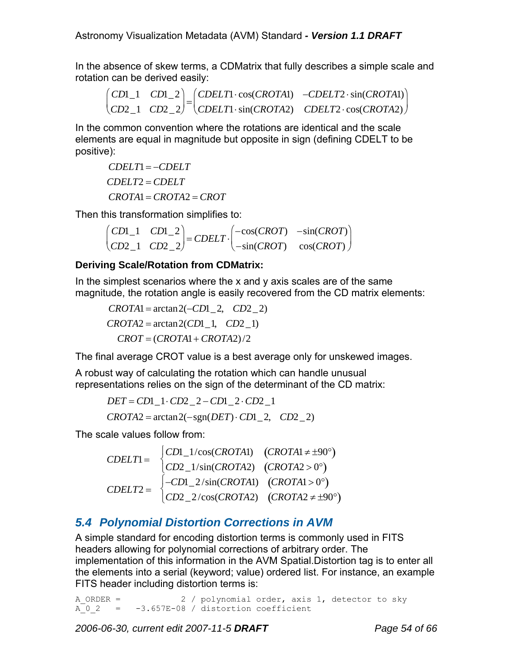In the absence of skew terms, a CDMatrix that fully describes a simple scale and rotation can be derived easily:

$$
\begin{pmatrix} CD1 & CD1 & CD1-2 \ CDELT1 \cdot \cos(CROTA1) & -CDELT2 \cdot \sin(CROTA1) \ CD2\_1 & CD2\_2 \end{pmatrix} = \begin{pmatrix} CDELT1 \cdot \cos(CROTA1) & -CDELT2 \cdot \sin(CROTA2) \ CDELT2 \cdot \cos(CROTA2) & \cos(CROTA2) \end{pmatrix}
$$

In the common convention where the rotations are identical and the scale elements are equal in magnitude but opposite in sign (defining CDELT to be positive):

*CDELT*1= −*CDELT CDELT*2 = *CDELT CROTA*1= *CROTA*2 = *CROT*

Then this transformation simplifies to:

*CD*1\_1 *CD*1\_2 *CD*2\_1 *CD*2\_2  $\begin{pmatrix} CDI_{-1} & CDI_{-2} \\ CD2_{-1} & CD2_{-2} \end{pmatrix} = CDELT \cdot \begin{pmatrix} -\cos(CROT) & -\sin(CROT) \\ -\sin(CROT) & \cos(CROT) \end{pmatrix}$  $\begin{pmatrix} -\cos(CROT) & -\sin(CROT) \ -\sin(CROT) & \cos(CROT) \end{pmatrix}$  $\overline{\phantom{a}}$ 

#### **Deriving Scale/Rotation from CDMatrix:**

In the simplest scenarios where the x and y axis scales are of the same magnitude, the rotation angle is easily recovered from the CD matrix elements:

 $CROTA1 = \arctan 2(-CD1 - 2, CD2 - 2)$  $CROTA2 = \arctan 2 (CD1, CD2 1)$  $CROT = (CROTA1 + CROTA2)/2$ 

The final average CROT value is a best average only for unskewed images.

A robust way of calculating the rotation which can handle unusual representations relies on the sign of the determinant of the CD matrix:

*DET* = *CD*1  $1⋅CD2$   $2-CD1$   $2⋅CD2$  1  $CROTA2 = \arctan 2(-\text{sgn}(DET) \cdot CD1\_2, \quad CD2\_2)$ 

The scale values follow from:

*CDELT*1<sup>=</sup> *CD*1\_1/cos(*CROTA*1) (*CROTA*1<sup>≠</sup> <sup>±</sup>90°)  $CD2\_1/\sin(CROTA2)$   $(CROTA2 > 0^{\circ})$  $\sqrt{2}$  $\Big\{$  (  $CDELT2 = \begin{cases} -CD1 - 2/\sin(CROTA1) & (CROTA1 > 0^{\circ}) \\ \cos 2\pi/(\cos 2\pi/3) & (SDET12 > 0^{\circ}) \end{cases}$  $\begin{pmatrix} -CD1\_2/\sin(CROTA1) & (CROTA1 > 0^{\circ}) \\ CD2\_2/\cos(CROTA2) & (CROTA2 ≠ ±90^{\circ}) \end{pmatrix}$ 

# *5.4 Polynomial Distortion Corrections in AVM*

A simple standard for encoding distortion terms is commonly used in FITS headers allowing for polynomial corrections of arbitrary order. The implementation of this information in the AVM Spatial.Distortion tag is to enter all the elements into a serial (keyword; value) ordered list. For instance, an example FITS header including distortion terms is:

A ORDER = 2 / polynomial order, axis 1, detector to sky  $A$  0 2 = -3.657E-08 / distortion coefficient

*2006-06-30, current edit 2007-11-5 DRAFT Page 54 of 66*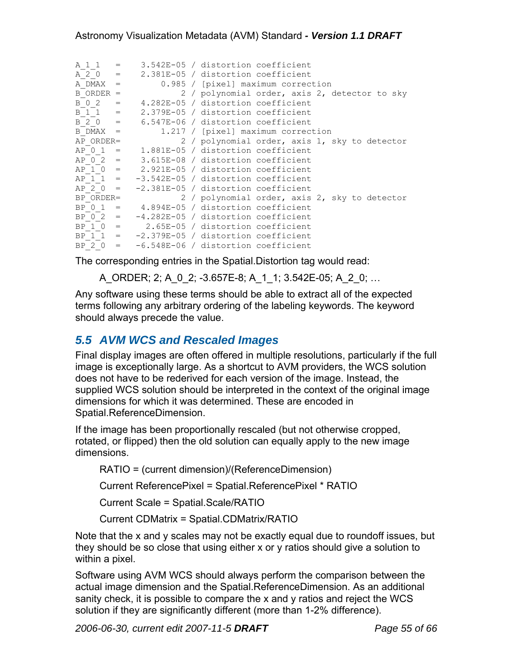| $A \ 1 \ 1 =$  |              |                                                  |
|----------------|--------------|--------------------------------------------------|
|                |              | 3.542E-05 / distortion coefficient               |
| $A \ 2 \ 0 =$  |              | 2.381E-05 / distortion coefficient               |
| A DMAX         | $=$          | 0.985 / [pixel] maximum correction               |
| $B$ ORDER =    |              | 2 / polynomial order, axis 2, detector to sky    |
| B 0 2          | $\alpha = 1$ | 4.282E-05 / distortion coefficient               |
| $B 1 1 =$      |              | 2.379E-05 / distortion coefficient               |
| $B 2 0 =$      |              | 6.547E-06 / distortion coefficient               |
| $B$ DMAX $=$   |              | 1.217 / [pixel] maximum correction               |
| AP ORDER=      |              | 2 / polynomial order, axis 1, sky to detector    |
|                |              | $AP$ 0 1 = 1.881E-05 / distortion coefficient    |
|                |              | $AP$ 0 2 = 3.615E-08 / distortion coefficient    |
|                |              | $AP$ 1 0 = 2.921E-05 / distortion coefficient    |
|                |              | $AP$ 1 1 = $-3.542E-05$ / distortion coefficient |
| $AP 2 0 =$     |              | -2.381E-05 / distortion coefficient              |
| BP ORDER=      |              | 2 / polynomial order, axis 2, sky to detector    |
| BP 0 1         |              | $=$ 4.894E-05 / distortion coefficient           |
| $BP \t0 \t2 =$ |              | -4.282E-05 / distortion coefficient              |
| $BP 1 0 =$     |              | 2.65E-05 / distortion coefficient                |
|                |              | BP $1 1 = -2.379E-05 /$ distortion coefficient   |
|                |              | BP 2 0 = $-6.548E-06$ / distortion coefficient   |

The corresponding entries in the Spatial.Distortion tag would read:

A\_ORDER; 2; A\_0\_2; -3.657E-8; A\_1\_1; 3.542E-05; A\_2\_0; …

Any software using these terms should be able to extract all of the expected terms following any arbitrary ordering of the labeling keywords. The keyword should always precede the value.

# *5.5 AVM WCS and Rescaled Images*

Final display images are often offered in multiple resolutions, particularly if the full image is exceptionally large. As a shortcut to AVM providers, the WCS solution does not have to be rederived for each version of the image. Instead, the supplied WCS solution should be interpreted in the context of the original image dimensions for which it was determined. These are encoded in Spatial.ReferenceDimension.

If the image has been proportionally rescaled (but not otherwise cropped, rotated, or flipped) then the old solution can equally apply to the new image dimensions.

RATIO = (current dimension)/(ReferenceDimension)

Current ReferencePixel = Spatial.ReferencePixel \* RATIO

Current Scale = Spatial.Scale/RATIO

Current CDMatrix = Spatial.CDMatrix/RATIO

Note that the x and y scales may not be exactly equal due to roundoff issues, but they should be so close that using either x or y ratios should give a solution to within a pixel.

Software using AVM WCS should always perform the comparison between the actual image dimension and the Spatial.ReferenceDimension. As an additional sanity check, it is possible to compare the x and y ratios and reject the WCS solution if they are significantly different (more than 1-2% difference).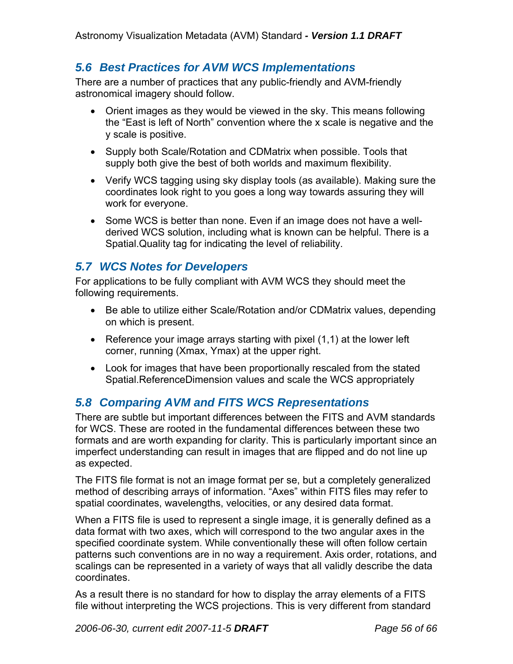# *5.6 Best Practices for AVM WCS Implementations*

There are a number of practices that any public-friendly and AVM-friendly astronomical imagery should follow.

- Orient images as they would be viewed in the sky. This means following the "East is left of North" convention where the x scale is negative and the y scale is positive.
- Supply both Scale/Rotation and CDMatrix when possible. Tools that supply both give the best of both worlds and maximum flexibility.
- Verify WCS tagging using sky display tools (as available). Making sure the coordinates look right to you goes a long way towards assuring they will work for everyone.
- Some WCS is better than none. Even if an image does not have a wellderived WCS solution, including what is known can be helpful. There is a Spatial.Quality tag for indicating the level of reliability.

# *5.7 WCS Notes for Developers*

For applications to be fully compliant with AVM WCS they should meet the following requirements.

- Be able to utilize either Scale/Rotation and/or CDMatrix values, depending on which is present.
- Reference your image arrays starting with pixel (1,1) at the lower left corner, running (Xmax, Ymax) at the upper right.
- Look for images that have been proportionally rescaled from the stated Spatial.ReferenceDimension values and scale the WCS appropriately

# *5.8 Comparing AVM and FITS WCS Representations*

There are subtle but important differences between the FITS and AVM standards for WCS. These are rooted in the fundamental differences between these two formats and are worth expanding for clarity. This is particularly important since an imperfect understanding can result in images that are flipped and do not line up as expected.

The FITS file format is not an image format per se, but a completely generalized method of describing arrays of information. "Axes" within FITS files may refer to spatial coordinates, wavelengths, velocities, or any desired data format.

When a FITS file is used to represent a single image, it is generally defined as a data format with two axes, which will correspond to the two angular axes in the specified coordinate system. While conventionally these will often follow certain patterns such conventions are in no way a requirement. Axis order, rotations, and scalings can be represented in a variety of ways that all validly describe the data coordinates.

As a result there is no standard for how to display the array elements of a FITS file without interpreting the WCS projections. This is very different from standard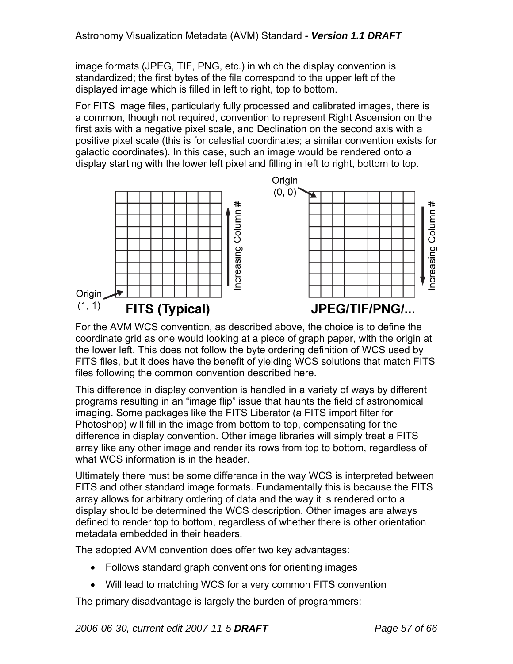image formats (JPEG, TIF, PNG, etc.) in which the display convention is standardized; the first bytes of the file correspond to the upper left of the displayed image which is filled in left to right, top to bottom.

For FITS image files, particularly fully processed and calibrated images, there is a common, though not required, convention to represent Right Ascension on the first axis with a negative pixel scale, and Declination on the second axis with a positive pixel scale (this is for celestial coordinates; a similar convention exists for galactic coordinates). In this case, such an image would be rendered onto a display starting with the lower left pixel and filling in left to right, bottom to top.



For the AVM WCS convention, as described above, the choice is to define the coordinate grid as one would looking at a piece of graph paper, with the origin at the lower left. This does not follow the byte ordering definition of WCS used by FITS files, but it does have the benefit of yielding WCS solutions that match FITS files following the common convention described here.

This difference in display convention is handled in a variety of ways by different programs resulting in an "image flip" issue that haunts the field of astronomical imaging. Some packages like the FITS Liberator (a FITS import filter for Photoshop) will fill in the image from bottom to top, compensating for the difference in display convention. Other image libraries will simply treat a FITS array like any other image and render its rows from top to bottom, regardless of what WCS information is in the header.

Ultimately there must be some difference in the way WCS is interpreted between FITS and other standard image formats. Fundamentally this is because the FITS array allows for arbitrary ordering of data and the way it is rendered onto a display should be determined the WCS description. Other images are always defined to render top to bottom, regardless of whether there is other orientation metadata embedded in their headers.

The adopted AVM convention does offer two key advantages:

- Follows standard graph conventions for orienting images
- Will lead to matching WCS for a very common FITS convention

The primary disadvantage is largely the burden of programmers: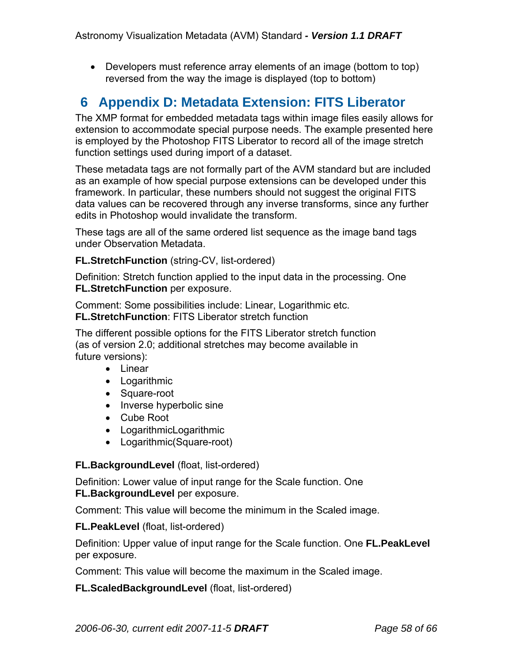• Developers must reference array elements of an image (bottom to top) reversed from the way the image is displayed (top to bottom)

# **6 Appendix D: Metadata Extension: FITS Liberator**

The XMP format for embedded metadata tags within image files easily allows for extension to accommodate special purpose needs. The example presented here is employed by the Photoshop FITS Liberator to record all of the image stretch function settings used during import of a dataset.

These metadata tags are not formally part of the AVM standard but are included as an example of how special purpose extensions can be developed under this framework. In particular, these numbers should not suggest the original FITS data values can be recovered through any inverse transforms, since any further edits in Photoshop would invalidate the transform.

These tags are all of the same ordered list sequence as the image band tags under Observation Metadata.

#### **FL.StretchFunction** (string-CV, list-ordered)

Definition: Stretch function applied to the input data in the processing. One **FL.StretchFunction** per exposure.

Comment: Some possibilities include: Linear, Logarithmic etc. **FL.StretchFunction**: FITS Liberator stretch function

The different possible options for the FITS Liberator stretch function (as of version 2.0; additional stretches may become available in future versions):

- Linear
- Logarithmic
- Square-root
- Inverse hyperbolic sine
- Cube Root
- LogarithmicLogarithmic
- Logarithmic(Square-root)

### **FL.BackgroundLevel** (float, list-ordered)

Definition: Lower value of input range for the Scale function. One **FL.BackgroundLevel** per exposure.

Comment: This value will become the minimum in the Scaled image.

#### **FL.PeakLevel** (float, list-ordered)

Definition: Upper value of input range for the Scale function. One **FL.PeakLevel** per exposure.

Comment: This value will become the maximum in the Scaled image.

**FL.ScaledBackgroundLevel** (float, list-ordered)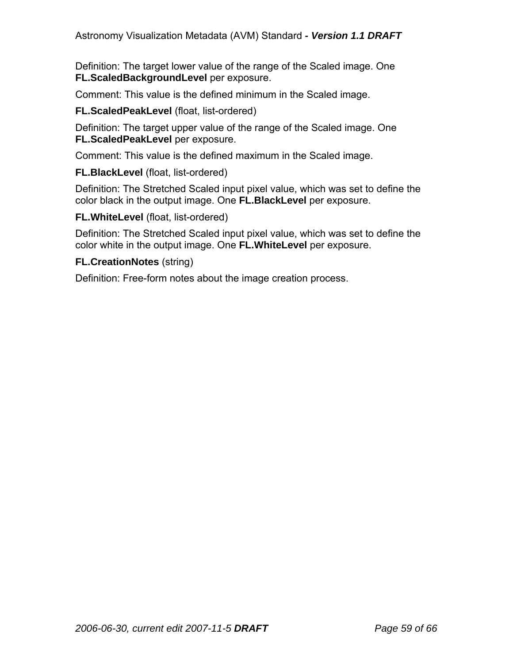Definition: The target lower value of the range of the Scaled image. One **FL.ScaledBackgroundLevel** per exposure.

Comment: This value is the defined minimum in the Scaled image.

#### **FL.ScaledPeakLevel** (float, list-ordered)

Definition: The target upper value of the range of the Scaled image. One **FL.ScaledPeakLevel** per exposure.

Comment: This value is the defined maximum in the Scaled image.

#### **FL.BlackLevel** (float, list-ordered)

Definition: The Stretched Scaled input pixel value, which was set to define the color black in the output image. One **FL.BlackLevel** per exposure.

#### **FL.WhiteLevel** (float, list-ordered)

Definition: The Stretched Scaled input pixel value, which was set to define the color white in the output image. One **FL.WhiteLevel** per exposure.

#### **FL.CreationNotes** (string)

Definition: Free-form notes about the image creation process.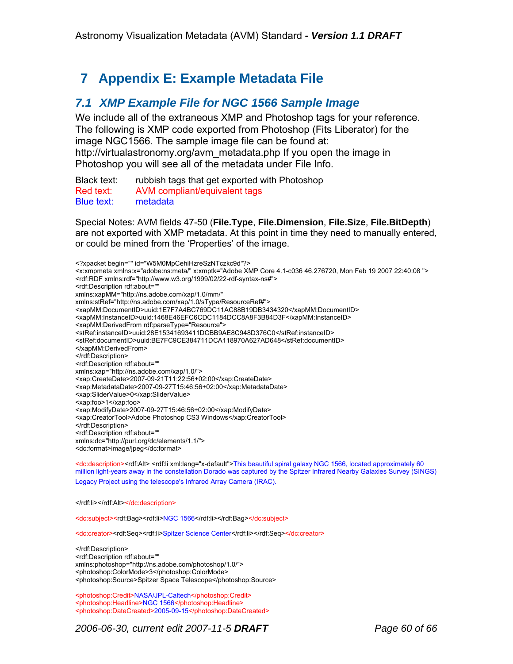# **7 Appendix E: Example Metadata File**

## *7.1 XMP Example File for NGC 1566 Sample Image*

We include all of the extraneous XMP and Photoshop tags for your reference. The following is XMP code exported from Photoshop (Fits Liberator) for the image NGC1566. The sample image file can be found at: http://virtualastronomy.org/avm\_metadata.php If you open the image in Photoshop you will see all of the metadata under File Info.

Black text: rubbish tags that get exported with Photoshop Red text: AVM compliant/equivalent tags Blue text: metadata

Special Notes: AVM fields 47-50 (**File.Type**, **File.Dimension**, **File.Size**, **File.BitDepth**) are not exported with XMP metadata. At this point in time they need to manually entered, or could be mined from the 'Properties' of the image.

<?xpacket begin="" id="W5M0MpCehiHzreSzNTczkc9d"?> <x:xmpmeta xmlns:x="adobe:ns:meta/" x:xmptk="Adobe XMP Core 4.1-c036 46.276720, Mon Feb 19 2007 22:40:08 "> <rdf:RDF xmlns:rdf="http://www.w3.org/1999/02/22-rdf-syntax-ns#"> <rdf:Description rdf:about="" xmlns:xapMM="http://ns.adobe.com/xap/1.0/mm/" xmlns:stRef="http://ns.adobe.com/xap/1.0/sType/ResourceRef#"> <xapMM:DocumentID>uuid:1E7F7A4BC769DC11AC88B19DB3434320</xapMM:DocumentID> <xapMM:InstanceID>uuid:1468E46EFC6CDC1184DCC8A8F3B84D3F</xapMM:InstanceID> <xapMM:DerivedFrom rdf:parseType="Resource"> <stRef:instanceID>uuid:28E15341693411DCBB9AE8C948D376C0</stRef:instanceID> <stRef:documentID>uuid:BE7FC9CE384711DCA118970A627AD648</stRef:documentID> </xapMM:DerivedFrom> </rdf:Description> <rdf:Description rdf:about="" xmlns:xap="http://ns.adobe.com/xap/1.0/"> <xap:CreateDate>2007-09-21T11:22:56+02:00</xap:CreateDate> <xap:MetadataDate>2007-09-27T15:46:56+02:00</xap:MetadataDate> <xap:SliderValue>0</xap:SliderValue> <xap:foo>1</xap:foo> <xap:ModifyDate>2007-09-27T15:46:56+02:00</xap:ModifyDate> <xap:CreatorTool>Adobe Photoshop CS3 Windows</xap:CreatorTool> </rdf:Description> <rdf:Description rdf:about="" xmlns:dc="http://purl.org/dc/elements/1.1/"> <dc:format>image/jpeg</dc:format>

<dc:description><rdf:Alt> <rdf:li xml:lang="x-default">This beautiful spiral galaxy NGC 1566, located approximately 60 million light-years away in the constellation Dorado was captured by the Spitzer Infrared Nearby Galaxies Survey (SINGS) Legacy Project using the telescope's Infrared Array Camera (IRAC).

</rdf:li></rdf:Alt></dc:description>

<dc:subject><rdf:Bag><rdf:li>NGC 1566</rdf:li></rdf:Bag></dc:subject>

<dc:creator><rdf:Seq><rdf:li>Spitzer Science Center</rdf:li></rdf:Seq></dc:creator>

</rdf:Description> <rdf:Description rdf:about="" xmlns:photoshop="http://ns.adobe.com/photoshop/1.0/"> <photoshop:ColorMode>3</photoshop:ColorMode> <photoshop:Source>Spitzer Space Telescope</photoshop:Source>

<photoshop:Credit>NASA/JPL-Caltech</photoshop:Credit> <photoshop:Headline>NGC 1566</photoshop:Headline> <photoshop:DateCreated>2005-09-15</photoshop:DateCreated>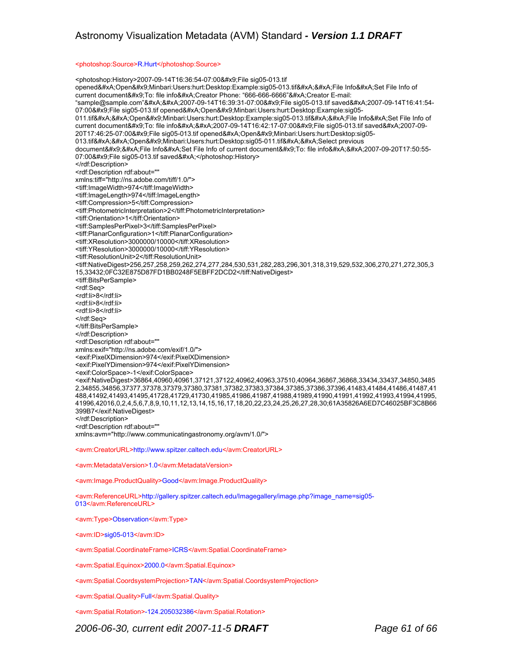#### <photoshop:Source>R.Hurt</photoshop:Source>

<photoshop:History>2007-09-14T16:36:54-07:00&#x9;File sig05-013.tif opened
Open Minbari:Users:hurt:Desktop:Example:sig05-013.tif

File Info
Set File Info of current document To: file info
Creator Phone: "666-666-6666"
Creator E-mail: "sample@sample.com"

2007-09-14T16:39:31-07:00 File sig05-013.tif saved
2007-09-14T16:41:54- 07:00 File sig05-013.tif opened
Open Minbari:Users:hurt:Desktop:Example:sig05-011.tif

Open Minbari:Users:hurt:Desktop:Example:sig05-013.tif

File Info
Set File Info of current document To: file info

2007-09-14T16:42:17-07:00 File sig05-013.tif saved
2007-09-20T17:46:25-07:00 File sig05-013.tif opened
Open Minbari:Users:hurt:Desktop:sig05-013.tif

Open Minbari:Users:hurt:Desktop:sig05-011.tif

Select previous document 
File Info
Set File Info of current document To: file info

2007-09-20T17:50:55-07:00 File sig05-013.tif saved
</photoshop:History> </rdf:Description> <rdf:Description rdf:about="" xmlns:tiff="http://ns.adobe.com/tiff/1.0/"> <tiff:ImageWidth>974</tiff:ImageWidth> <tiff:ImageLength>974</tiff:ImageLength> <tiff:Compression>5</tiff:Compression> <tiff:PhotometricInterpretation>2</tiff:PhotometricInterpretation> <tiff:Orientation>1</tiff:Orientation> <tiff:SamplesPerPixel>3</tiff:SamplesPerPixel> <tiff:PlanarConfiguration>1</tiff:PlanarConfiguration> <tiff:XResolution>3000000/10000</tiff:XResolution> <tiff:YResolution>3000000/10000</tiff:YResolution> <tiff:ResolutionUnit>2</tiff:ResolutionUnit> <tiff:NativeDigest>256,257,258,259,262,274,277,284,530,531,282,283,296,301,318,319,529,532,306,270,271,272,305,3 15,33432;0FC32E875D87FD1BB0248F5EBFF2DCD2</tiff:NativeDigest> <tiff:BitsPerSample> <rdf:Seq> <rdf:li>8</rdf:li> <rdf:li>8</rdf:li> <rdf:li>8</rdf:li> </rdf:Seq> </tiff:BitsPerSample> </rdf:Description> <rdf:Description rdf:about="" xmlns:exif="http://ns.adobe.com/exif/1.0/"> <exif:PixelXDimension>974</exif:PixelXDimension> <exif:PixelYDimension>974</exif:PixelYDimension> <exif:ColorSpace>-1</exif:ColorSpace> <exif:NativeDigest>36864,40960,40961,37121,37122,40962,40963,37510,40964,36867,36868,33434,33437,34850,3485 2,34855,34856,37377,37378,37379,37380,37381,37382,37383,37384,37385,37386,37396,41483,41484,41486,41487,41 488,41492,41493,41495,41728,41729,41730,41985,41986,41987,41988,41989,41990,41991,41992,41993,41994,41995, 41996,42016,0,2,4,5,6,7,8,9,10,11,12,13,14,15,16,17,18,20,22,23,24,25,26,27,28,30;61A35826A6ED7C46025BF3C8B66 399B7</exif:NativeDigest> </rdf:Description> <rdf:Description rdf:about="" xmlns:avm="http://www.communicatingastronomy.org/avm/1.0/"> <avm:CreatorURL>http://www.spitzer.caltech.edu</avm:CreatorURL> <avm:MetadataVersion>1.0</avm:MetadataVersion> <avm:Image.ProductQuality>Good</avm:Image.ProductQuality> <avm:ReferenceURL>http://gallery.spitzer.caltech.edu/Imagegallery/image.php?image\_name=sig05- 013</avm:ReferenceURL> <avm:Type>Observation</avm:Type> <avm:ID>sig05-013</avm:ID> <avm:Spatial.CoordinateFrame>ICRS</avm:Spatial.CoordinateFrame>

<avm:Spatial.Equinox>2000.0</avm:Spatial.Equinox>

<avm:Spatial.CoordsystemProjection>TAN</avm:Spatial.CoordsystemProjection>

<avm:Spatial.Quality>Full</avm:Spatial.Quality>

<avm:Spatial.Rotation>-124.205032386</avm:Spatial.Rotation>

*2006-06-30, current edit 2007-11-5 DRAFT Page 61 of 66*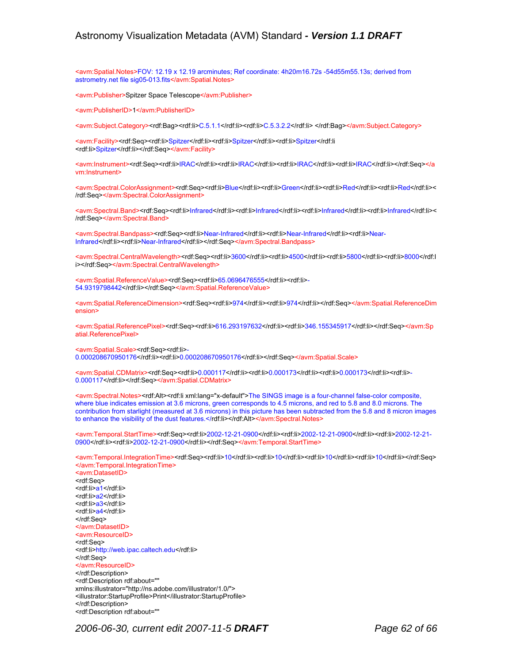<avm:Spatial.Notes>FOV: 12.19 x 12.19 arcminutes; Ref coordinate: 4h20m16.72s -54d55m55.13s; derived from astrometry.net file sig05-013.fits</avm:Spatial.Notes>

<avm:Publisher>Spitzer Space Telescope</avm:Publisher>

<avm:PublisherID>1</avm:PublisherID>

<avm:Subject.Category><rdf:Bag><rdf:li>C.5.1.1</rdf:li><rdf:li>C.5.3.2.2</rdf:li> </rdf:Bag></avm:Subject.Category>

<avm:Facility><rdf:Seq><rdf:li>Spitzer</rdf:li><rdf:li>Spitzer</rdf:li><rdf:li>Spitzer</rdf:li <rdf:li>Spitzer</rdf:li></rdf:Seq></avm:Facility>

<avm:Instrument><rdf:Seq><rdf:li>IRAC</rdf:li><rdf:li>IRAC</rdf:li><rdf:li>IRAC</rdf:li><rdf:li>IRAC</rdf:li></rdf:Seq></a vm:Instrument>

<avm:Spectral.ColorAssignment><rdf:Seq><rdf:li>Blue</rdf:li><rdf:li>Green</rdf:li><rdf:li>Red</rdf:li><rdf:li>Red</rdf:li>< /rdf:Seq></avm:Spectral.ColorAssignment>

<avm:Spectral.Band><rdf:Seq><rdf:li>Infrared</rdf:li><rdf:li>Infrared</rdf:li><rdf:li>Infrared</rdf:li><rdf:li>Infrared</rdf:li>< /rdf:Seq></avm:Spectral.Band>

<avm:Spectral.Bandpass><rdf:Seq><rdf:li>Near-Infrared</rdf:li><rdf:li>Near-Infrared</rdf:li><rdf:li>Near-Infrared</rdf:li><rdf:li>Near-Infrared</rdf:li></rdf:Seq></avm:Spectral.Bandpass>

<avm:Spectral.CentralWavelength><rdf:Seq><rdf:li>3600</rdf:li><rdf:li>4500</rdf:li><rdf:li>5800</rdf:li><rdf:li>8000</rdf:l i></rdf:Seq></avm:Spectral.CentralWavelength>

<avm:Spatial.ReferenceValue><rdf:Seq><rdf:li>65.0696476555</rdf:li><rdf:li>- 54.9319798442</rdf:li></rdf:Seq></avm:Spatial.ReferenceValue>

<avm:Spatial.ReferenceDimension><rdf:Seq><rdf:li>974</rdf:li><rdf:li>974</rdf:li></rdf:Seq></avm:Spatial.ReferenceDim ension>

<avm:Spatial.ReferencePixel><rdf:Seq><rdf:li>616.293197632</rdf:li><rdf:li>346.155345917</rdf:li></rdf:Seq></avm:Sp atial.ReferencePixel>

<avm:Spatial.Scale><rdf:Seq><rdf:li>-0.000208670950176</rdf:li><rdf:li>0.000208670950176</rdf:li></rdf:Seq></avm:Spatial.Scale>

<avm:Spatial.CDMatrix><rdf:Seq><rdf:li>0.000117</rdf:li><rdf:li>0.000173</rdf:li><rdf:li>0.000173</rdf:li><rdf:li>- 0.000117</rdf:li></rdf:Seq></avm:Spatial.CDMatrix>

<avm:Spectral.Notes><rdf:Alt><rdf:li xml:lang="x-default">The SINGS image is a four-channel false-color composite, where blue indicates emission at 3.6 microns, green corresponds to 4.5 microns, and red to 5.8 and 8.0 microns. The contribution from starlight (measured at 3.6 microns) in this picture has been subtracted from the 5.8 and 8 micron images to enhance the visibility of the dust features.</rdf:li></rdf:Alt></avm:Spectral.Notes>

<avm:Temporal.StartTime><rdf:Seq><rdf:li>2002-12-21-0900</rdf:li><rdf:li>2002-12-21-0900</rdf:li><rdf:li>2002-12-21- 0900</rdf:li><rdf:li>2002-12-21-0900</rdf:li></rdf:Seq></avm:Temporal.StartTime>

<avm:Temporal.IntegrationTime><rdf:Seq><rdf:li>10</rdf:li><rdf:li>10</rdf:li><rdf:li>10</rdf:li><rdf:li>10</rdf:li></rdf:Seq> </avm:Temporal.IntegrationTime>

<avm:DatasetID> <rdf:Seq> <rdf:li>a1</rdf:li> <rdf:li>a2</rdf:li> <rdf:li>a3</rdf:li> <rdf:li>a4</rdf:li> </rdf:Seq> </avm:DatasetID> <avm:ResourceID> <rdf:Seq> <rdf:li>http://web.ipac.caltech.edu</rdf:li> </rdf:Seq> </avm:ResourceID> </rdf:Description> <rdf:Description rdf:about="" xmlns:illustrator="http://ns.adobe.com/illustrator/1.0/"> <illustrator:StartupProfile>Print</illustrator:StartupProfile> </rdf:Description> <rdf:Description rdf:about=""

*2006-06-30, current edit 2007-11-5 DRAFT Page 62 of 66*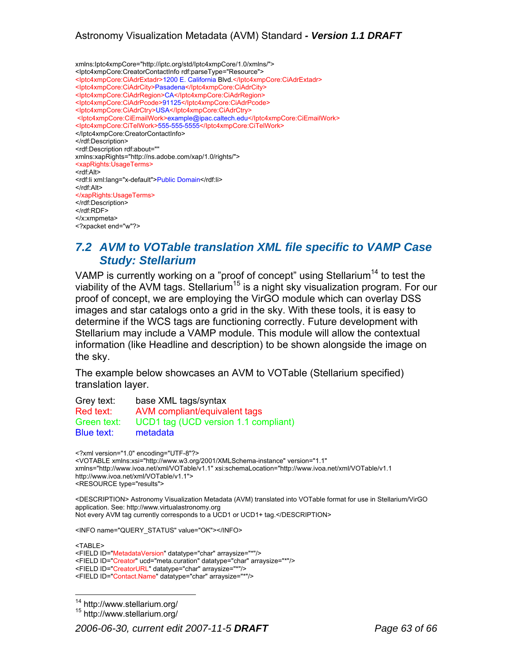xmlns:Iptc4xmpCore="http://iptc.org/std/Iptc4xmpCore/1.0/xmlns/"> <Iptc4xmpCore:CreatorContactInfo rdf:parseType="Resource"> <Iptc4xmpCore:CiAdrExtadr>1200 E. California Blvd.</Iptc4xmpCore:CiAdrExtadr> <Iptc4xmpCore:CiAdrCity>Pasadena</Iptc4xmpCore:CiAdrCity> <Iptc4xmpCore:CiAdrRegion>CA</Iptc4xmpCore:CiAdrRegion> <Iptc4xmpCore:CiAdrPcode>91125</Iptc4xmpCore:CiAdrPcode> <Iptc4xmpCore:CiAdrCtry>USA</Iptc4xmpCore:CiAdrCtry> <Iptc4xmpCore:CiEmailWork>example@ipac.caltech.edu</Iptc4xmpCore:CiEmailWork> <Iptc4xmpCore:CiTelWork>555-555-5555</Iptc4xmpCore:CiTelWork> </Iptc4xmpCore:CreatorContactInfo> </rdf:Description> <rdf:Description rdf:about="" xmlns:xapRights="http://ns.adobe.com/xap/1.0/rights/"> <xapRights:UsageTerms> <rdf:Alt> <rdf:li xml:lang="x-default">Public Domain</rdf:li> </rdf:Alt> </xapRights:UsageTerms> </rdf:Description> </rdf:RDF> </x:xmpmeta> <?xpacket end="w"?>

## *7.2 AVM to VOTable translation XML file specific to VAMP Case Study: Stellarium*

VAMP is currently working on a "proof of concept" using Stellarium<sup>14</sup> to test the viability of the AVM tags. Stellarium<sup>15</sup> is a night sky visualization program. For our proof of concept, we are employing the VirGO module which can overlay DSS images and star catalogs onto a grid in the sky. With these tools, it is easy to determine if the WCS tags are functioning correctly. Future development with Stellarium may include a VAMP module. This module will allow the contextual information (like Headline and description) to be shown alongside the image on the sky.

The example below showcases an AVM to VOTable (Stellarium specified) translation layer.

| Grey text:  | base XML tags/syntax                 |
|-------------|--------------------------------------|
| Red text:   | AVM compliant/equivalent tags        |
| Green text: | UCD1 tag (UCD version 1.1 compliant) |
| Blue text:  | metadata                             |

<?xml version="1.0" encoding="UTF-8"?> <VOTABLE xmlns:xsi="http://www.w3.org/2001/XMLSchema-instance" version="1.1" xmlns="http://www.ivoa.net/xml/VOTable/v1.1" xsi:schemaLocation="http://www.ivoa.net/xml/VOTable/v1.1 http://www.ivoa.net/xml/VOTable/v1.1"> <RESOURCE type="results">

<DESCRIPTION> Astronomy Visualization Metadata (AVM) translated into VOTable format for use in Stellarium/VirGO application. See: http://www.virtualastronomy.org Not every AVM tag currently corresponds to a UCD1 or UCD1+ tag.</DESCRIPTION>

<INFO name="QUERY\_STATUS" value="OK"></INFO>

<TABLE> <FIELD ID="MetadataVersion" datatype="char" arraysize="\*"/> <FIELD ID="Creator" ucd="meta.curation" datatype="char" arraysize="\*"/> <FIELD ID="CreatorURL" datatype="char" arraysize="\*"/> <FIELD ID="Contact.Name" datatype="char" arraysize="\*"/>

14 http://www.stellarium.org/ 15 http://www.stellarium.org/

*2006-06-30, current edit 2007-11-5 DRAFT Page 63 of 66* 

<sup>&</sup>lt;sup>14</sup> http://www.stellarium.org/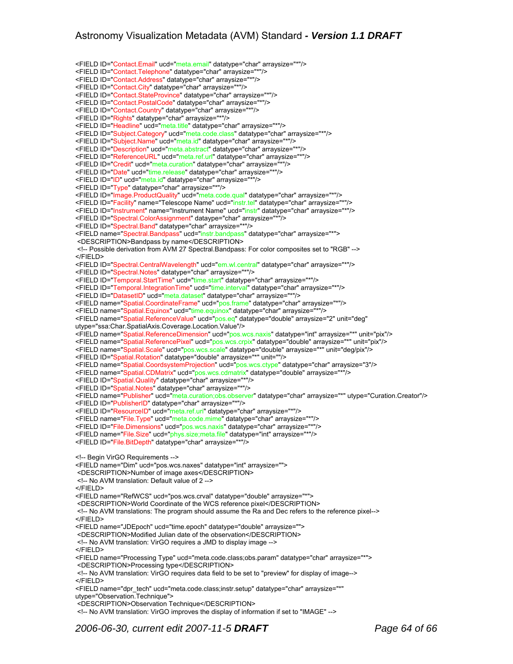<FIELD ID="Contact.Email" ucd="meta.email" datatype="char" arraysize="\*"/> <FIELD ID="Contact.Telephone" datatype="char" arraysize="\*"/> <FIELD ID="Contact.Address" datatype="char" arraysize="\*"/> <FIELD ID="Contact.City" datatype="char" arraysize="\*"/> <FIELD ID="Contact.StateProvince" datatype="char" arraysize="\*"/> <FIELD ID="Contact.PostalCode" datatype="char" arraysize="\*"/> <FIELD ID="Contact.Country" datatype="char" arraysize="\*"/> <FIELD ID="Rights" datatype="char" arraysize="\*"/> <FIELD ID="Headline" ucd="meta.title" datatype="char" arraysize="\*"/> <FIELD ID="Subject.Category" ucd="meta.code.class" datatype="char" arraysize="\*"/> <FIELD ID="Subject.Name" ucd="meta.id" datatype="char" arraysize="\*"/> <FIELD ID="Description" ucd="meta.abstract" datatype="char" arraysize="\*"/> <FIELD ID="ReferenceURL" ucd="meta.ref.url" datatype="char" arraysize="\*"/> <FIELD ID="Credit" ucd="meta.curation" datatype="char" arraysize="\*"/> <FIELD ID="Date" ucd="time.release" datatype="char" arraysize="\*"/> <FIELD ID="ID" ucd="meta.id" datatype="char" arraysize="\*"/> <FIELD ID="Type" datatype="char" arraysize="\*"/> <FIELD ID="Image.ProductQuality" ucd="meta.code.qual" datatype="char" arraysize="\*"/> <FIELD ID="Facility" name="Telescope Name" ucd="instr.tel" datatype="char" arraysize="\*"/> <FIELD ID="Instrument" name="Instrument Name" ucd="instr" datatype="char" arraysize="\*"/> <FIELD ID="Spectral.ColorAssignment" dataype="char" arraysize="\*"/> <FIELD ID="Spectral.Band" datatype="char" arraysize="\*"/> <FIELD name="Spectral.Bandpass" ucd="instr.bandpass" datatype="char" arraysize="\*"> <DESCRIPTION>Bandpass by name</DESCRIPTION> <!-- Possible derivation from AVM 27 Spectral.Bandpass: For color composites set to "RGB" --> </FIELD> <FIELD ID="Spectral.CentralWavelength" ucd="em.wl.central" datatype="char" arraysize="\*"/> <FIELD ID="Spectral.Notes" datatype="char" arraysize="\*"/> <FIELD ID="Temporal.StartTime" ucd="time.start" datatype="char" arraysize="\*"/> <FIELD ID="Temporal.IntegrationTime" ucd="time.interval" datatype="char" arraysize="\*"/> <FIELD ID="DatasetID" ucd="meta.dataset" datatype="char" arraysize="\*"/> <FIELD name="Spatial.CoordinateFrame" ucd="pos.frame" datatype="char" arraysize="\*"/> <FIELD name="Spatial.Equinox" ucd="time.equinox" datatype="char" arraysize="\*"/> <FIELD name="Spatial.ReferenceValue" ucd="pos.eq" datatype="double" arraysize="2" unit="deg" utype="ssa:Char.SpatialAxis.Coverage.Location.Value"/> <FIELD name="Spatial.ReferenceDimension" ucd="pos.wcs.naxis" datatype="int" arraysize="\*" unit="pix"/> <FIELD name="Spatial.ReferencePixel" ucd="pos.wcs.crpix" datatype="double" arraysize="\*" unit="pix"/> <FIELD name="Spatial.Scale" ucd="pos.wcs.scale" datatype="double" arraysize="\*" unit="deg/pix"/> <FIELD ID="Spatial.Rotation" datatype="double" arraysize="\*" unit=""/> <FIELD name="Spatial.CoordsystemProjection" ucd="pos.wcs.ctype" datatype="char" arraysize="3"/> <FIELD name="Spatial.CDMatrix" ucd="pos.wcs.cdmatrix" datatype="double" arraysize="\*"/> <FIELD ID="Spatial.Quality" datatype="char" arraysize="\*"/> <FIELD ID="Spatial.Notes" datatype="char" arraysize="\*"/> <FIELD name="Publisher" ucd="meta.curation;obs.observer" datatype="char" arraysize="\*" utype="Curation.Creator"/> <FIELD ID="PublisherID" datatype="char" arraysize="\*"/> <FIELD ID="ResourceID" ucd="meta.ref.uri" datatype="char" arraysize="\*"/> <FIELD name="File.Type" ucd="meta.code.mime" datatype="char" arraysize="\*"/> <FIELD ID="File.Dimensions" ucd="pos.wcs.naxis" datatype="char" arraysize="\*"/> <FIELD name="File.Size" ucd="phys.size;meta.file" datatype="int" arraysize="\*"/> <FIELD ID="File.BitDepth" datatype="char" arraysize="\*"/> <!-- Begin VirGO Requirements --> <FIELD name="Dim" ucd="pos.wcs.naxes" datatype="int" arraysize=""> <DESCRIPTION>Number of image axes</DESCRIPTION> <!-- No AVM translation: Default value of 2 --> </FIELD> <FIELD name="RefWCS" ucd="pos.wcs.crval" datatype="double" arraysize="\*"> <DESCRIPTION>World Coordinate of the WCS reference pixel</DESCRIPTION> <!-- No AVM translations: The program should assume the Ra and Dec refers to the reference pixel--> </FIELD> <FIELD name="JDEpoch" ucd="time.epoch" datatype="double" arraysize=""> <DESCRIPTION>Modified Julian date of the observation</DESCRIPTION> <!-- No AVM translation: VirGO requires a JMD to display image --> </FIELD> <FIELD name="Processing Type" ucd="meta.code.class;obs.param" datatype="char" arraysize="\*"> <DESCRIPTION>Processing type</DESCRIPTION> <!-- No AVM translation: VirGO requires data field to be set to "preview" for display of image--> </FIELD> <FIELD name="dpr\_tech" ucd="meta.code.class;instr.setup" datatype="char" arraysize="\*" utype="Observation.Technique"> <DESCRIPTION>Observation Technique</DESCRIPTION> <!-- No AVM translation: VirGO improves the display of information if set to "IMAGE" -->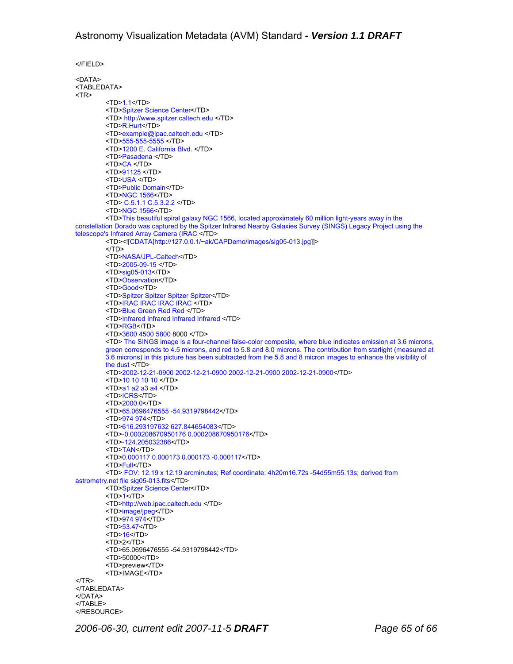</FIELD> <DATA> <TABLEDATA> <TR>  $<$ TD>1.1 $<$ /TD> <TD>Spitzer Science Center</TD> <TD> http://www.spitzer.caltech.edu </TD> <TD>R.Hurt</TD> <TD>example@ipac.caltech.edu </TD> <TD>555-555-5555 </TD> <TD>1200 E. California Blvd. </TD> <TD>Pasadena </TD> <TD>CA </TD> <TD>91125 </TD> <TD>USA </TD> <TD>Public Domain</TD> <TD>NGC 1566</TD> <TD> C.5.1.1 C.5.3.2.2 </TD> <TD>NGC 1566</TD> <TD>This beautiful spiral galaxy NGC 1566, located approximately 60 million light-years away in the constellation Dorado was captured by the Spitzer Infrared Nearby Galaxies Survey (SINGS) Legacy Project using the telescope's Infrared Array Camera (IRAC </TD> <TD><![CDATA[http://127.0.0.1/~ak/CAPDemo/images/sig05-013.jpg]]>  $<$  $(TD>$ <TD>NASA/JPL-Caltech</TD> <TD>2005-09-15 </TD> <TD>sig05-013</TD> <TD>Observation</TD> <TD>Good</TD> <TD>Spitzer Spitzer Spitzer Spitzer</TD> <TD>IRAC IRAC IRAC IRAC </TD> <TD>Blue Green Red Red </TD> <TD>Infrared Infrared Infrared Infrared </TD> <TD>RGB</TD> <TD>3600 4500 5800 8000 </TD> <TD> The SINGS image is a four-channel false-color composite, where blue indicates emission at 3.6 microns, green corresponds to 4.5 microns, and red to 5.8 and 8.0 microns. The contribution from starlight (measured at 3.6 microns) in this picture has been subtracted from the 5.8 and 8 micron images to enhance the visibility of the dust </TD> <TD>2002-12-21-0900 2002-12-21-0900 2002-12-21-0900 2002-12-21-0900</TD> <TD>10 10 10 10 </TD> <TD>a1 a2 a3 a4 </TD> <TD>ICRS</TD> <TD>2000.0</TD> <TD>65.0696476555 -54.9319798442</TD> <TD>974 974</TD> <TD>616.293197632 627.844654083</TD> <TD>-0.000208670950176 0.000208670950176</TD> <TD>-124.205032386</TD> <TD>TAN</TD> <TD>0.000117 0.000173 0.000173 -0.000117</TD> <TD>Full</TD> <TD> FOV: 12.19 x 12.19 arcminutes; Ref coordinate: 4h20m16.72s -54d55m55.13s; derived from astrometry.net file sig05-013.fits</TD> <TD>Spitzer Science Center</TD>  $<$ TD>1 $<$ /TD> <TD>http://web.ipac.caltech.edu </TD> <TD>image/jpeg</TD> <TD>974 974</TD> <TD>53.47</TD> <TD>16</TD> <TD>2</TD> <TD>65.0696476555 -54.9319798442</TD> <TD>50000</TD> <TD>preview</TD> <TD>IMAGE</TD>  $<$ /TR $>$ </TABLEDATA> </DATA> </TABLE>

</RESOURCE>